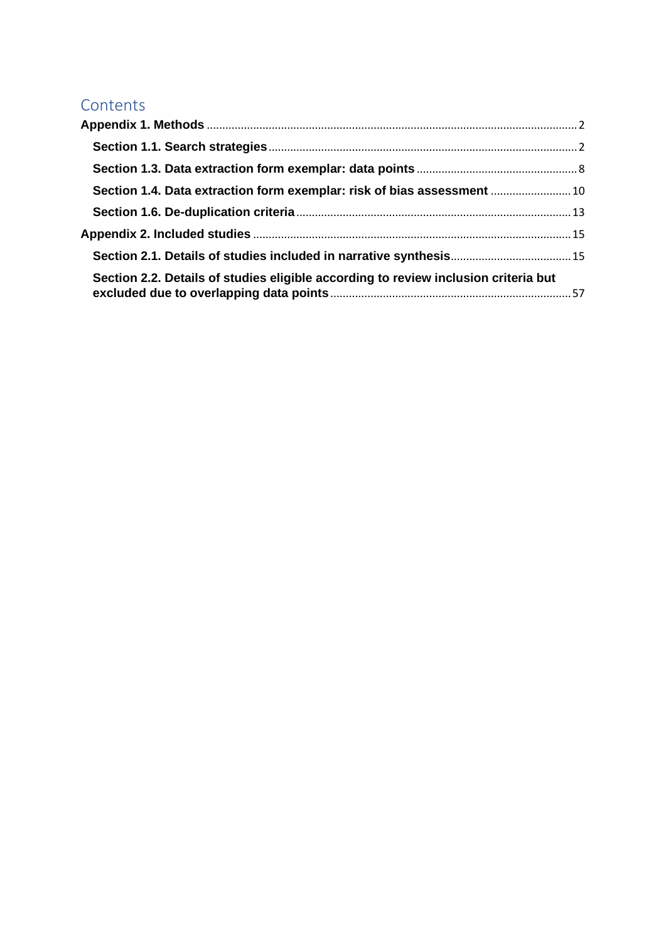## Contents

| Section 1.4. Data extraction form exemplar: risk of bias assessment  10             |  |
|-------------------------------------------------------------------------------------|--|
|                                                                                     |  |
|                                                                                     |  |
|                                                                                     |  |
| Section 2.2. Details of studies eligible according to review inclusion criteria but |  |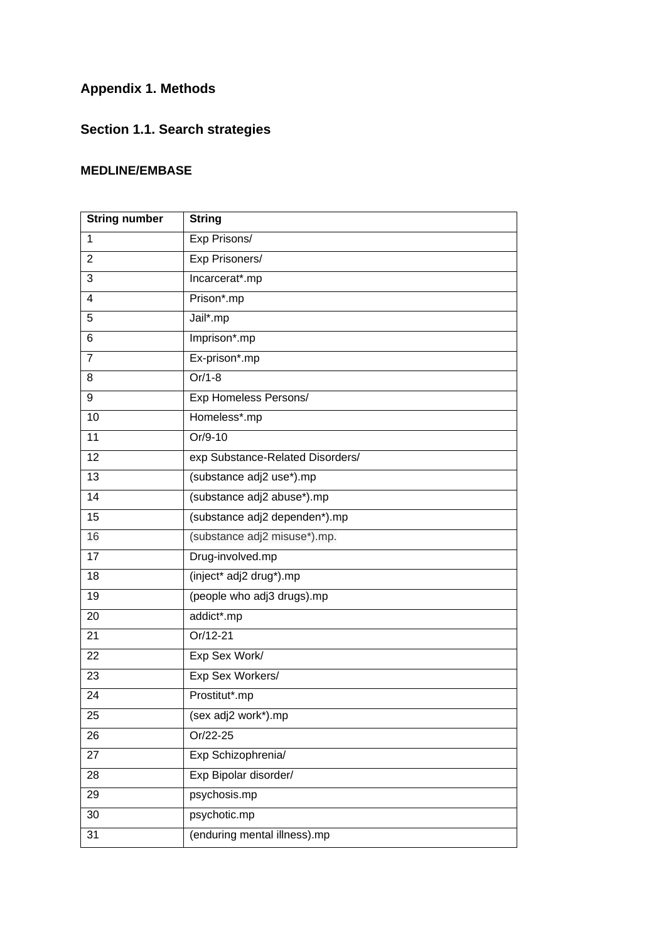## <span id="page-1-0"></span>**Appendix 1. Methods**

# <span id="page-1-1"></span>**Section 1.1. Search strategies**

### **MEDLINE/EMBASE**

| <b>String number</b> | <b>String</b>                    |
|----------------------|----------------------------------|
| $\mathbf{1}$         | Exp Prisons/                     |
| 2                    | Exp Prisoners/                   |
| 3                    | Incarcerat*.mp                   |
| 4                    | Prison*.mp                       |
| 5                    | Jail*.mp                         |
| 6                    | Imprison*.mp                     |
| $\overline{7}$       | Ex-prison*.mp                    |
| 8                    | $Or/1-8$                         |
| 9                    | Exp Homeless Persons/            |
| 10                   | Homeless*.mp                     |
| 11                   | Or/9-10                          |
| 12                   | exp Substance-Related Disorders/ |
| 13                   | (substance adj2 use*).mp         |
| $\overline{14}$      | (substance adj2 abuse*).mp       |
| 15                   | (substance adj2 dependen*).mp    |
| 16                   | (substance adj2 misuse*).mp.     |
| 17                   | Drug-involved.mp                 |
| 18                   | (inject* adj2 drug*).mp          |
| 19                   | (people who adj3 drugs).mp       |
| 20                   | addict*.mp                       |
| 21                   | Or/12-21                         |
| 22                   | Exp Sex Work/                    |
| 23                   | Exp Sex Workers/                 |
| 24                   | Prostitut*.mp                    |
| 25                   | (sex adj2 work*).mp              |
| 26                   | Or/22-25                         |
| 27                   | Exp Schizophrenia/               |
| 28                   | Exp Bipolar disorder/            |
| 29                   | psychosis.mp                     |
| 30                   | psychotic.mp                     |
| 31                   | (enduring mental illness).mp     |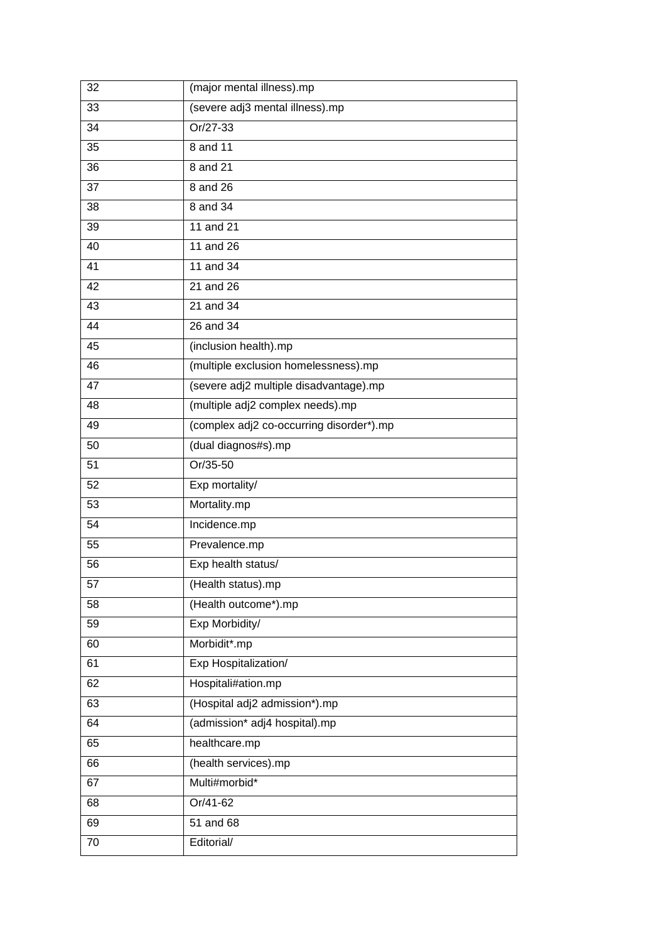| 32              | (major mental illness).mp                |  |
|-----------------|------------------------------------------|--|
| 33              | (severe adj3 mental illness).mp          |  |
| 34              | Or/27-33                                 |  |
| 35              | 8 and 11                                 |  |
| 36              | 8 and 21                                 |  |
| 37              | 8 and 26                                 |  |
| 38              | 8 and 34                                 |  |
| 39              | 11 and 21                                |  |
| 40              | 11 and 26                                |  |
| 41              | 11 and 34                                |  |
| 42              | 21 and 26                                |  |
| $\overline{43}$ | 21 and 34                                |  |
| 44              | 26 and 34                                |  |
| 45              | (inclusion health).mp                    |  |
| $\overline{46}$ | (multiple exclusion homelessness).mp     |  |
| 47              | (severe adj2 multiple disadvantage).mp   |  |
| 48              | (multiple adj2 complex needs).mp         |  |
| 49              | (complex adj2 co-occurring disorder*).mp |  |
| 50              | (dual diagnos#s).mp                      |  |
| 51              | Or/35-50                                 |  |
| 52              | Exp mortality/                           |  |
| 53              | Mortality.mp                             |  |
| 54              | Incidence.mp                             |  |
| 55              | Prevalence.mp                            |  |
| 56              | Exp health status/                       |  |
| 57              | (Health status).mp                       |  |
| 58              | (Health outcome*).mp                     |  |
| 59              | Exp Morbidity/                           |  |
| 60              | Morbidit*.mp                             |  |
| 61              | Exp Hospitalization/                     |  |
| 62              | Hospitali#ation.mp                       |  |
| 63              | (Hospital adj2 admission*).mp            |  |
| 64              | (admission* adj4 hospital).mp            |  |
| 65              | healthcare.mp                            |  |
| 66              | (health services).mp                     |  |
| 67              | Multi#morbid*                            |  |
| 68              | Or/41-62                                 |  |
| 69              | 51 and 68                                |  |
| 70              | Editorial/                               |  |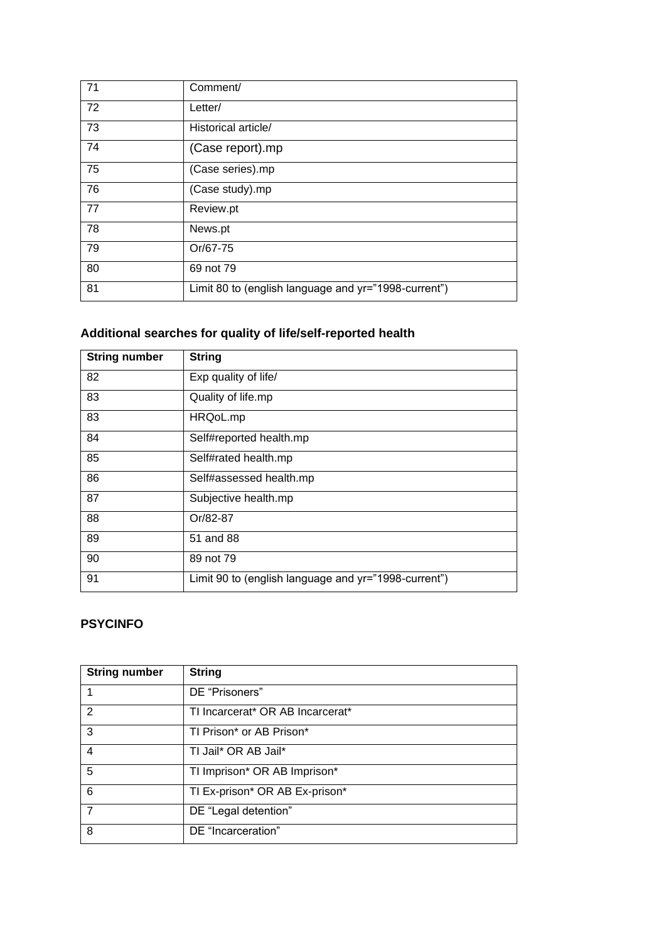| 71 | Comment/                                             |
|----|------------------------------------------------------|
| 72 | Letter/                                              |
| 73 | Historical article/                                  |
| 74 | (Case report).mp                                     |
| 75 | (Case series).mp                                     |
| 76 | (Case study).mp                                      |
| 77 | Review.pt                                            |
| 78 | News.pt                                              |
| 79 | Or/67-75                                             |
| 80 | 69 not 79                                            |
| 81 | Limit 80 to (english language and yr="1998-current") |

## **Additional searches for quality of life/self-reported health**

| <b>String number</b> | <b>String</b>                                        |
|----------------------|------------------------------------------------------|
| 82                   | Exp quality of life/                                 |
| 83                   | Quality of life.mp                                   |
| 83                   | HRQoL.mp                                             |
| 84                   | Self#reported health.mp                              |
| 85                   | Self#rated health.mp                                 |
| 86                   | Self#assessed health.mp                              |
| 87                   | Subjective health.mp                                 |
| 88                   | Or/82-87                                             |
| 89                   | 51 and 88                                            |
| 90                   | 89 not 79                                            |
| 91                   | Limit 90 to (english language and yr="1998-current") |

### **PSYCINFO**

| <b>String number</b> | <b>String</b>                    |
|----------------------|----------------------------------|
|                      | DE "Prisoners"                   |
| 2                    | TI Incarcerat* OR AB Incarcerat* |
| 3                    | TI Prison* or AB Prison*         |
| 4                    | TI Jail* OR AB Jail*             |
| 5                    | TI Imprison* OR AB Imprison*     |
| 6                    | TI Ex-prison* OR AB Ex-prison*   |
| $\overline{7}$       | DE "Legal detention"             |
| 8                    | DE "Incarceration"               |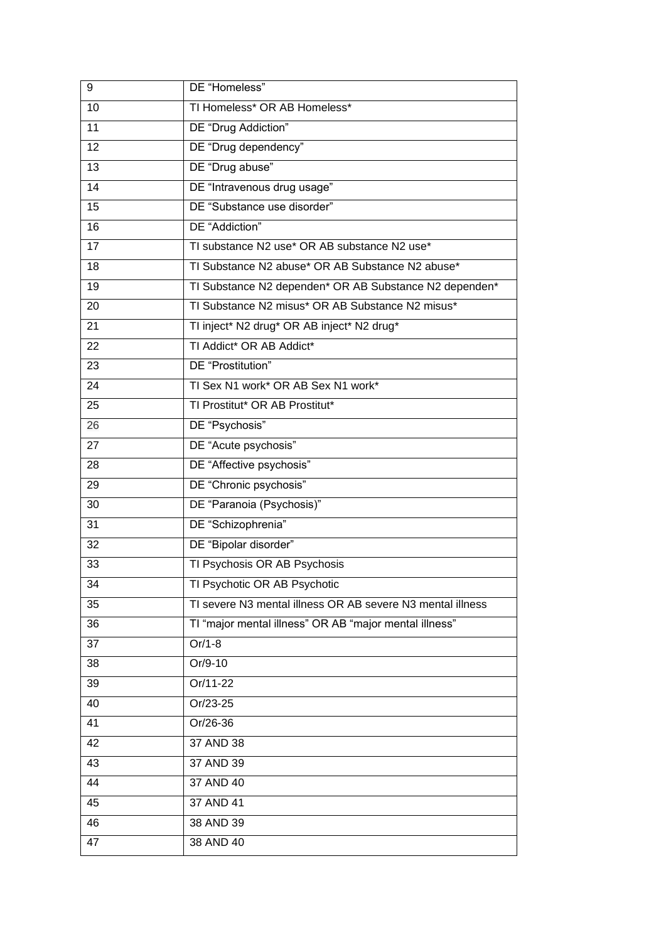| 9               | DE "Homeless"                                              |  |
|-----------------|------------------------------------------------------------|--|
| 10              | TI Homeless* OR AB Homeless*                               |  |
| 11              | DE "Drug Addiction"                                        |  |
| 12              | DE "Drug dependency"                                       |  |
| 13              | DE "Drug abuse"                                            |  |
| 14              | DE "Intravenous drug usage"                                |  |
| 15              | DE "Substance use disorder"                                |  |
| 16              | DE "Addiction"                                             |  |
| 17              | TI substance N2 use* OR AB substance N2 use*               |  |
| 18              | TI Substance N2 abuse* OR AB Substance N2 abuse*           |  |
| 19              | TI Substance N2 dependen* OR AB Substance N2 dependen*     |  |
| 20              | TI Substance N2 misus* OR AB Substance N2 misus*           |  |
| 21              | TI inject* N2 drug* OR AB inject* N2 drug*                 |  |
| 22              | TI Addict* OR AB Addict*                                   |  |
| 23              | DE "Prostitution"                                          |  |
| 24              | TI Sex N1 work* OR AB Sex N1 work*                         |  |
| 25              | TI Prostitut* OR AB Prostitut*                             |  |
| 26              | DE "Psychosis"                                             |  |
| 27              | DE "Acute psychosis"                                       |  |
| 28              | DE "Affective psychosis"                                   |  |
| 29              | DE "Chronic psychosis"                                     |  |
| 30              | DE "Paranoia (Psychosis)"                                  |  |
| 31              | DE "Schizophrenia"                                         |  |
| 32              | DE "Bipolar disorder"                                      |  |
| 33              | TI Psychosis OR AB Psychosis                               |  |
| 34              | TI Psychotic OR AB Psychotic                               |  |
| 35              | TI severe N3 mental illness OR AB severe N3 mental illness |  |
| 36              | TI "major mental illness" OR AB "major mental illness"     |  |
| 37              | $Or/1-8$                                                   |  |
| 38              | Or/9-10                                                    |  |
| 39              | Or/11-22                                                   |  |
| $\overline{40}$ | Or/23-25                                                   |  |
| 41              | Or/26-36                                                   |  |
| 42              | 37 AND 38                                                  |  |
| 43              | 37 AND 39                                                  |  |
| 44              | 37 AND 40                                                  |  |
| 45              | 37 AND 41                                                  |  |
| 46              | 38 AND 39                                                  |  |
| 47              | 38 AND 40                                                  |  |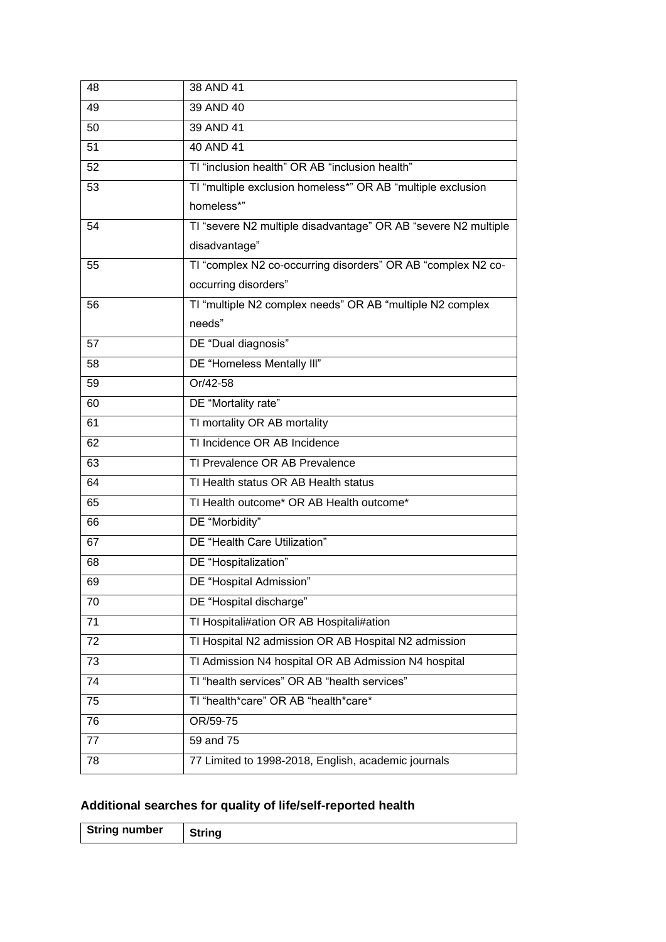| 48 | 38 AND 41                                                      |
|----|----------------------------------------------------------------|
| 49 | 39 AND 40                                                      |
| 50 | 39 AND 41                                                      |
| 51 | 40 AND 41                                                      |
| 52 | TI "inclusion health" OR AB "inclusion health"                 |
| 53 | TI "multiple exclusion homeless*" OR AB "multiple exclusion    |
|    | homeless*"                                                     |
| 54 | TI "severe N2 multiple disadvantage" OR AB "severe N2 multiple |
|    | disadvantage"                                                  |
| 55 | TI "complex N2 co-occurring disorders" OR AB "complex N2 co-   |
|    | occurring disorders"                                           |
| 56 | TI "multiple N2 complex needs" OR AB "multiple N2 complex      |
|    | needs"                                                         |
| 57 | DE "Dual diagnosis"                                            |
| 58 | DE "Homeless Mentally III"                                     |
| 59 | Or/42-58                                                       |
| 60 | DE "Mortality rate"                                            |
| 61 | TI mortality OR AB mortality                                   |
| 62 | TI Incidence OR AB Incidence                                   |
| 63 | TI Prevalence OR AB Prevalence                                 |
| 64 | TI Health status OR AB Health status                           |
| 65 | TI Health outcome* OR AB Health outcome*                       |
| 66 | DE "Morbidity"                                                 |
| 67 | DE "Health Care Utilization"                                   |
| 68 | DE "Hospitalization"                                           |
| 69 | DE "Hospital Admission"                                        |
| 70 | DE "Hospital discharge"                                        |
| 71 | TI Hospitali#ation OR AB Hospitali#ation                       |
| 72 | TI Hospital N2 admission OR AB Hospital N2 admission           |
| 73 | TI Admission N4 hospital OR AB Admission N4 hospital           |
| 74 | TI "health services" OR AB "health services"                   |
| 75 | TI "health*care" OR AB "health*care*                           |
| 76 | OR/59-75                                                       |
| 77 | $\overline{59}$ and 75                                         |
| 78 | 77 Limited to 1998-2018, English, academic journals            |

# **Additional searches for quality of life/self-reported health**

| <b>String number</b> |  |
|----------------------|--|
|----------------------|--|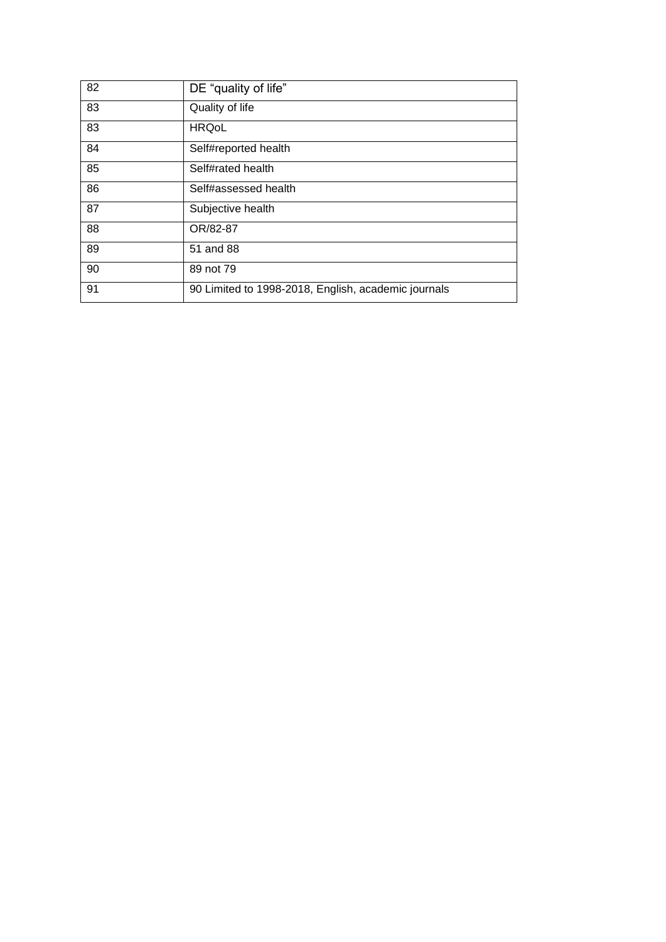| 82 | DE "quality of life"                                |
|----|-----------------------------------------------------|
| 83 | Quality of life                                     |
| 83 | <b>HRQoL</b>                                        |
| 84 | Self#reported health                                |
| 85 | Self#rated health                                   |
| 86 | Self#assessed health                                |
| 87 | Subjective health                                   |
| 88 | OR/82-87                                            |
| 89 | 51 and 88                                           |
| 90 | 89 not 79                                           |
| 91 | 90 Limited to 1998-2018, English, academic journals |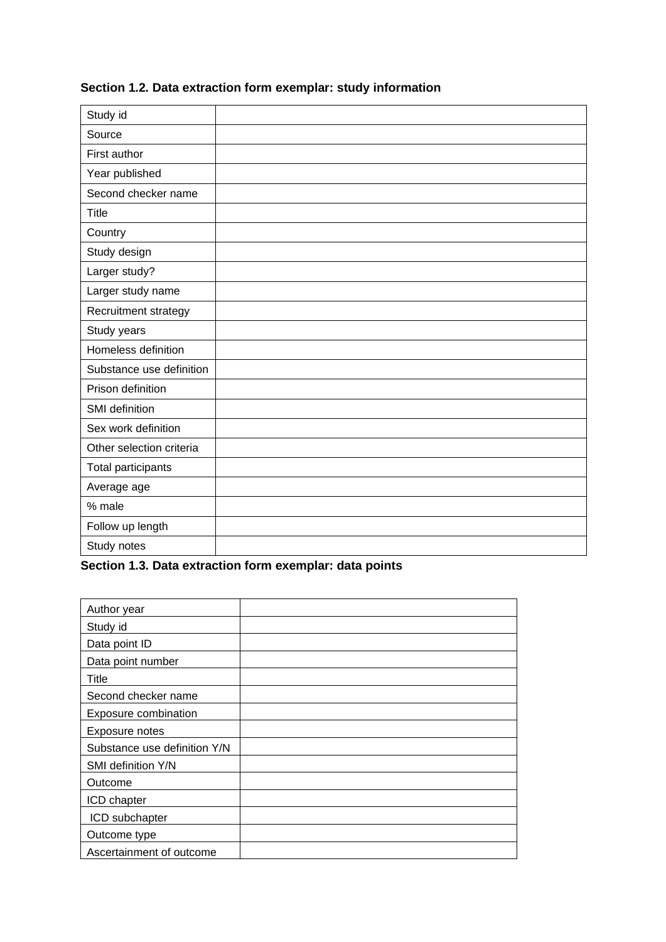| Study id                 |  |
|--------------------------|--|
| Source                   |  |
| First author             |  |
| Year published           |  |
| Second checker name      |  |
| Title                    |  |
| Country                  |  |
| Study design             |  |
| Larger study?            |  |
| Larger study name        |  |
| Recruitment strategy     |  |
| Study years              |  |
| Homeless definition      |  |
| Substance use definition |  |
| Prison definition        |  |
| SMI definition           |  |
| Sex work definition      |  |
| Other selection criteria |  |
| Total participants       |  |
| Average age              |  |
| % male                   |  |
| Follow up length         |  |
| Study notes              |  |

## **Section 1.2. Data extraction form exemplar: study information**

<span id="page-7-0"></span>**Section 1.3. Data extraction form exemplar: data points**

| Author year                  |  |
|------------------------------|--|
| Study id                     |  |
| Data point ID                |  |
| Data point number            |  |
| Title                        |  |
| Second checker name          |  |
| Exposure combination         |  |
| Exposure notes               |  |
| Substance use definition Y/N |  |
| SMI definition Y/N           |  |
| Outcome                      |  |
| ICD chapter                  |  |
| ICD subchapter               |  |
| Outcome type                 |  |
| Ascertainment of outcome     |  |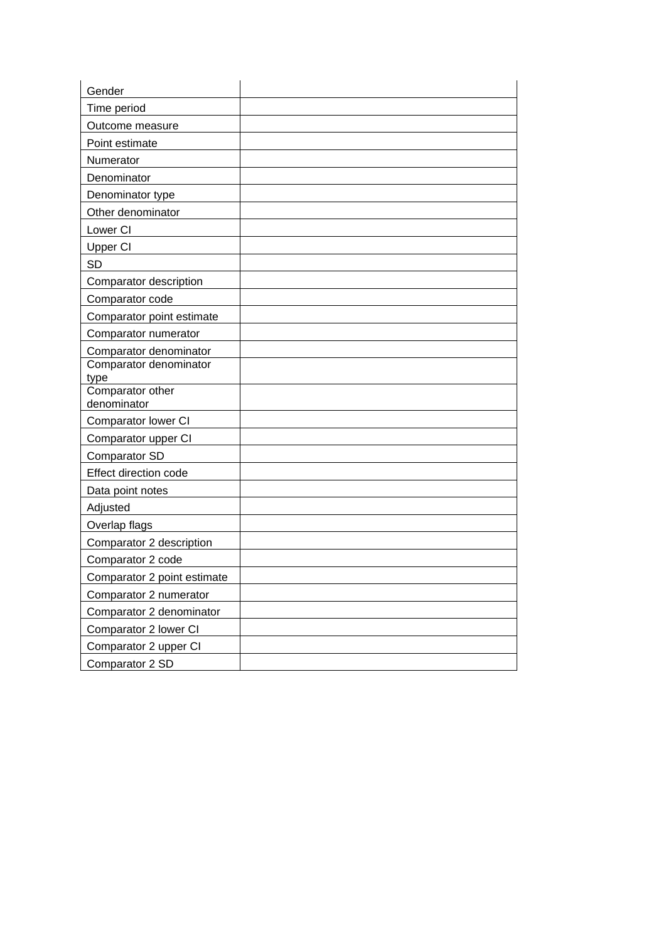| Gender                      |  |
|-----------------------------|--|
| Time period                 |  |
| Outcome measure             |  |
| Point estimate              |  |
| Numerator                   |  |
| Denominator                 |  |
| Denominator type            |  |
| Other denominator           |  |
| Lower CI                    |  |
| <b>Upper CI</b>             |  |
| <b>SD</b>                   |  |
| Comparator description      |  |
| Comparator code             |  |
| Comparator point estimate   |  |
| Comparator numerator        |  |
| Comparator denominator      |  |
| Comparator denominator      |  |
| type<br>Comparator other    |  |
| denominator                 |  |
| Comparator lower CI         |  |
| Comparator upper CI         |  |
| Comparator SD               |  |
| Effect direction code       |  |
| Data point notes            |  |
| Adjusted                    |  |
| Overlap flags               |  |
| Comparator 2 description    |  |
| Comparator 2 code           |  |
| Comparator 2 point estimate |  |
| Comparator 2 numerator      |  |
| Comparator 2 denominator    |  |
| Comparator 2 lower CI       |  |
| Comparator 2 upper CI       |  |
| Comparator 2 SD             |  |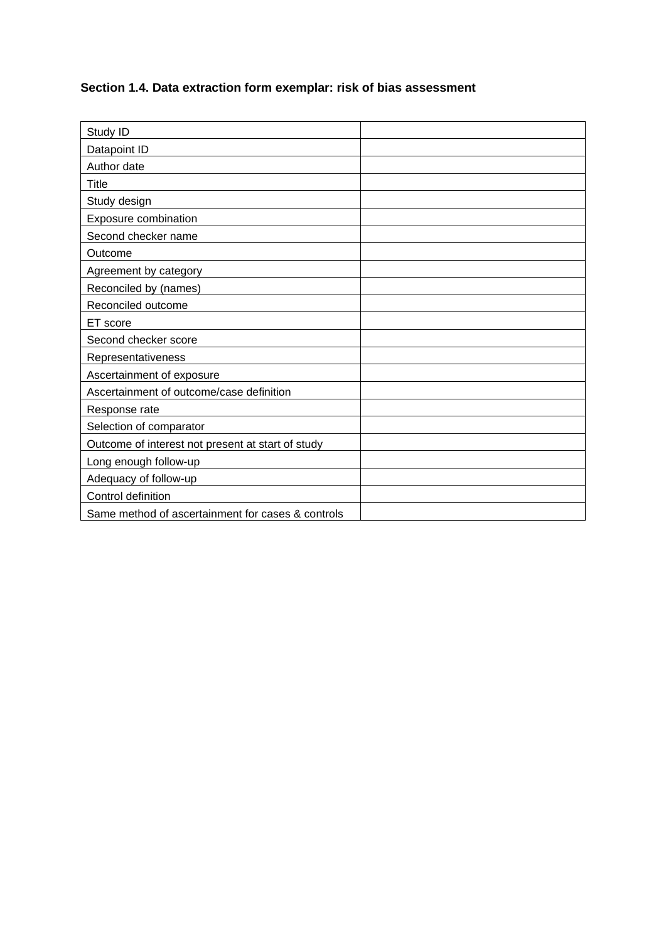## <span id="page-9-0"></span>**Section 1.4. Data extraction form exemplar: risk of bias assessment**

| Study ID                                          |  |
|---------------------------------------------------|--|
| Datapoint ID                                      |  |
| Author date                                       |  |
| Title                                             |  |
| Study design                                      |  |
| Exposure combination                              |  |
| Second checker name                               |  |
| Outcome                                           |  |
| Agreement by category                             |  |
| Reconciled by (names)                             |  |
| Reconciled outcome                                |  |
| ET score                                          |  |
| Second checker score                              |  |
| Representativeness                                |  |
| Ascertainment of exposure                         |  |
| Ascertainment of outcome/case definition          |  |
| Response rate                                     |  |
| Selection of comparator                           |  |
| Outcome of interest not present at start of study |  |
| Long enough follow-up                             |  |
| Adequacy of follow-up                             |  |
| Control definition                                |  |
| Same method of ascertainment for cases & controls |  |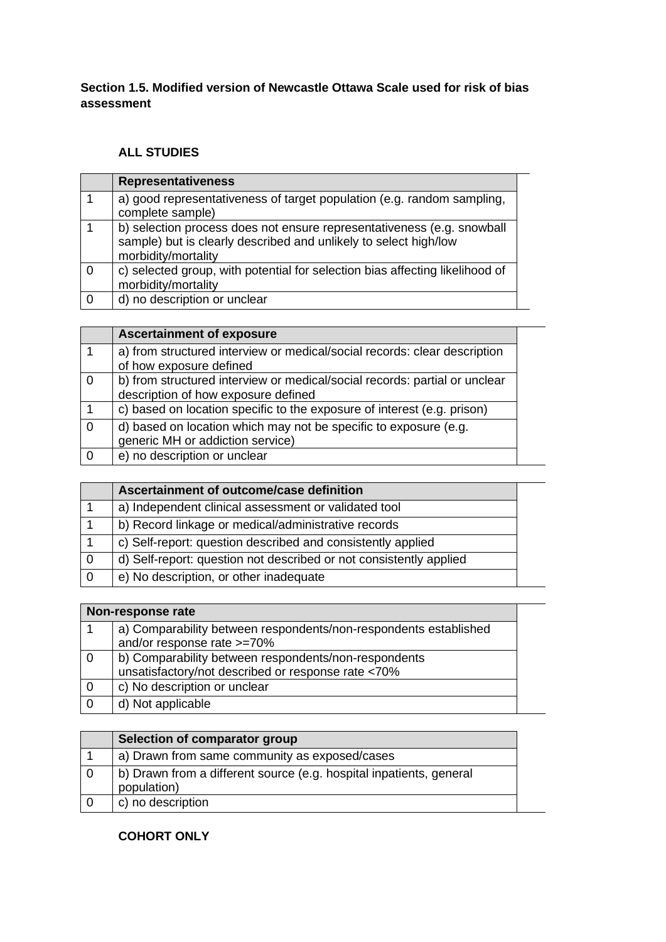#### **Section 1.5. Modified version of Newcastle Ottawa Scale used for risk of bias assessment**

#### **ALL STUDIES**

| <b>Representativeness</b>                                                                                                                                         |
|-------------------------------------------------------------------------------------------------------------------------------------------------------------------|
| a) good representativeness of target population (e.g. random sampling,<br>complete sample)                                                                        |
| b) selection process does not ensure representativeness (e.g. snowball<br>sample) but is clearly described and unlikely to select high/low<br>morbidity/mortality |
| c) selected group, with potential for selection bias affecting likelihood of<br>morbidity/mortality                                                               |
| d) no description or unclear                                                                                                                                      |

|                | <b>Ascertainment of exposure</b>                                                                                  |  |
|----------------|-------------------------------------------------------------------------------------------------------------------|--|
|                | a) from structured interview or medical/social records: clear description<br>of how exposure defined              |  |
|                |                                                                                                                   |  |
| $\overline{0}$ | b) from structured interview or medical/social records: partial or unclear<br>description of how exposure defined |  |
|                |                                                                                                                   |  |
|                | c) based on location specific to the exposure of interest (e.g. prison)                                           |  |
| $\overline{0}$ | d) based on location which may not be specific to exposure (e.g.                                                  |  |
|                | generic MH or addiction service)                                                                                  |  |
| 0              | e) no description or unclear                                                                                      |  |

| Ascertainment of outcome/case definition                           |
|--------------------------------------------------------------------|
| a) Independent clinical assessment or validated tool               |
| b) Record linkage or medical/administrative records                |
| c) Self-report: question described and consistently applied        |
| d) Self-report: question not described or not consistently applied |
| e) No description, or other inadequate                             |

| Non-response rate                                                |  |
|------------------------------------------------------------------|--|
| a) Comparability between respondents/non-respondents established |  |
| and/or response rate >=70%                                       |  |
| b) Comparability between respondents/non-respondents             |  |
| unsatisfactory/not described or response rate <70%               |  |
| c) No description or unclear                                     |  |
| d) Not applicable                                                |  |

|   | Selection of comparator group                                                      |
|---|------------------------------------------------------------------------------------|
|   | a) Drawn from same community as exposed/cases                                      |
|   | b) Drawn from a different source (e.g. hospital inpatients, general<br>population) |
| 0 | c) no description                                                                  |

#### **COHORT ONLY**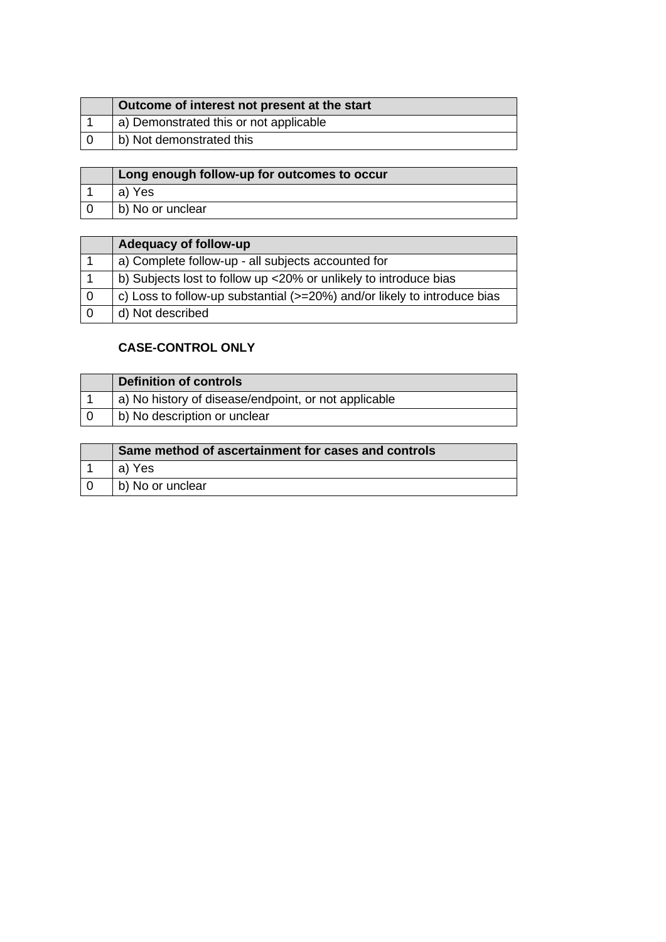| Outcome of interest not present at the start |
|----------------------------------------------|
| a) Demonstrated this or not applicable       |
| b) Not demonstrated this                     |

| Long enough follow-up for outcomes to occur |
|---------------------------------------------|
| a) Yes                                      |
| b) No or unclear                            |

|                | Adequacy of follow-up                                                    |
|----------------|--------------------------------------------------------------------------|
|                | a) Complete follow-up - all subjects accounted for                       |
|                | b) Subjects lost to follow up <20% or unlikely to introduce bias         |
| $\Omega$       | c) Loss to follow-up substantial (>=20%) and/or likely to introduce bias |
| $\overline{0}$ | d) Not described                                                         |

### **CASE-CONTROL ONLY**

|     | <b>Definition of controls</b>                        |
|-----|------------------------------------------------------|
|     | a) No history of disease/endpoint, or not applicable |
| l O | b) No description or unclear                         |

| Same method of ascertainment for cases and controls |
|-----------------------------------------------------|
| a) Yes                                              |
| b) No or unclear                                    |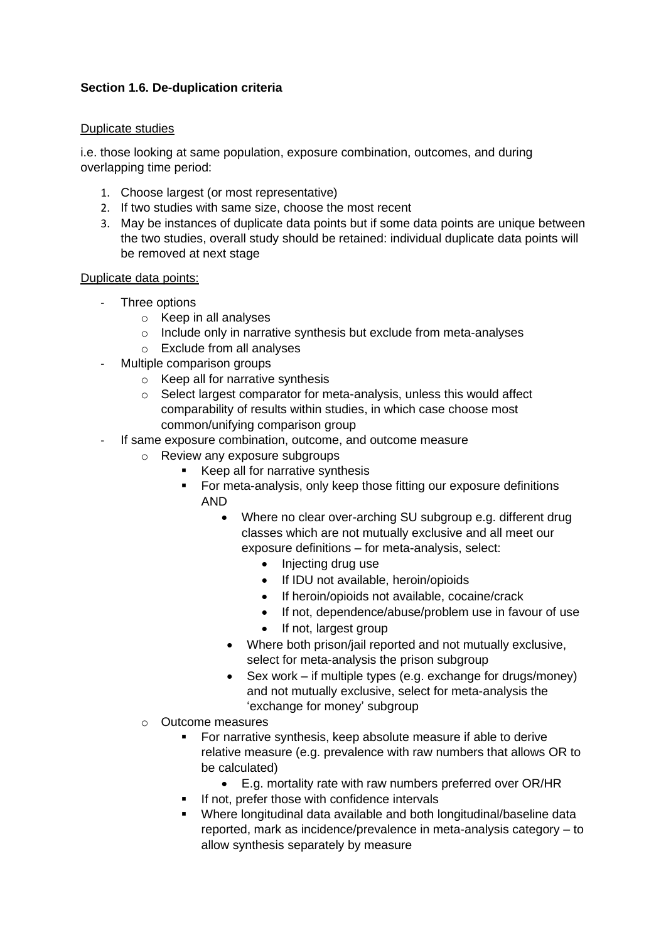#### <span id="page-12-0"></span>**Section 1.6. De-duplication criteria**

#### Duplicate studies

i.e. those looking at same population, exposure combination, outcomes, and during overlapping time period:

- 1. Choose largest (or most representative)
- 2. If two studies with same size, choose the most recent
- 3. May be instances of duplicate data points but if some data points are unique between the two studies, overall study should be retained: individual duplicate data points will be removed at next stage

## Duplicate data points:

- Three options
	- o Keep in all analyses
	- $\circ$  Include only in narrative synthesis but exclude from meta-analyses
	- o Exclude from all analyses
- Multiple comparison groups
	- o Keep all for narrative synthesis
	- o Select largest comparator for meta-analysis, unless this would affect comparability of results within studies, in which case choose most common/unifying comparison group
- If same exposure combination, outcome, and outcome measure
	- o Review any exposure subgroups
		- Keep all for narrative synthesis
		- For meta-analysis, only keep those fitting our exposure definitions AND
			- Where no clear over-arching SU subgroup e.g. different drug classes which are not mutually exclusive and all meet our exposure definitions – for meta-analysis, select:
				- Injecting drug use
				- If IDU not available, heroin/opioids
				- If heroin/opioids not available, cocaine/crack
				- If not, dependence/abuse/problem use in favour of use
				- If not, largest group
			- Where both prison/jail reported and not mutually exclusive, select for meta-analysis the prison subgroup
			- Sex work if multiple types (e.g. exchange for drugs/money) and not mutually exclusive, select for meta-analysis the 'exchange for money' subgroup
	- o Outcome measures
		- For narrative synthesis, keep absolute measure if able to derive relative measure (e.g. prevalence with raw numbers that allows OR to be calculated)
			- E.g. mortality rate with raw numbers preferred over OR/HR
		- If not, prefer those with confidence intervals
		- Where longitudinal data available and both longitudinal/baseline data reported, mark as incidence/prevalence in meta-analysis category – to allow synthesis separately by measure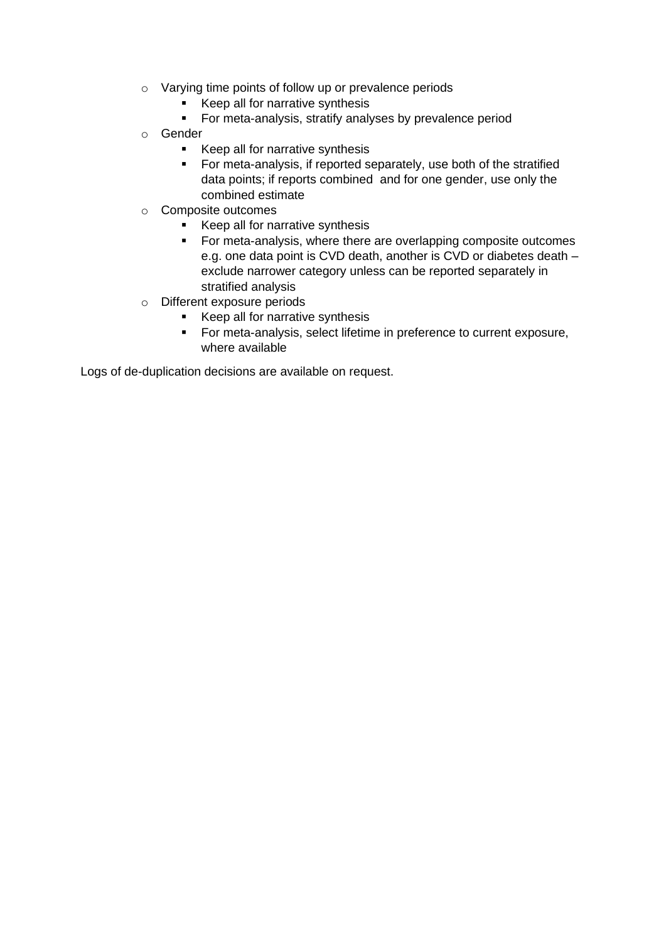- o Varying time points of follow up or prevalence periods
	- Keep all for narrative synthesis<br>■ For meta-analysis, stratify analy
	- For meta-analysis, stratify analyses by prevalence period
- o Gender
	- Keep all for narrative synthesis
	- For meta-analysis, if reported separately, use both of the stratified data points; if reports combined and for one gender, use only the combined estimate
- o Composite outcomes
	- Keep all for narrative synthesis
	- For meta-analysis, where there are overlapping composite outcomes e.g. one data point is CVD death, another is CVD or diabetes death – exclude narrower category unless can be reported separately in stratified analysis
- o Different exposure periods
	- Keep all for narrative synthesis
	- For meta-analysis, select lifetime in preference to current exposure, where available

Logs of de-duplication decisions are available on request.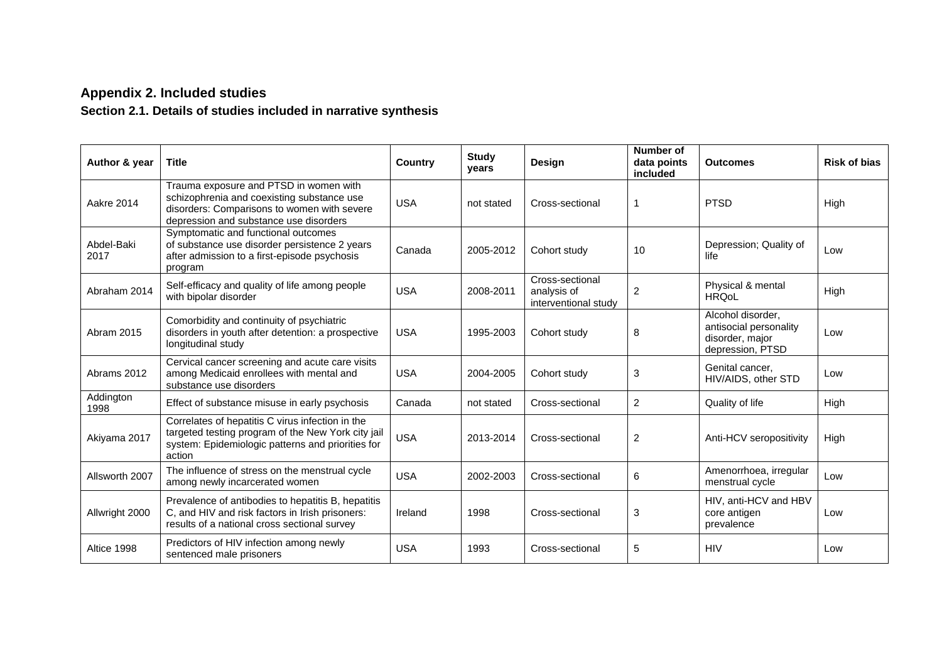## **Appendix 2. Included studies**

# **Section 2.1. Details of studies included in narrative synthesis**

<span id="page-14-1"></span><span id="page-14-0"></span>

| Author & year      | <b>Title</b>                                                                                                                                                                  | <b>Country</b> | <b>Study</b><br>years | <b>Design</b>                                          | Number of<br>data points<br>included | <b>Outcomes</b>                                                                    | <b>Risk of bias</b> |
|--------------------|-------------------------------------------------------------------------------------------------------------------------------------------------------------------------------|----------------|-----------------------|--------------------------------------------------------|--------------------------------------|------------------------------------------------------------------------------------|---------------------|
| <b>Aakre 2014</b>  | Trauma exposure and PTSD in women with<br>schizophrenia and coexisting substance use<br>disorders: Comparisons to women with severe<br>depression and substance use disorders | <b>USA</b>     | not stated            | Cross-sectional                                        | -1                                   | <b>PTSD</b>                                                                        | High                |
| Abdel-Baki<br>2017 | Symptomatic and functional outcomes<br>of substance use disorder persistence 2 years<br>after admission to a first-episode psychosis<br>program                               | Canada         | 2005-2012             | Cohort study                                           | 10                                   | Depression; Quality of<br>life                                                     | Low                 |
| Abraham 2014       | Self-efficacy and quality of life among people<br>with bipolar disorder                                                                                                       | <b>USA</b>     | 2008-2011             | Cross-sectional<br>analysis of<br>interventional study | 2                                    | Physical & mental<br><b>HROoL</b>                                                  | High                |
| Abram 2015         | Comorbidity and continuity of psychiatric<br>disorders in youth after detention: a prospective<br>longitudinal study                                                          | <b>USA</b>     | 1995-2003             | Cohort study                                           | 8                                    | Alcohol disorder.<br>antisocial personality<br>disorder, major<br>depression, PTSD | Low                 |
| Abrams 2012        | Cervical cancer screening and acute care visits<br>among Medicaid enrollees with mental and<br>substance use disorders                                                        | <b>USA</b>     | 2004-2005             | Cohort study                                           | 3                                    | Genital cancer.<br>HIV/AIDS, other STD                                             | Low                 |
| Addington<br>1998  | Effect of substance misuse in early psychosis                                                                                                                                 | Canada         | not stated            | Cross-sectional                                        | 2                                    | Quality of life                                                                    | High                |
| Akiyama 2017       | Correlates of hepatitis C virus infection in the<br>targeted testing program of the New York city jail<br>system: Epidemiologic patterns and priorities for<br>action         | <b>USA</b>     | 2013-2014             | Cross-sectional                                        | $\overline{2}$                       | Anti-HCV seropositivity                                                            | High                |
| Allsworth 2007     | The influence of stress on the menstrual cycle<br>among newly incarcerated women                                                                                              | <b>USA</b>     | 2002-2003             | Cross-sectional                                        | 6                                    | Amenorrhoea, irregular<br>menstrual cycle                                          | Low                 |
| Allwright 2000     | Prevalence of antibodies to hepatitis B, hepatitis<br>C, and HIV and risk factors in Irish prisoners:<br>results of a national cross sectional survey                         | Ireland        | 1998                  | Cross-sectional                                        | 3                                    | HIV, anti-HCV and HBV<br>core antigen<br>prevalence                                | Low                 |
| Altice 1998        | Predictors of HIV infection among newly<br>sentenced male prisoners                                                                                                           | <b>USA</b>     | 1993                  | Cross-sectional                                        | 5                                    | <b>HIV</b>                                                                         | Low                 |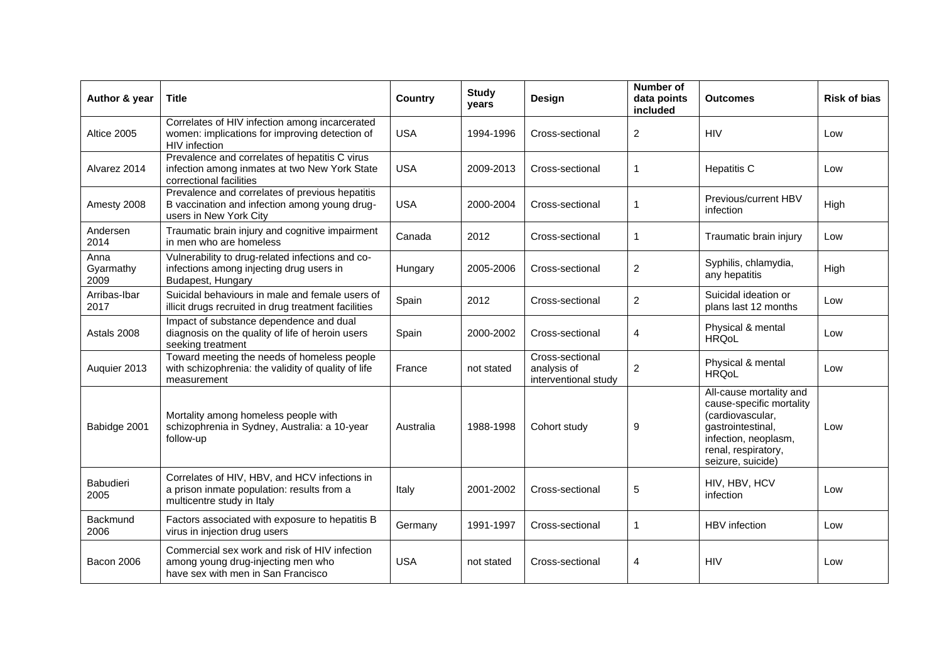| Author & year             | <b>Title</b>                                                                                                               | <b>Country</b> | <b>Study</b><br>years | <b>Design</b>                                          | Number of<br>data points<br>included | <b>Outcomes</b>                                                                                                                                                  | <b>Risk of bias</b> |
|---------------------------|----------------------------------------------------------------------------------------------------------------------------|----------------|-----------------------|--------------------------------------------------------|--------------------------------------|------------------------------------------------------------------------------------------------------------------------------------------------------------------|---------------------|
| Altice 2005               | Correlates of HIV infection among incarcerated<br>women: implications for improving detection of<br>HIV infection          | <b>USA</b>     | 1994-1996             | Cross-sectional                                        | $\overline{2}$                       | <b>HIV</b>                                                                                                                                                       | Low                 |
| Alvarez 2014              | Prevalence and correlates of hepatitis C virus<br>infection among inmates at two New York State<br>correctional facilities | <b>USA</b>     | 2009-2013             | Cross-sectional                                        | 1                                    | <b>Hepatitis C</b>                                                                                                                                               | Low                 |
| Amesty 2008               | Prevalence and correlates of previous hepatitis<br>B vaccination and infection among young drug-<br>users in New York City | <b>USA</b>     | 2000-2004             | Cross-sectional                                        | 1                                    | Previous/current HBV<br>infection                                                                                                                                | High                |
| Andersen<br>2014          | Traumatic brain injury and cognitive impairment<br>in men who are homeless                                                 | Canada         | 2012                  | Cross-sectional                                        | 1                                    | Traumatic brain injury                                                                                                                                           | Low                 |
| Anna<br>Gyarmathy<br>2009 | Vulnerability to drug-related infections and co-<br>infections among injecting drug users in<br>Budapest, Hungary          | Hungary        | 2005-2006             | Cross-sectional                                        | $\overline{2}$                       | Syphilis, chlamydia,<br>any hepatitis                                                                                                                            | High                |
| Arribas-Ibar<br>2017      | Suicidal behaviours in male and female users of<br>illicit drugs recruited in drug treatment facilities                    | Spain          | 2012                  | Cross-sectional                                        | $\overline{2}$                       | Suicidal ideation or<br>plans last 12 months                                                                                                                     | Low                 |
| Astals 2008               | Impact of substance dependence and dual<br>diagnosis on the quality of life of heroin users<br>seeking treatment           | Spain          | 2000-2002             | Cross-sectional                                        | 4                                    | Physical & mental<br><b>HRQoL</b>                                                                                                                                | Low                 |
| Auquier 2013              | Toward meeting the needs of homeless people<br>with schizophrenia: the validity of quality of life<br>measurement          | France         | not stated            | Cross-sectional<br>analysis of<br>interventional study | $\overline{2}$                       | Physical & mental<br><b>HRQoL</b>                                                                                                                                | Low                 |
| Babidge 2001              | Mortality among homeless people with<br>schizophrenia in Sydney, Australia: a 10-year<br>follow-up                         | Australia      | 1988-1998             | Cohort study                                           | 9                                    | All-cause mortality and<br>cause-specific mortality<br>(cardiovascular,<br>gastrointestinal,<br>infection, neoplasm,<br>renal, respiratory,<br>seizure, suicide) | Low                 |
| <b>Babudieri</b><br>2005  | Correlates of HIV, HBV, and HCV infections in<br>a prison inmate population: results from a<br>multicentre study in Italy  | Italy          | 2001-2002             | Cross-sectional                                        | 5                                    | HIV, HBV, HCV<br>infection                                                                                                                                       | Low                 |
| Backmund<br>2006          | Factors associated with exposure to hepatitis B<br>virus in injection drug users                                           | Germany        | 1991-1997             | Cross-sectional                                        | 1                                    | <b>HBV</b> infection                                                                                                                                             | Low                 |
| <b>Bacon 2006</b>         | Commercial sex work and risk of HIV infection<br>among young drug-injecting men who<br>have sex with men in San Francisco  | <b>USA</b>     | not stated            | Cross-sectional                                        | 4                                    | <b>HIV</b>                                                                                                                                                       | Low                 |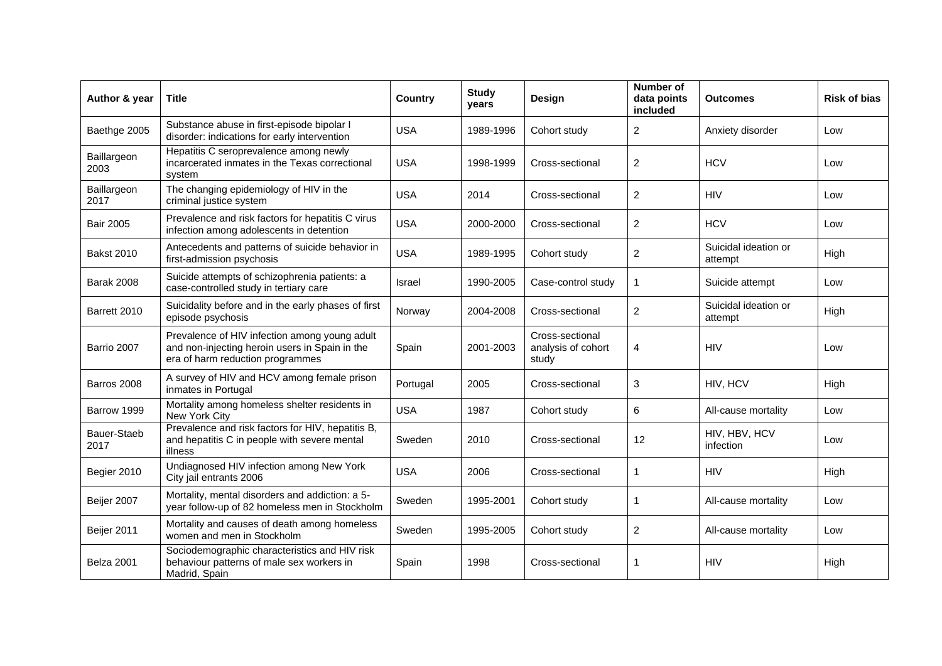| Author & year       | <b>Title</b>                                                                                                                        | Country    | <b>Study</b><br>years | Design                                         | Number of<br>data points<br>included | <b>Outcomes</b>                 | <b>Risk of bias</b> |
|---------------------|-------------------------------------------------------------------------------------------------------------------------------------|------------|-----------------------|------------------------------------------------|--------------------------------------|---------------------------------|---------------------|
| Baethge 2005        | Substance abuse in first-episode bipolar I<br>disorder: indications for early intervention                                          | <b>USA</b> | 1989-1996             | Cohort study                                   | $\overline{2}$                       | Anxiety disorder                | Low                 |
| Baillargeon<br>2003 | Hepatitis C seroprevalence among newly<br>incarcerated inmates in the Texas correctional<br>system                                  | <b>USA</b> | 1998-1999             | Cross-sectional                                | $\overline{2}$                       | <b>HCV</b>                      | Low                 |
| Baillargeon<br>2017 | The changing epidemiology of HIV in the<br>criminal justice system                                                                  | <b>USA</b> | 2014                  | Cross-sectional                                | $\overline{2}$                       | <b>HIV</b>                      | Low                 |
| <b>Bair 2005</b>    | Prevalence and risk factors for hepatitis C virus<br>infection among adolescents in detention                                       | <b>USA</b> | 2000-2000             | Cross-sectional                                | $\overline{2}$                       | <b>HCV</b>                      | Low                 |
| <b>Bakst 2010</b>   | Antecedents and patterns of suicide behavior in<br>first-admission psychosis                                                        | <b>USA</b> | 1989-1995             | Cohort study                                   | $\overline{2}$                       | Suicidal ideation or<br>attempt | High                |
| <b>Barak 2008</b>   | Suicide attempts of schizophrenia patients: a<br>case-controlled study in tertiary care                                             | Israel     | 1990-2005             | Case-control study                             | 1                                    | Suicide attempt                 | Low                 |
| Barrett 2010        | Suicidality before and in the early phases of first<br>episode psychosis                                                            | Norway     | 2004-2008             | Cross-sectional                                | $\overline{2}$                       | Suicidal ideation or<br>attempt | High                |
| Barrio 2007         | Prevalence of HIV infection among young adult<br>and non-injecting heroin users in Spain in the<br>era of harm reduction programmes | Spain      | 2001-2003             | Cross-sectional<br>analysis of cohort<br>study | 4                                    | <b>HIV</b>                      | Low                 |
| Barros 2008         | A survey of HIV and HCV among female prison<br>inmates in Portugal                                                                  | Portugal   | 2005                  | Cross-sectional                                | 3                                    | HIV, HCV                        | High                |
| Barrow 1999         | Mortality among homeless shelter residents in<br>New York City                                                                      | <b>USA</b> | 1987                  | Cohort study                                   | 6                                    | All-cause mortality             | Low                 |
| Bauer-Staeb<br>2017 | Prevalence and risk factors for HIV, hepatitis B,<br>and hepatitis C in people with severe mental<br>illness                        | Sweden     | 2010                  | Cross-sectional                                | 12                                   | HIV, HBV, HCV<br>infection      | Low                 |
| Begier 2010         | Undiagnosed HIV infection among New York<br>City jail entrants 2006                                                                 | <b>USA</b> | 2006                  | Cross-sectional                                | 1                                    | <b>HIV</b>                      | High                |
| Beijer 2007         | Mortality, mental disorders and addiction: a 5-<br>year follow-up of 82 homeless men in Stockholm                                   | Sweden     | 1995-2001             | Cohort study                                   | 1                                    | All-cause mortality             | Low                 |
| Beijer 2011         | Mortality and causes of death among homeless<br>women and men in Stockholm                                                          | Sweden     | 1995-2005             | Cohort study                                   | $\overline{2}$                       | All-cause mortality             | Low                 |
| Belza 2001          | Sociodemographic characteristics and HIV risk<br>behaviour patterns of male sex workers in<br>Madrid, Spain                         | Spain      | 1998                  | Cross-sectional                                | 1                                    | <b>HIV</b>                      | High                |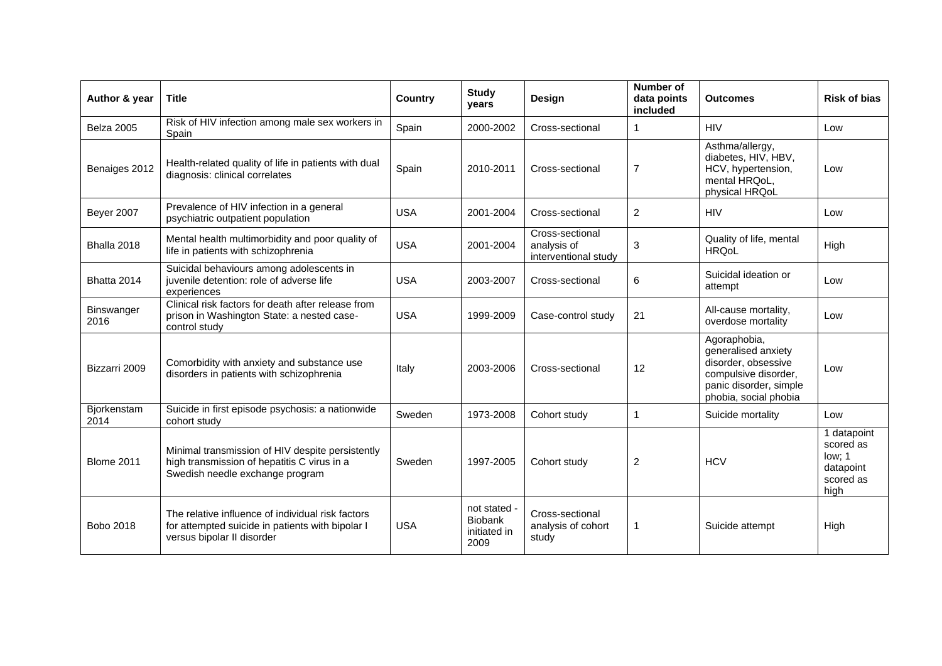| Author & year       | <b>Title</b>                                                                                                                        | <b>Country</b> | <b>Study</b><br>vears                                  | Design                                                 | Number of<br>data points<br>included | <b>Outcomes</b>                                                                                                                       | <b>Risk of bias</b>                                                  |
|---------------------|-------------------------------------------------------------------------------------------------------------------------------------|----------------|--------------------------------------------------------|--------------------------------------------------------|--------------------------------------|---------------------------------------------------------------------------------------------------------------------------------------|----------------------------------------------------------------------|
| <b>Belza 2005</b>   | Risk of HIV infection among male sex workers in<br>Spain                                                                            | Spain          | 2000-2002                                              | Cross-sectional                                        | -1                                   | <b>HIV</b>                                                                                                                            | Low                                                                  |
| Benaiges 2012       | Health-related quality of life in patients with dual<br>diagnosis: clinical correlates                                              | Spain          | 2010-2011                                              | Cross-sectional                                        | $\overline{7}$                       | Asthma/allergy,<br>diabetes, HIV, HBV,<br>HCV, hypertension,<br>mental HRQoL,<br>physical HRQoL                                       | Low                                                                  |
| <b>Beyer 2007</b>   | Prevalence of HIV infection in a general<br>psychiatric outpatient population                                                       | <b>USA</b>     | 2001-2004                                              | Cross-sectional                                        | $\overline{2}$                       | <b>HIV</b>                                                                                                                            | Low                                                                  |
| Bhalla 2018         | Mental health multimorbidity and poor quality of<br>life in patients with schizophrenia                                             | <b>USA</b>     | 2001-2004                                              | Cross-sectional<br>analysis of<br>interventional study | 3                                    | Quality of life, mental<br><b>HRQoL</b>                                                                                               | High                                                                 |
| Bhatta 2014         | Suicidal behaviours among adolescents in<br>juvenile detention: role of adverse life<br>experiences                                 | <b>USA</b>     | 2003-2007                                              | Cross-sectional                                        | 6                                    | Suicidal ideation or<br>attempt                                                                                                       | Low                                                                  |
| Binswanger<br>2016  | Clinical risk factors for death after release from<br>prison in Washington State: a nested case-<br>control study                   | <b>USA</b>     | 1999-2009                                              | Case-control study                                     | 21                                   | All-cause mortality,<br>overdose mortality                                                                                            | Low                                                                  |
| Bizzarri 2009       | Comorbidity with anxiety and substance use<br>disorders in patients with schizophrenia                                              | Italy          | 2003-2006                                              | Cross-sectional                                        | 12                                   | Agoraphobia,<br>generalised anxiety<br>disorder, obsessive<br>compulsive disorder.<br>panic disorder, simple<br>phobia, social phobia | Low                                                                  |
| Bjorkenstam<br>2014 | Suicide in first episode psychosis: a nationwide<br>cohort study                                                                    | Sweden         | 1973-2008                                              | Cohort study                                           | 1                                    | Suicide mortality                                                                                                                     | Low                                                                  |
| <b>Blome 2011</b>   | Minimal transmission of HIV despite persistently<br>high transmission of hepatitis C virus in a<br>Swedish needle exchange program  | Sweden         | 1997-2005                                              | Cohort study                                           | $\overline{c}$                       | <b>HCV</b>                                                                                                                            | 1 datapoint<br>scored as<br>low; 1<br>datapoint<br>scored as<br>high |
| Bobo 2018           | The relative influence of individual risk factors<br>for attempted suicide in patients with bipolar I<br>versus bipolar II disorder | <b>USA</b>     | not stated -<br><b>Biobank</b><br>initiated in<br>2009 | Cross-sectional<br>analysis of cohort<br>study         | $\mathbf{1}$                         | Suicide attempt                                                                                                                       | High                                                                 |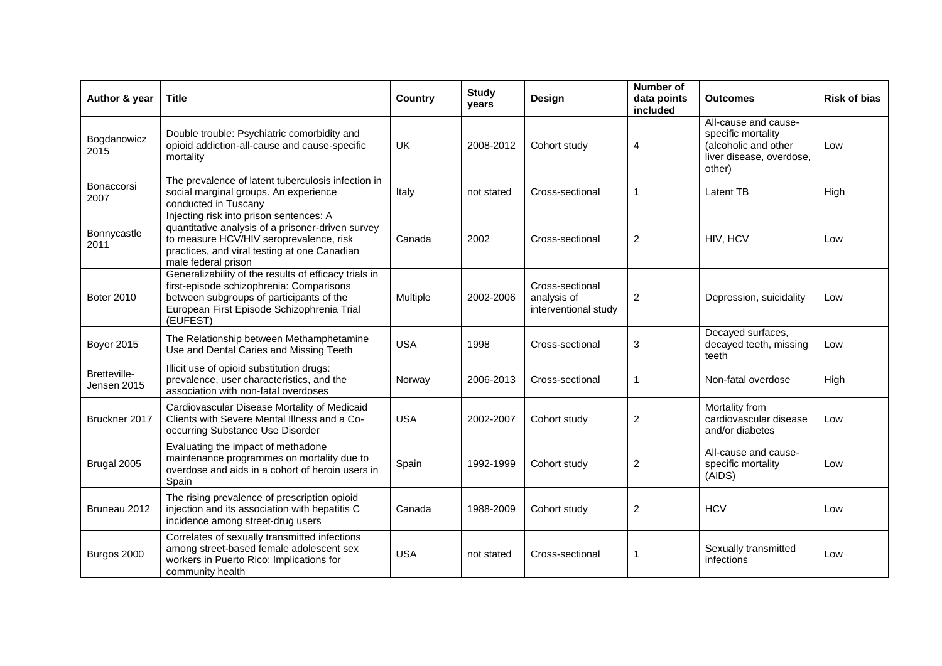| Author & year               | <b>Title</b>                                                                                                                                                                                                   | <b>Country</b> | <b>Study</b><br>years | Design                                                 | <b>Number of</b><br>data points<br>included | <b>Outcomes</b>                                                                                          | <b>Risk of bias</b> |
|-----------------------------|----------------------------------------------------------------------------------------------------------------------------------------------------------------------------------------------------------------|----------------|-----------------------|--------------------------------------------------------|---------------------------------------------|----------------------------------------------------------------------------------------------------------|---------------------|
| Bogdanowicz<br>2015         | Double trouble: Psychiatric comorbidity and<br>opioid addiction-all-cause and cause-specific<br>mortality                                                                                                      | UK             | 2008-2012             | Cohort study                                           | 4                                           | All-cause and cause-<br>specific mortality<br>(alcoholic and other<br>liver disease, overdose,<br>other) | Low                 |
| Bonaccorsi<br>2007          | The prevalence of latent tuberculosis infection in<br>social marginal groups. An experience<br>conducted in Tuscany                                                                                            | Italy          | not stated            | Cross-sectional                                        | 1                                           | Latent TB                                                                                                | High                |
| Bonnycastle<br>2011         | Injecting risk into prison sentences: A<br>quantitative analysis of a prisoner-driven survey<br>to measure HCV/HIV seroprevalence, risk<br>practices, and viral testing at one Canadian<br>male federal prison | Canada         | 2002                  | Cross-sectional                                        | $\overline{2}$                              | HIV, HCV                                                                                                 | Low                 |
| <b>Boter 2010</b>           | Generalizability of the results of efficacy trials in<br>first-episode schizophrenia: Comparisons<br>between subgroups of participants of the<br>European First Episode Schizophrenia Trial<br>(EUFEST)        | Multiple       | 2002-2006             | Cross-sectional<br>analysis of<br>interventional study | $\overline{2}$                              | Depression, suicidality                                                                                  | Low                 |
| <b>Boyer 2015</b>           | The Relationship between Methamphetamine<br>Use and Dental Caries and Missing Teeth                                                                                                                            | <b>USA</b>     | 1998                  | Cross-sectional                                        | 3                                           | Decayed surfaces,<br>decayed teeth, missing<br>teeth                                                     | Low                 |
| Bretteville-<br>Jensen 2015 | Illicit use of opioid substitution drugs:<br>prevalence, user characteristics, and the<br>association with non-fatal overdoses                                                                                 | Norway         | 2006-2013             | Cross-sectional                                        | $\mathbf{1}$                                | Non-fatal overdose                                                                                       | High                |
| Bruckner 2017               | Cardiovascular Disease Mortality of Medicaid<br>Clients with Severe Mental Illness and a Co-<br>occurring Substance Use Disorder                                                                               | <b>USA</b>     | 2002-2007             | Cohort study                                           | $\overline{c}$                              | Mortality from<br>cardiovascular disease<br>and/or diabetes                                              | Low                 |
| Brugal 2005                 | Evaluating the impact of methadone<br>maintenance programmes on mortality due to<br>overdose and aids in a cohort of heroin users in<br>Spain                                                                  | Spain          | 1992-1999             | Cohort study                                           | $\overline{c}$                              | All-cause and cause-<br>specific mortality<br>(AIDS)                                                     | Low                 |
| Bruneau 2012                | The rising prevalence of prescription opioid<br>injection and its association with hepatitis C<br>incidence among street-drug users                                                                            | Canada         | 1988-2009             | Cohort study                                           | $\overline{\mathbf{c}}$                     | <b>HCV</b>                                                                                               | Low                 |
| Burgos 2000                 | Correlates of sexually transmitted infections<br>among street-based female adolescent sex<br>workers in Puerto Rico: Implications for<br>community health                                                      | <b>USA</b>     | not stated            | Cross-sectional                                        | 1                                           | Sexually transmitted<br>infections                                                                       | Low                 |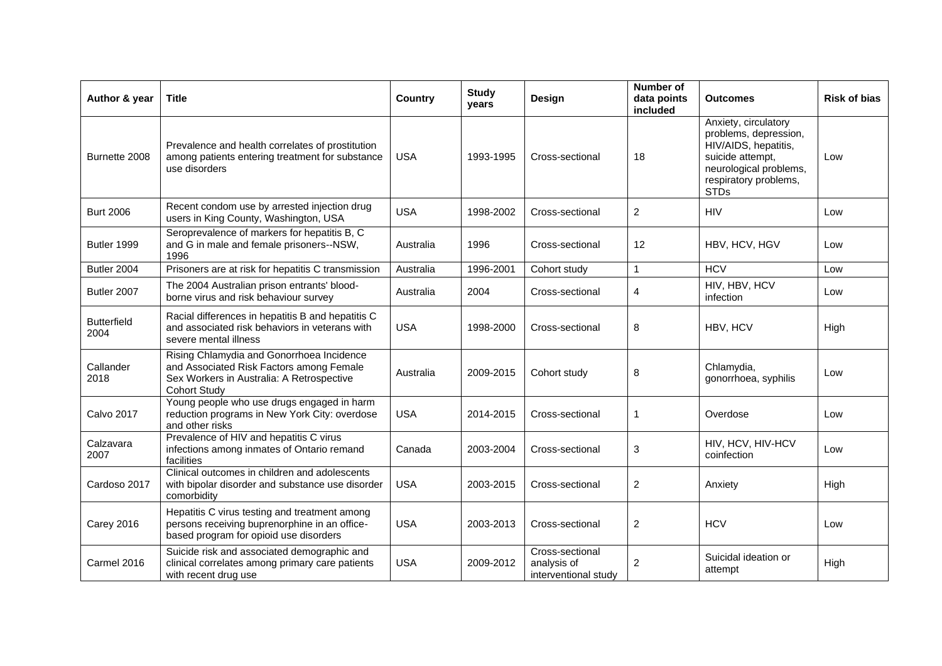| Author & year              | <b>Title</b>                                                                                                                                              | Country    | <b>Study</b><br>years | Design                                                 | Number of<br>data points<br>included | <b>Outcomes</b>                                                                                                                                             | <b>Risk of bias</b> |
|----------------------------|-----------------------------------------------------------------------------------------------------------------------------------------------------------|------------|-----------------------|--------------------------------------------------------|--------------------------------------|-------------------------------------------------------------------------------------------------------------------------------------------------------------|---------------------|
| Burnette 2008              | Prevalence and health correlates of prostitution<br>among patients entering treatment for substance<br>use disorders                                      | <b>USA</b> | 1993-1995             | Cross-sectional                                        | 18                                   | Anxiety, circulatory<br>problems, depression,<br>HIV/AIDS, hepatitis,<br>suicide attempt,<br>neurological problems,<br>respiratory problems,<br><b>STDs</b> | Low                 |
| <b>Burt 2006</b>           | Recent condom use by arrested injection drug<br>users in King County, Washington, USA                                                                     | <b>USA</b> | 1998-2002             | Cross-sectional                                        | $\overline{2}$                       | <b>HIV</b>                                                                                                                                                  | Low                 |
| Butler 1999                | Seroprevalence of markers for hepatitis B, C<br>and G in male and female prisoners--NSW,<br>1996                                                          | Australia  | 1996                  | Cross-sectional                                        | 12                                   | HBV, HCV, HGV                                                                                                                                               | Low                 |
| Butler 2004                | Prisoners are at risk for hepatitis C transmission                                                                                                        | Australia  | 1996-2001             | Cohort study                                           | 1                                    | <b>HCV</b>                                                                                                                                                  | Low                 |
| Butler 2007                | The 2004 Australian prison entrants' blood-<br>borne virus and risk behaviour survey                                                                      | Australia  | 2004                  | Cross-sectional                                        | 4                                    | HIV, HBV, HCV<br>infection                                                                                                                                  | Low                 |
| <b>Butterfield</b><br>2004 | Racial differences in hepatitis B and hepatitis C<br>and associated risk behaviors in veterans with<br>severe mental illness                              | <b>USA</b> | 1998-2000             | Cross-sectional                                        | 8                                    | HBV, HCV                                                                                                                                                    | High                |
| Callander<br>2018          | Rising Chlamydia and Gonorrhoea Incidence<br>and Associated Risk Factors among Female<br>Sex Workers in Australia: A Retrospective<br><b>Cohort Study</b> | Australia  | 2009-2015             | Cohort study                                           | 8                                    | Chlamydia,<br>gonorrhoea, syphilis                                                                                                                          | Low                 |
| <b>Calvo 2017</b>          | Young people who use drugs engaged in harm<br>reduction programs in New York City: overdose<br>and other risks                                            | <b>USA</b> | 2014-2015             | Cross-sectional                                        | 1                                    | Overdose                                                                                                                                                    | Low                 |
| Calzavara<br>2007          | Prevalence of HIV and hepatitis C virus<br>infections among inmates of Ontario remand<br>facilities                                                       | Canada     | 2003-2004             | Cross-sectional                                        | 3                                    | HIV, HCV, HIV-HCV<br>coinfection                                                                                                                            | Low                 |
| Cardoso 2017               | Clinical outcomes in children and adolescents<br>with bipolar disorder and substance use disorder<br>comorbidity                                          | <b>USA</b> | 2003-2015             | Cross-sectional                                        | $\boldsymbol{2}$                     | Anxiety                                                                                                                                                     | High                |
| <b>Carey 2016</b>          | Hepatitis C virus testing and treatment among<br>persons receiving buprenorphine in an office-<br>based program for opioid use disorders                  | <b>USA</b> | 2003-2013             | Cross-sectional                                        | $\overline{c}$                       | <b>HCV</b>                                                                                                                                                  | Low                 |
| Carmel 2016                | Suicide risk and associated demographic and<br>clinical correlates among primary care patients<br>with recent drug use                                    | <b>USA</b> | 2009-2012             | Cross-sectional<br>analysis of<br>interventional study | $\overline{c}$                       | Suicidal ideation or<br>attempt                                                                                                                             | High                |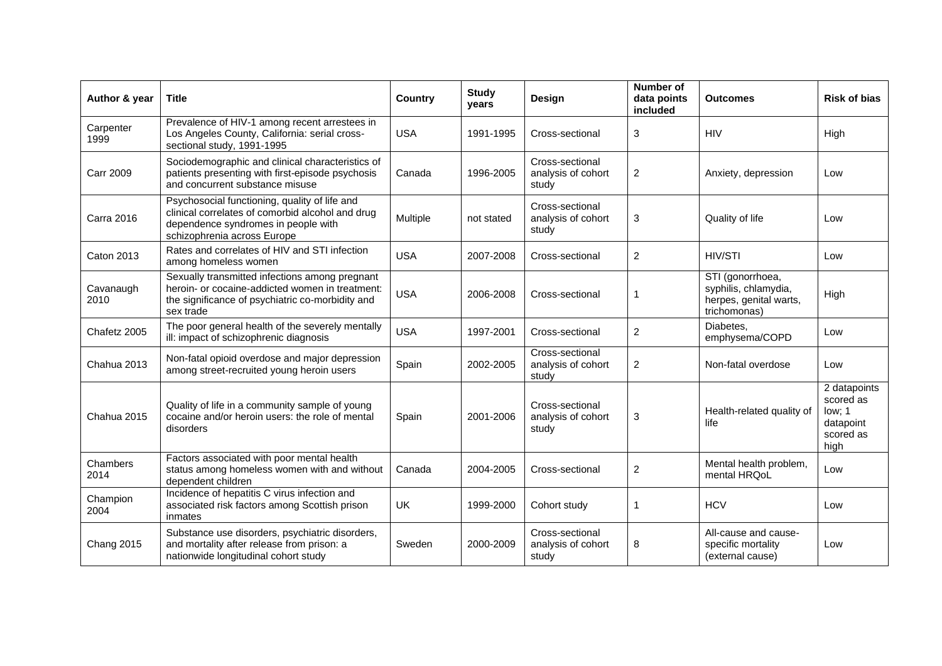| Author & year     | <b>Title</b>                                                                                                                                                            | Country    | <b>Study</b><br>years | Design                                         | Number of<br>data points<br>included | <b>Outcomes</b>                                                                    | <b>Risk of bias</b>                                                   |
|-------------------|-------------------------------------------------------------------------------------------------------------------------------------------------------------------------|------------|-----------------------|------------------------------------------------|--------------------------------------|------------------------------------------------------------------------------------|-----------------------------------------------------------------------|
| Carpenter<br>1999 | Prevalence of HIV-1 among recent arrestees in<br>Los Angeles County, California: serial cross-<br>sectional study, 1991-1995                                            | <b>USA</b> | 1991-1995             | Cross-sectional                                | $\ensuremath{\mathsf{3}}$            | <b>HIV</b>                                                                         | High                                                                  |
| <b>Carr 2009</b>  | Sociodemographic and clinical characteristics of<br>patients presenting with first-episode psychosis<br>and concurrent substance misuse                                 | Canada     | 1996-2005             | Cross-sectional<br>analysis of cohort<br>study | $\overline{2}$                       | Anxiety, depression                                                                | Low                                                                   |
| <b>Carra 2016</b> | Psychosocial functioning, quality of life and<br>clinical correlates of comorbid alcohol and drug<br>dependence syndromes in people with<br>schizophrenia across Europe | Multiple   | not stated            | Cross-sectional<br>analysis of cohort<br>study | 3                                    | Quality of life                                                                    | Low                                                                   |
| <b>Caton 2013</b> | Rates and correlates of HIV and STI infection<br>among homeless women                                                                                                   | <b>USA</b> | 2007-2008             | Cross-sectional                                | $\overline{c}$                       | <b>HIV/STI</b>                                                                     | Low                                                                   |
| Cavanaugh<br>2010 | Sexually transmitted infections among pregnant<br>heroin- or cocaine-addicted women in treatment:<br>the significance of psychiatric co-morbidity and<br>sex trade      | <b>USA</b> | 2006-2008             | Cross-sectional                                | 1                                    | STI (gonorrhoea,<br>syphilis, chlamydia,<br>herpes, genital warts,<br>trichomonas) | High                                                                  |
| Chafetz 2005      | The poor general health of the severely mentally<br>ill: impact of schizophrenic diagnosis                                                                              | <b>USA</b> | 1997-2001             | Cross-sectional                                | $\overline{2}$                       | Diabetes.<br>emphysema/COPD                                                        | Low                                                                   |
| Chahua 2013       | Non-fatal opioid overdose and major depression<br>among street-recruited young heroin users                                                                             | Spain      | 2002-2005             | Cross-sectional<br>analysis of cohort<br>study | $\overline{c}$                       | Non-fatal overdose                                                                 | Low                                                                   |
| Chahua 2015       | Quality of life in a community sample of young<br>cocaine and/or heroin users: the role of mental<br>disorders                                                          | Spain      | 2001-2006             | Cross-sectional<br>analysis of cohort<br>study | 3                                    | Health-related quality of<br>life                                                  | 2 datapoints<br>scored as<br>low; 1<br>datapoint<br>scored as<br>high |
| Chambers<br>2014  | Factors associated with poor mental health<br>status among homeless women with and without<br>dependent children                                                        | Canada     | 2004-2005             | Cross-sectional                                | $\overline{c}$                       | Mental health problem,<br>mental HRQoL                                             | Low                                                                   |
| Champion<br>2004  | Incidence of hepatitis C virus infection and<br>associated risk factors among Scottish prison<br>inmates                                                                | <b>UK</b>  | 1999-2000             | Cohort study                                   | 1                                    | <b>HCV</b>                                                                         | Low                                                                   |
| <b>Chang 2015</b> | Substance use disorders, psychiatric disorders,<br>and mortality after release from prison: a<br>nationwide longitudinal cohort study                                   | Sweden     | 2000-2009             | Cross-sectional<br>analysis of cohort<br>study | 8                                    | All-cause and cause-<br>specific mortality<br>(external cause)                     | Low                                                                   |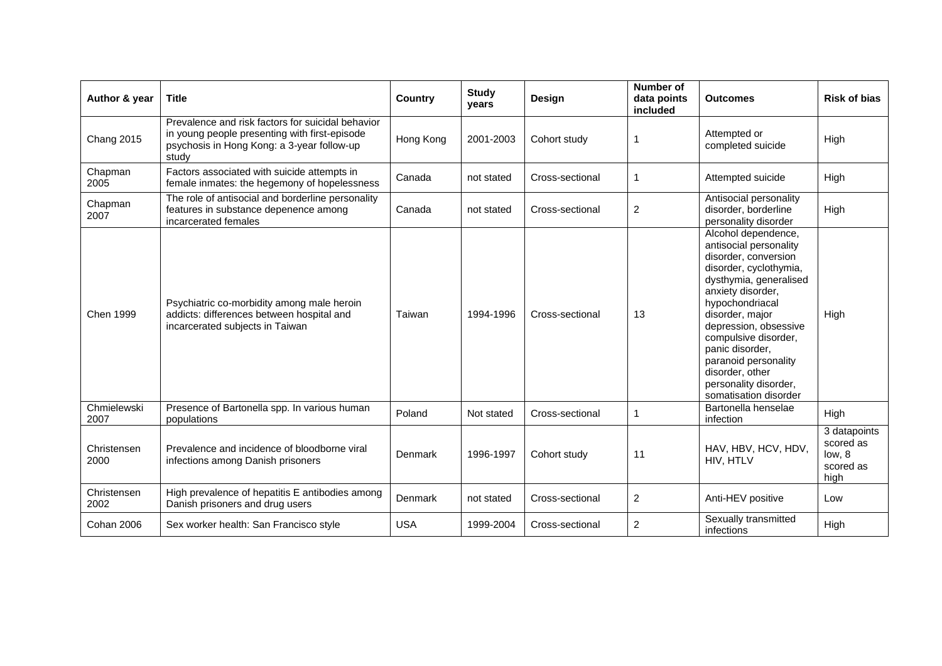| Author & year       | <b>Title</b>                                                                                                                                              | <b>Country</b> | <b>Study</b><br>years | Design          | <b>Number of</b><br>data points<br>included | <b>Outcomes</b>                                                                                                                                                                                                                                                                                                                                       | <b>Risk of bias</b>                                                   |
|---------------------|-----------------------------------------------------------------------------------------------------------------------------------------------------------|----------------|-----------------------|-----------------|---------------------------------------------|-------------------------------------------------------------------------------------------------------------------------------------------------------------------------------------------------------------------------------------------------------------------------------------------------------------------------------------------------------|-----------------------------------------------------------------------|
| <b>Chang 2015</b>   | Prevalence and risk factors for suicidal behavior<br>in young people presenting with first-episode<br>psychosis in Hong Kong: a 3-year follow-up<br>study | Hong Kong      | 2001-2003             | Cohort study    | 1                                           | Attempted or<br>completed suicide                                                                                                                                                                                                                                                                                                                     | High                                                                  |
| Chapman<br>2005     | Factors associated with suicide attempts in<br>female inmates: the hegemony of hopelessness                                                               | Canada         | not stated            | Cross-sectional | 1                                           | Attempted suicide                                                                                                                                                                                                                                                                                                                                     | High                                                                  |
| Chapman<br>2007     | The role of antisocial and borderline personality<br>features in substance depenence among<br>incarcerated females                                        | Canada         | not stated            | Cross-sectional | $\overline{c}$                              | Antisocial personality<br>disorder, borderline<br>personality disorder                                                                                                                                                                                                                                                                                | High                                                                  |
| <b>Chen 1999</b>    | Psychiatric co-morbidity among male heroin<br>addicts: differences between hospital and<br>incarcerated subjects in Taiwan                                | Taiwan         | 1994-1996             | Cross-sectional | 13                                          | Alcohol dependence,<br>antisocial personality<br>disorder, conversion<br>disorder, cyclothymia,<br>dysthymia, generalised<br>anxiety disorder,<br>hypochondriacal<br>disorder, major<br>depression, obsessive<br>compulsive disorder,<br>panic disorder,<br>paranoid personality<br>disorder, other<br>personality disorder,<br>somatisation disorder | High                                                                  |
| Chmielewski<br>2007 | Presence of Bartonella spp. In various human<br>populations                                                                                               | Poland         | Not stated            | Cross-sectional | 1                                           | Bartonella henselae<br>infection                                                                                                                                                                                                                                                                                                                      | High                                                                  |
| Christensen<br>2000 | Prevalence and incidence of bloodborne viral<br>infections among Danish prisoners                                                                         | Denmark        | 1996-1997             | Cohort study    | 11                                          | HAV, HBV, HCV, HDV,<br>HIV. HTLV                                                                                                                                                                                                                                                                                                                      | $\overline{3}$ datapoints<br>scored as<br>low, 8<br>scored as<br>high |
| Christensen<br>2002 | High prevalence of hepatitis E antibodies among<br>Danish prisoners and drug users                                                                        | <b>Denmark</b> | not stated            | Cross-sectional | 2                                           | Anti-HEV positive                                                                                                                                                                                                                                                                                                                                     | Low                                                                   |
| Cohan 2006          | Sex worker health: San Francisco style                                                                                                                    | <b>USA</b>     | 1999-2004             | Cross-sectional | $\overline{2}$                              | Sexually transmitted<br>infections                                                                                                                                                                                                                                                                                                                    | High                                                                  |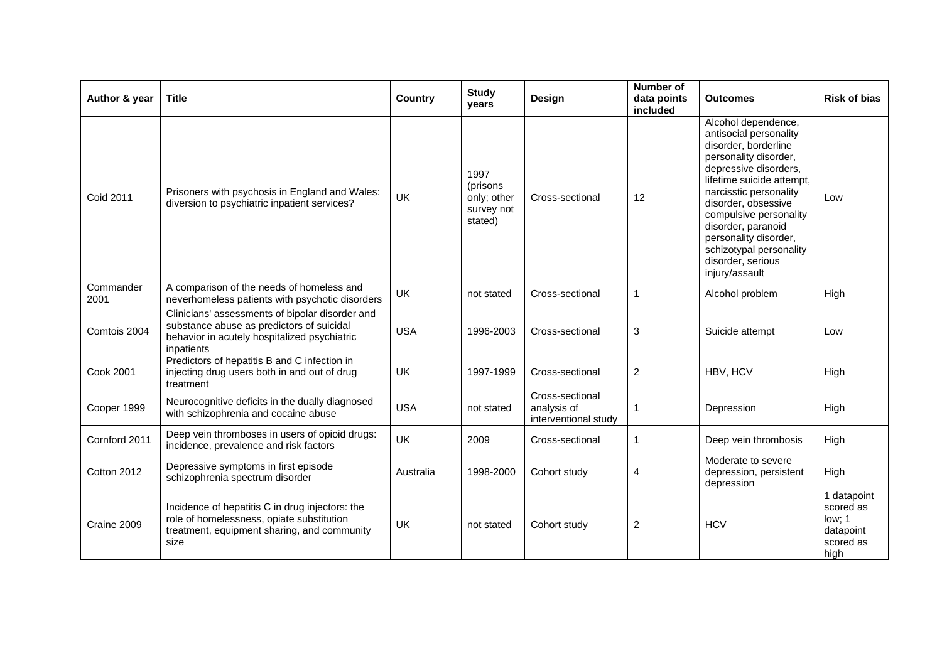| Author & year     | <b>Title</b>                                                                                                                                               | <b>Country</b> | <b>Study</b><br>years                                    | Design                                                 | <b>Number of</b><br>data points<br>included | <b>Outcomes</b>                                                                                                                                                                                                                                                                                                                                  | <b>Risk of bias</b>                                                  |
|-------------------|------------------------------------------------------------------------------------------------------------------------------------------------------------|----------------|----------------------------------------------------------|--------------------------------------------------------|---------------------------------------------|--------------------------------------------------------------------------------------------------------------------------------------------------------------------------------------------------------------------------------------------------------------------------------------------------------------------------------------------------|----------------------------------------------------------------------|
| <b>Coid 2011</b>  | Prisoners with psychosis in England and Wales:<br>diversion to psychiatric inpatient services?                                                             | UK             | 1997<br>(prisons<br>only; other<br>survey not<br>stated) | Cross-sectional                                        | 12                                          | Alcohol dependence,<br>antisocial personality<br>disorder, borderline<br>personality disorder,<br>depressive disorders,<br>lifetime suicide attempt,<br>narcisstic personality<br>disorder, obsessive<br>compulsive personality<br>disorder, paranoid<br>personality disorder,<br>schizotypal personality<br>disorder, serious<br>injury/assault | Low                                                                  |
| Commander<br>2001 | A comparison of the needs of homeless and<br>neverhomeless patients with psychotic disorders                                                               | UK             | not stated                                               | Cross-sectional                                        | 1                                           | Alcohol problem                                                                                                                                                                                                                                                                                                                                  | High                                                                 |
| Comtois 2004      | Clinicians' assessments of bipolar disorder and<br>substance abuse as predictors of suicidal<br>behavior in acutely hospitalized psychiatric<br>inpatients | <b>USA</b>     | 1996-2003                                                | Cross-sectional                                        | 3                                           | Suicide attempt                                                                                                                                                                                                                                                                                                                                  | Low                                                                  |
| <b>Cook 2001</b>  | Predictors of hepatitis B and C infection in<br>injecting drug users both in and out of drug<br>treatment                                                  | <b>UK</b>      | 1997-1999                                                | Cross-sectional                                        | $\overline{2}$                              | HBV, HCV                                                                                                                                                                                                                                                                                                                                         | High                                                                 |
| Cooper 1999       | Neurocognitive deficits in the dually diagnosed<br>with schizophrenia and cocaine abuse                                                                    | <b>USA</b>     | not stated                                               | Cross-sectional<br>analysis of<br>interventional study | $\mathbf{1}$                                | Depression                                                                                                                                                                                                                                                                                                                                       | High                                                                 |
| Cornford 2011     | Deep vein thromboses in users of opioid drugs:<br>incidence, prevalence and risk factors                                                                   | <b>UK</b>      | 2009                                                     | Cross-sectional                                        | $\mathbf{1}$                                | Deep vein thrombosis                                                                                                                                                                                                                                                                                                                             | High                                                                 |
| Cotton 2012       | Depressive symptoms in first episode<br>schizophrenia spectrum disorder                                                                                    | Australia      | 1998-2000                                                | Cohort study                                           | 4                                           | Moderate to severe<br>depression, persistent<br>depression                                                                                                                                                                                                                                                                                       | High                                                                 |
| Craine 2009       | Incidence of hepatitis C in drug injectors: the<br>role of homelessness, opiate substitution<br>treatment, equipment sharing, and community<br>size        | UK             | not stated                                               | Cohort study                                           | $\overline{c}$                              | <b>HCV</b>                                                                                                                                                                                                                                                                                                                                       | 1 datapoint<br>scored as<br>low; 1<br>datapoint<br>scored as<br>high |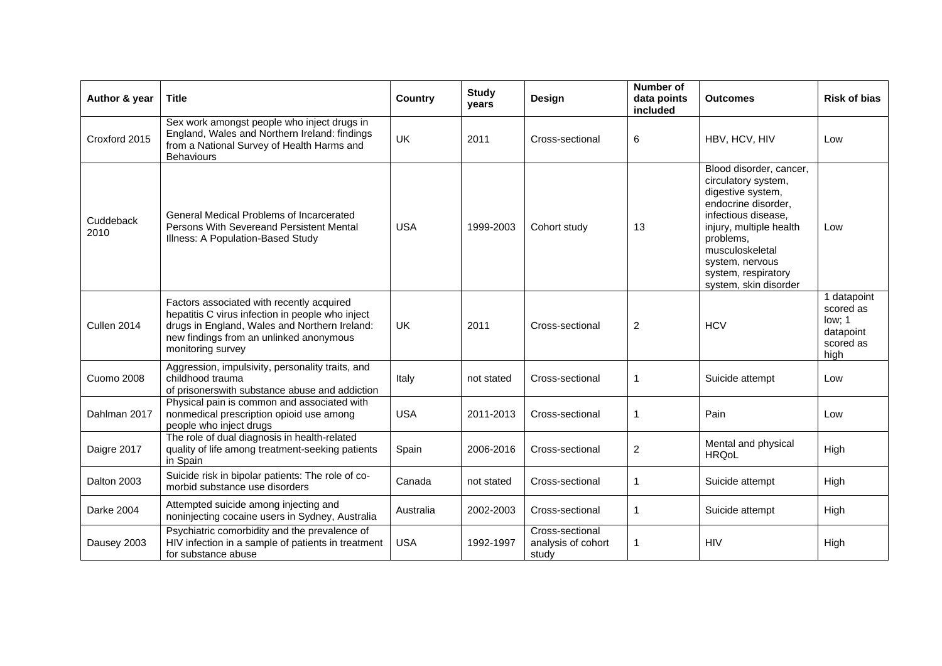| Author & year     | <b>Title</b>                                                                                                                                                                                                   | <b>Country</b> | <b>Study</b><br>years | Design                                         | <b>Number of</b><br>data points<br>included | <b>Outcomes</b>                                                                                                                                                                                                                                 | <b>Risk of bias</b>                                                  |
|-------------------|----------------------------------------------------------------------------------------------------------------------------------------------------------------------------------------------------------------|----------------|-----------------------|------------------------------------------------|---------------------------------------------|-------------------------------------------------------------------------------------------------------------------------------------------------------------------------------------------------------------------------------------------------|----------------------------------------------------------------------|
| Croxford 2015     | Sex work amongst people who inject drugs in<br>England, Wales and Northern Ireland: findings<br>from a National Survey of Health Harms and<br><b>Behaviours</b>                                                | UK             | 2011                  | Cross-sectional                                | 6                                           | HBV, HCV, HIV                                                                                                                                                                                                                                   | Low                                                                  |
| Cuddeback<br>2010 | General Medical Problems of Incarcerated<br>Persons With Severeand Persistent Mental<br>Illness: A Population-Based Study                                                                                      | <b>USA</b>     | 1999-2003             | Cohort study                                   | 13                                          | Blood disorder, cancer,<br>circulatory system,<br>digestive system,<br>endocrine disorder,<br>infectious disease,<br>injury, multiple health<br>problems,<br>musculoskeletal<br>system, nervous<br>system, respiratory<br>system, skin disorder | Low                                                                  |
| Cullen 2014       | Factors associated with recently acquired<br>hepatitis C virus infection in people who inject<br>drugs in England, Wales and Northern Ireland:<br>new findings from an unlinked anonymous<br>monitoring survey | UK             | 2011                  | Cross-sectional                                | $\overline{c}$                              | <b>HCV</b>                                                                                                                                                                                                                                      | 1 datapoint<br>scored as<br>low; 1<br>datapoint<br>scored as<br>high |
| Cuomo 2008        | Aggression, impulsivity, personality traits, and<br>childhood trauma<br>of prisonerswith substance abuse and addiction                                                                                         | Italy          | not stated            | Cross-sectional                                |                                             | Suicide attempt                                                                                                                                                                                                                                 | Low                                                                  |
| Dahlman 2017      | Physical pain is common and associated with<br>nonmedical prescription opioid use among<br>people who inject drugs                                                                                             | <b>USA</b>     | 2011-2013             | Cross-sectional                                | $\mathbf 1$                                 | Pain                                                                                                                                                                                                                                            | Low                                                                  |
| Daigre 2017       | The role of dual diagnosis in health-related<br>quality of life among treatment-seeking patients<br>in Spain                                                                                                   | Spain          | 2006-2016             | Cross-sectional                                | 2                                           | Mental and physical<br><b>HRQoL</b>                                                                                                                                                                                                             | High                                                                 |
| Dalton 2003       | Suicide risk in bipolar patients: The role of co-<br>morbid substance use disorders                                                                                                                            | Canada         | not stated            | Cross-sectional                                | $\mathbf 1$                                 | Suicide attempt                                                                                                                                                                                                                                 | High                                                                 |
| <b>Darke 2004</b> | Attempted suicide among injecting and<br>noninjecting cocaine users in Sydney, Australia                                                                                                                       | Australia      | 2002-2003             | Cross-sectional                                | $\mathbf 1$                                 | Suicide attempt                                                                                                                                                                                                                                 | High                                                                 |
| Dausey 2003       | Psychiatric comorbidity and the prevalence of<br>HIV infection in a sample of patients in treatment<br>for substance abuse                                                                                     | <b>USA</b>     | 1992-1997             | Cross-sectional<br>analysis of cohort<br>study | -1                                          | <b>HIV</b>                                                                                                                                                                                                                                      | High                                                                 |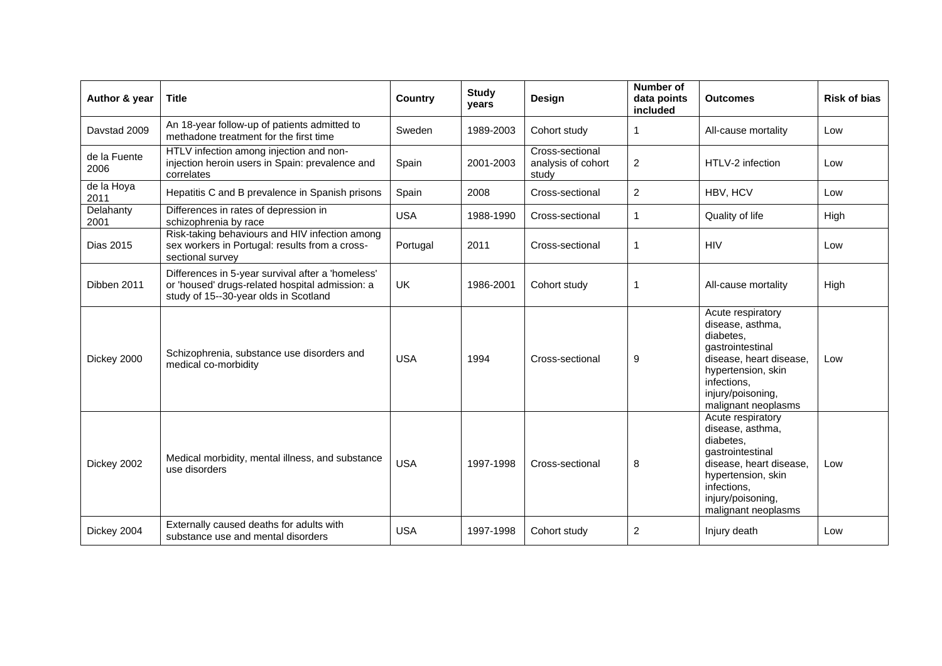| Author & year        | <b>Title</b>                                                                                                                                  | <b>Country</b> | <b>Study</b><br>years | Design                                         | Number of<br>data points<br>included | <b>Outcomes</b>                                                                                                                                                                    | <b>Risk of bias</b> |
|----------------------|-----------------------------------------------------------------------------------------------------------------------------------------------|----------------|-----------------------|------------------------------------------------|--------------------------------------|------------------------------------------------------------------------------------------------------------------------------------------------------------------------------------|---------------------|
| Davstad 2009         | An 18-year follow-up of patients admitted to<br>methadone treatment for the first time                                                        | Sweden         | 1989-2003             | Cohort study                                   | 1                                    | All-cause mortality                                                                                                                                                                | Low                 |
| de la Fuente<br>2006 | HTLV infection among injection and non-<br>injection heroin users in Spain: prevalence and<br>correlates                                      | Spain          | 2001-2003             | Cross-sectional<br>analysis of cohort<br>study | 2                                    | HTLV-2 infection                                                                                                                                                                   | Low                 |
| de la Hoya<br>2011   | Hepatitis C and B prevalence in Spanish prisons                                                                                               | Spain          | 2008                  | Cross-sectional                                | $\overline{c}$                       | HBV, HCV                                                                                                                                                                           | Low                 |
| Delahanty<br>2001    | Differences in rates of depression in<br>schizophrenia by race                                                                                | <b>USA</b>     | 1988-1990             | Cross-sectional                                | $\mathbf 1$                          | Quality of life                                                                                                                                                                    | High                |
| Dias 2015            | Risk-taking behaviours and HIV infection among<br>sex workers in Portugal: results from a cross-<br>sectional survey                          | Portugal       | 2011                  | Cross-sectional                                | 1                                    | <b>HIV</b>                                                                                                                                                                         | Low                 |
| Dibben 2011          | Differences in 5-year survival after a 'homeless'<br>or 'housed' drugs-related hospital admission: a<br>study of 15--30-year olds in Scotland | UK             | 1986-2001             | Cohort study                                   | $\mathbf 1$                          | All-cause mortality                                                                                                                                                                | High                |
| Dickey 2000          | Schizophrenia, substance use disorders and<br>medical co-morbidity                                                                            | <b>USA</b>     | 1994                  | Cross-sectional                                | 9                                    | Acute respiratory<br>disease, asthma,<br>diabetes.<br>gastrointestinal<br>disease, heart disease,<br>hypertension, skin<br>infections,<br>injury/poisoning,<br>malignant neoplasms | Low                 |
| Dickey 2002          | Medical morbidity, mental illness, and substance<br>use disorders                                                                             | <b>USA</b>     | 1997-1998             | Cross-sectional                                | 8                                    | Acute respiratory<br>disease, asthma,<br>diabetes,<br>gastrointestinal<br>disease, heart disease,<br>hypertension, skin<br>infections,<br>injury/poisoning,<br>malignant neoplasms | Low                 |
| Dickey 2004          | Externally caused deaths for adults with<br>substance use and mental disorders                                                                | <b>USA</b>     | 1997-1998             | Cohort study                                   | $\overline{c}$                       | Injury death                                                                                                                                                                       | Low                 |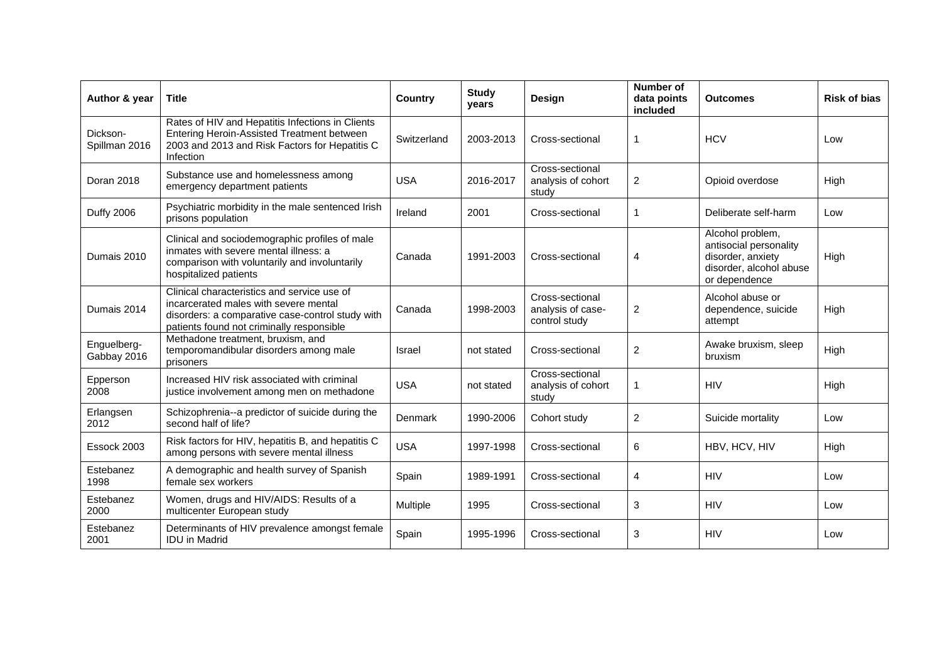| Author & year              | <b>Title</b>                                                                                                                                                                          | Country     | <b>Study</b><br>vears | <b>Design</b>                                         | <b>Number of</b><br>data points<br>included | <b>Outcomes</b>                                                                                             | <b>Risk of bias</b> |
|----------------------------|---------------------------------------------------------------------------------------------------------------------------------------------------------------------------------------|-------------|-----------------------|-------------------------------------------------------|---------------------------------------------|-------------------------------------------------------------------------------------------------------------|---------------------|
| Dickson-<br>Spillman 2016  | Rates of HIV and Hepatitis Infections in Clients<br>Entering Heroin-Assisted Treatment between<br>2003 and 2013 and Risk Factors for Hepatitis C<br>Infection                         | Switzerland | 2003-2013             | Cross-sectional                                       | 1                                           | <b>HCV</b>                                                                                                  | Low                 |
| Doran 2018                 | Substance use and homelessness among<br>emergency department patients                                                                                                                 | <b>USA</b>  | 2016-2017             | Cross-sectional<br>analysis of cohort<br>study        | $\overline{c}$                              | Opioid overdose                                                                                             | High                |
| <b>Duffy 2006</b>          | Psychiatric morbidity in the male sentenced Irish<br>prisons population                                                                                                               | Ireland     | 2001                  | Cross-sectional                                       | 1                                           | Deliberate self-harm                                                                                        | Low                 |
| Dumais 2010                | Clinical and sociodemographic profiles of male<br>inmates with severe mental illness: a<br>comparison with voluntarily and involuntarily<br>hospitalized patients                     | Canada      | 1991-2003             | Cross-sectional                                       | 4                                           | Alcohol problem,<br>antisocial personality<br>disorder, anxiety<br>disorder, alcohol abuse<br>or dependence | High                |
| Dumais 2014                | Clinical characteristics and service use of<br>incarcerated males with severe mental<br>disorders: a comparative case-control study with<br>patients found not criminally responsible | Canada      | 1998-2003             | Cross-sectional<br>analysis of case-<br>control study | $\overline{\mathbf{c}}$                     | Alcohol abuse or<br>dependence, suicide<br>attempt                                                          | High                |
| Enguelberg-<br>Gabbay 2016 | Methadone treatment, bruxism, and<br>temporomandibular disorders among male<br>prisoners                                                                                              | Israel      | not stated            | Cross-sectional                                       | $\overline{c}$                              | Awake bruxism, sleep<br>bruxism                                                                             | High                |
| Epperson<br>2008           | Increased HIV risk associated with criminal<br>justice involvement among men on methadone                                                                                             | <b>USA</b>  | not stated            | Cross-sectional<br>analysis of cohort<br>study        | 1                                           | <b>HIV</b>                                                                                                  | High                |
| Erlangsen<br>2012          | Schizophrenia--a predictor of suicide during the<br>second half of life?                                                                                                              | Denmark     | 1990-2006             | Cohort study                                          | $\overline{c}$                              | Suicide mortality                                                                                           | Low                 |
| Essock 2003                | Risk factors for HIV, hepatitis B, and hepatitis C<br>among persons with severe mental illness                                                                                        | <b>USA</b>  | 1997-1998             | Cross-sectional                                       | 6                                           | HBV, HCV, HIV                                                                                               | High                |
| Estebanez<br>1998          | A demographic and health survey of Spanish<br>female sex workers                                                                                                                      | Spain       | 1989-1991             | Cross-sectional                                       | 4                                           | <b>HIV</b>                                                                                                  | Low                 |
| Estebanez<br>2000          | Women, drugs and HIV/AIDS: Results of a<br>multicenter European study                                                                                                                 | Multiple    | 1995                  | Cross-sectional                                       | 3                                           | <b>HIV</b>                                                                                                  | Low                 |
| Estebanez<br>2001          | Determinants of HIV prevalence amongst female<br><b>IDU</b> in Madrid                                                                                                                 | Spain       | 1995-1996             | Cross-sectional                                       | 3                                           | <b>HIV</b>                                                                                                  | Low                 |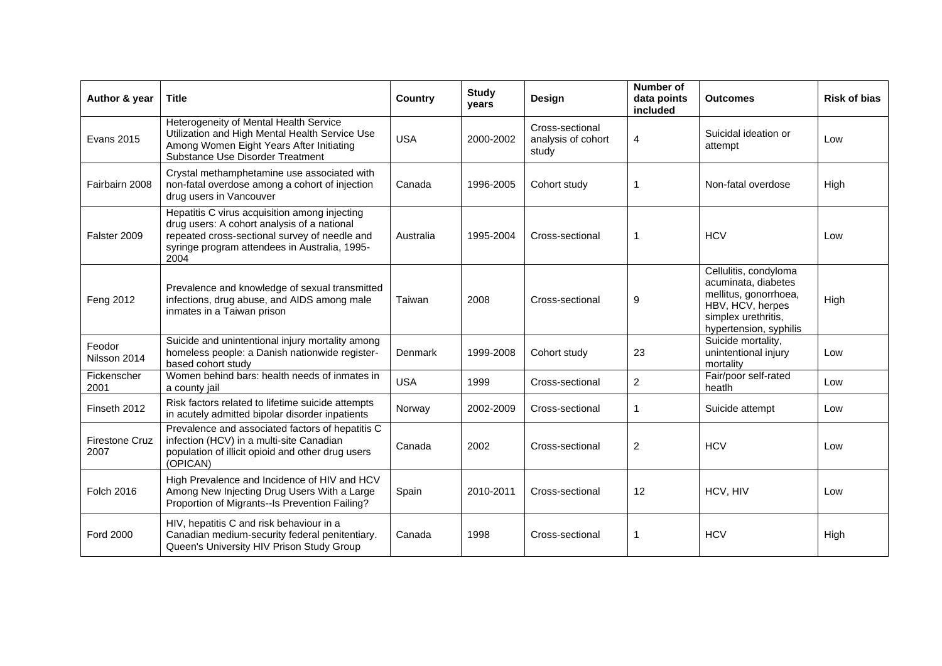| Author & year                 | <b>Title</b>                                                                                                                                                                                           | <b>Country</b> | <b>Study</b><br>years | Design                                         | <b>Number of</b><br>data points<br><b>included</b> | <b>Outcomes</b>                                                                                                                            | <b>Risk of bias</b> |
|-------------------------------|--------------------------------------------------------------------------------------------------------------------------------------------------------------------------------------------------------|----------------|-----------------------|------------------------------------------------|----------------------------------------------------|--------------------------------------------------------------------------------------------------------------------------------------------|---------------------|
| <b>Evans 2015</b>             | Heterogeneity of Mental Health Service<br>Utilization and High Mental Health Service Use<br>Among Women Eight Years After Initiating<br>Substance Use Disorder Treatment                               | <b>USA</b>     | 2000-2002             | Cross-sectional<br>analysis of cohort<br>study | 4                                                  | Suicidal ideation or<br>attempt                                                                                                            | Low                 |
| Fairbairn 2008                | Crystal methamphetamine use associated with<br>non-fatal overdose among a cohort of injection<br>drug users in Vancouver                                                                               | Canada         | 1996-2005             | Cohort study                                   |                                                    | Non-fatal overdose                                                                                                                         | High                |
| Falster 2009                  | Hepatitis C virus acquisition among injecting<br>drug users: A cohort analysis of a national<br>repeated cross-sectional survey of needle and<br>syringe program attendees in Australia, 1995-<br>2004 | Australia      | 1995-2004             | Cross-sectional                                | 1                                                  | <b>HCV</b>                                                                                                                                 | Low                 |
| Feng 2012                     | Prevalence and knowledge of sexual transmitted<br>infections, drug abuse, and AIDS among male<br>inmates in a Taiwan prison                                                                            | Taiwan         | 2008                  | Cross-sectional                                | 9                                                  | Cellulitis, condyloma<br>acuminata, diabetes<br>mellitus, gonorrhoea,<br>HBV, HCV, herpes<br>simplex urethritis,<br>hypertension, syphilis | High                |
| Feodor<br>Nilsson 2014        | Suicide and unintentional injury mortality among<br>homeless people: a Danish nationwide register-<br>based cohort study                                                                               | <b>Denmark</b> | 1999-2008             | Cohort study                                   | 23                                                 | Suicide mortality,<br>unintentional injury<br>mortality                                                                                    | Low                 |
| Fickenscher<br>2001           | Women behind bars: health needs of inmates in<br>a county jail                                                                                                                                         | <b>USA</b>     | 1999                  | Cross-sectional                                | $\overline{2}$                                     | Fair/poor self-rated<br>heatlh                                                                                                             | Low                 |
| Finseth 2012                  | Risk factors related to lifetime suicide attempts<br>in acutely admitted bipolar disorder inpatients                                                                                                   | Norway         | 2002-2009             | Cross-sectional                                | 1                                                  | Suicide attempt                                                                                                                            | Low                 |
| <b>Firestone Cruz</b><br>2007 | Prevalence and associated factors of hepatitis C<br>infection (HCV) in a multi-site Canadian<br>population of illicit opioid and other drug users<br>(OPICAN)                                          | Canada         | 2002                  | Cross-sectional                                | $\overline{c}$                                     | <b>HCV</b>                                                                                                                                 | Low                 |
| Folch 2016                    | High Prevalence and Incidence of HIV and HCV<br>Among New Injecting Drug Users With a Large<br>Proportion of Migrants--Is Prevention Failing?                                                          | Spain          | 2010-2011             | Cross-sectional                                | 12                                                 | HCV, HIV                                                                                                                                   | Low                 |
| <b>Ford 2000</b>              | HIV, hepatitis C and risk behaviour in a<br>Canadian medium-security federal penitentiary.<br>Queen's University HIV Prison Study Group                                                                | Canada         | 1998                  | Cross-sectional                                | 1                                                  | <b>HCV</b>                                                                                                                                 | High                |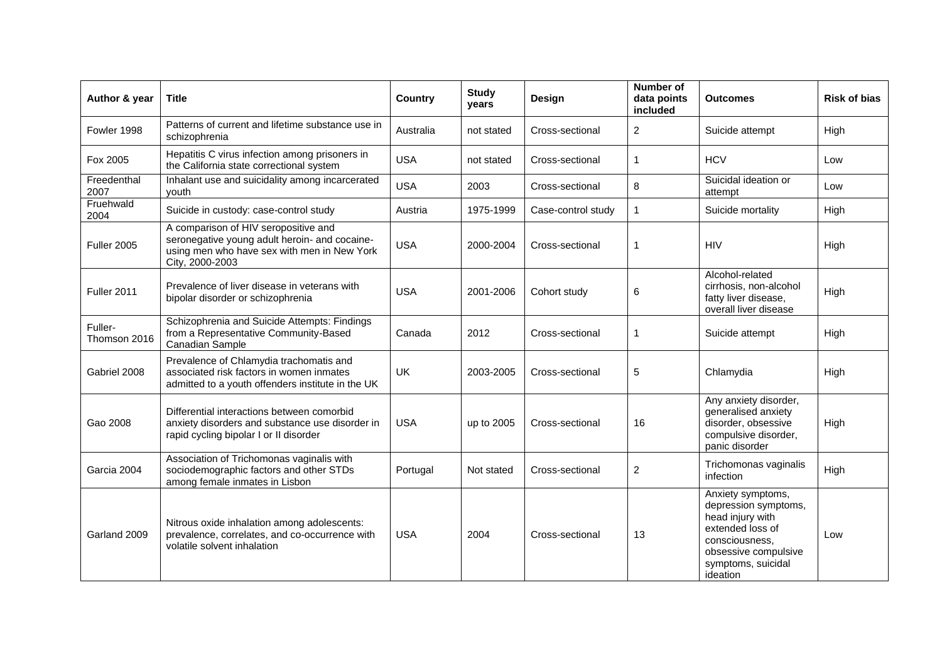| Author & year           | <b>Title</b>                                                                                                                                            | <b>Country</b> | <b>Study</b><br>years | Design             | Number of<br>data points<br>included | <b>Outcomes</b>                                                                                                                                               | <b>Risk of bias</b> |
|-------------------------|---------------------------------------------------------------------------------------------------------------------------------------------------------|----------------|-----------------------|--------------------|--------------------------------------|---------------------------------------------------------------------------------------------------------------------------------------------------------------|---------------------|
| Fowler 1998             | Patterns of current and lifetime substance use in<br>schizophrenia                                                                                      | Australia      | not stated            | Cross-sectional    | $\overline{2}$                       | Suicide attempt                                                                                                                                               | High                |
| Fox 2005                | Hepatitis C virus infection among prisoners in<br>the California state correctional system                                                              | <b>USA</b>     | not stated            | Cross-sectional    | 1                                    | <b>HCV</b>                                                                                                                                                    | Low                 |
| Freedenthal<br>2007     | Inhalant use and suicidality among incarcerated<br>youth                                                                                                | <b>USA</b>     | 2003                  | Cross-sectional    | 8                                    | Suicidal ideation or<br>attempt                                                                                                                               | Low                 |
| Fruehwald<br>2004       | Suicide in custody: case-control study                                                                                                                  | Austria        | 1975-1999             | Case-control study | $\overline{1}$                       | Suicide mortality                                                                                                                                             | High                |
| <b>Fuller 2005</b>      | A comparison of HIV seropositive and<br>seronegative young adult heroin- and cocaine-<br>using men who have sex with men in New York<br>City, 2000-2003 | <b>USA</b>     | 2000-2004             | Cross-sectional    | 1                                    | <b>HIV</b>                                                                                                                                                    | High                |
| Fuller 2011             | Prevalence of liver disease in veterans with<br>bipolar disorder or schizophrenia                                                                       | <b>USA</b>     | 2001-2006             | Cohort study       | 6                                    | Alcohol-related<br>cirrhosis, non-alcohol<br>fatty liver disease,<br>overall liver disease                                                                    | High                |
| Fuller-<br>Thomson 2016 | Schizophrenia and Suicide Attempts: Findings<br>from a Representative Community-Based<br>Canadian Sample                                                | Canada         | 2012                  | Cross-sectional    | 1                                    | Suicide attempt                                                                                                                                               | High                |
| Gabriel 2008            | Prevalence of Chlamydia trachomatis and<br>associated risk factors in women inmates<br>admitted to a youth offenders institute in the UK                | UK             | 2003-2005             | Cross-sectional    | 5                                    | Chlamydia                                                                                                                                                     | High                |
| Gao 2008                | Differential interactions between comorbid<br>anxiety disorders and substance use disorder in<br>rapid cycling bipolar I or II disorder                 | <b>USA</b>     | up to 2005            | Cross-sectional    | 16                                   | Any anxiety disorder,<br>generalised anxiety<br>disorder, obsessive<br>compulsive disorder,<br>panic disorder                                                 | High                |
| Garcia 2004             | Association of Trichomonas vaginalis with<br>sociodemographic factors and other STDs<br>among female inmates in Lisbon                                  | Portugal       | Not stated            | Cross-sectional    | $\overline{2}$                       | Trichomonas vaginalis<br>infection                                                                                                                            | High                |
| Garland 2009            | Nitrous oxide inhalation among adolescents:<br>prevalence, correlates, and co-occurrence with<br>volatile solvent inhalation                            | <b>USA</b>     | 2004                  | Cross-sectional    | 13                                   | Anxiety symptoms,<br>depression symptoms,<br>head injury with<br>extended loss of<br>consciousness,<br>obsessive compulsive<br>symptoms, suicidal<br>ideation | Low                 |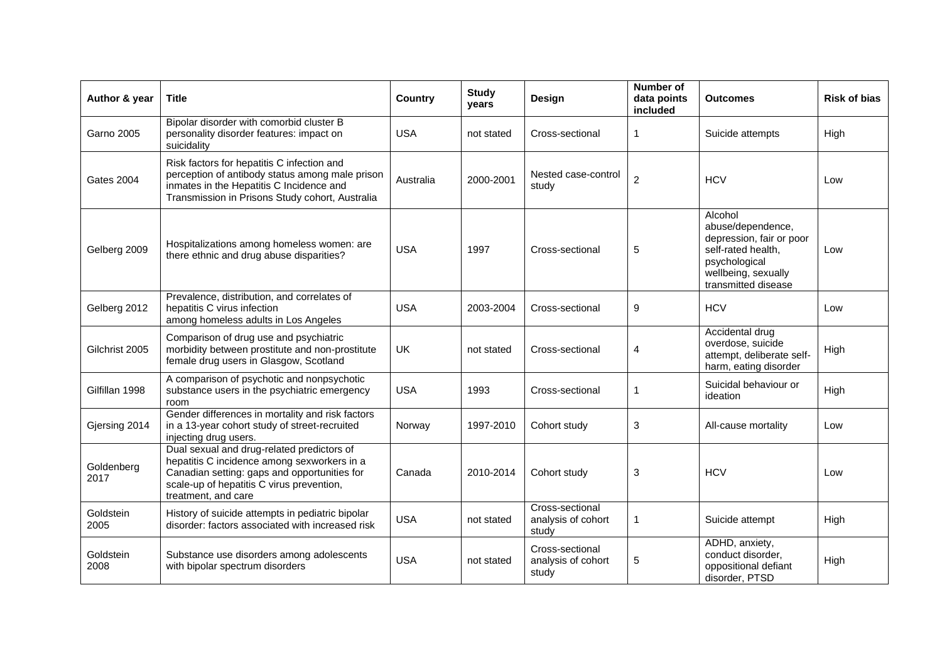| Author & year      | <b>Title</b>                                                                                                                                                                                                  | <b>Country</b> | <b>Study</b><br>years | <b>Design</b>                                  | Number of<br>data points<br>included | <b>Outcomes</b>                                                                                                                               | <b>Risk of bias</b> |
|--------------------|---------------------------------------------------------------------------------------------------------------------------------------------------------------------------------------------------------------|----------------|-----------------------|------------------------------------------------|--------------------------------------|-----------------------------------------------------------------------------------------------------------------------------------------------|---------------------|
| <b>Garno 2005</b>  | Bipolar disorder with comorbid cluster B<br>personality disorder features: impact on<br>suicidality                                                                                                           | <b>USA</b>     | not stated            | Cross-sectional                                | 1                                    | Suicide attempts                                                                                                                              | High                |
| Gates 2004         | Risk factors for hepatitis C infection and<br>perception of antibody status among male prison<br>inmates in the Hepatitis C Incidence and<br>Transmission in Prisons Study cohort, Australia                  | Australia      | 2000-2001             | Nested case-control<br>study                   | $\overline{2}$                       | <b>HCV</b>                                                                                                                                    | Low                 |
| Gelberg 2009       | Hospitalizations among homeless women: are<br>there ethnic and drug abuse disparities?                                                                                                                        | <b>USA</b>     | 1997                  | Cross-sectional                                | 5                                    | Alcohol<br>abuse/dependence,<br>depression, fair or poor<br>self-rated health,<br>psychological<br>wellbeing, sexually<br>transmitted disease | Low                 |
| Gelberg 2012       | Prevalence, distribution, and correlates of<br>hepatitis C virus infection<br>among homeless adults in Los Angeles                                                                                            | <b>USA</b>     | 2003-2004             | Cross-sectional                                | 9                                    | <b>HCV</b>                                                                                                                                    | Low                 |
| Gilchrist 2005     | Comparison of drug use and psychiatric<br>morbidity between prostitute and non-prostitute<br>female drug users in Glasgow, Scotland                                                                           | UK             | not stated            | Cross-sectional                                | 4                                    | Accidental drug<br>overdose, suicide<br>attempt, deliberate self-<br>harm, eating disorder                                                    | High                |
| Gilfillan 1998     | A comparison of psychotic and nonpsychotic<br>substance users in the psychiatric emergency<br>room                                                                                                            | <b>USA</b>     | 1993                  | Cross-sectional                                | 1                                    | Suicidal behaviour or<br>ideation                                                                                                             | High                |
| Gjersing 2014      | Gender differences in mortality and risk factors<br>in a 13-year cohort study of street-recruited<br>injecting drug users.                                                                                    | Norway         | 1997-2010             | Cohort study                                   | 3                                    | All-cause mortality                                                                                                                           | Low                 |
| Goldenberg<br>2017 | Dual sexual and drug-related predictors of<br>hepatitis C incidence among sexworkers in a<br>Canadian setting: gaps and opportunities for<br>scale-up of hepatitis C virus prevention,<br>treatment, and care | Canada         | 2010-2014             | Cohort study                                   | 3                                    | <b>HCV</b>                                                                                                                                    | Low                 |
| Goldstein<br>2005  | History of suicide attempts in pediatric bipolar<br>disorder: factors associated with increased risk                                                                                                          | <b>USA</b>     | not stated            | Cross-sectional<br>analysis of cohort<br>study | 1                                    | Suicide attempt                                                                                                                               | High                |
| Goldstein<br>2008  | Substance use disorders among adolescents<br>with bipolar spectrum disorders                                                                                                                                  | <b>USA</b>     | not stated            | Cross-sectional<br>analysis of cohort<br>study | 5                                    | ADHD, anxiety,<br>conduct disorder,<br>oppositional defiant<br>disorder, PTSD                                                                 | High                |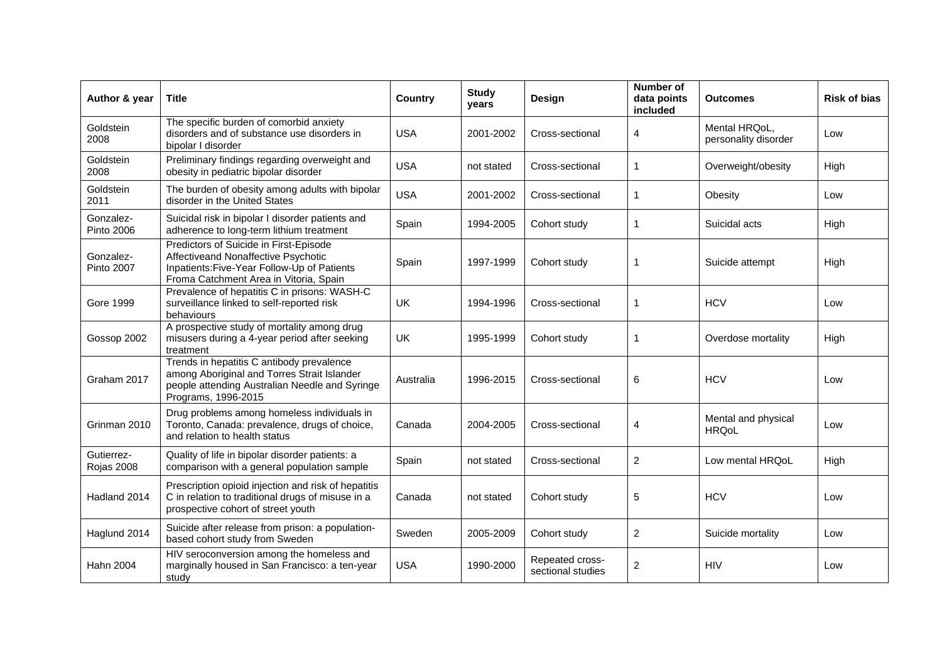| Author & year                  | <b>Title</b>                                                                                                                                                           | <b>Country</b> | <b>Study</b><br>years | Design                               | Number of<br>data points<br>included | <b>Outcomes</b>                       | <b>Risk of bias</b> |
|--------------------------------|------------------------------------------------------------------------------------------------------------------------------------------------------------------------|----------------|-----------------------|--------------------------------------|--------------------------------------|---------------------------------------|---------------------|
| Goldstein<br>2008              | The specific burden of comorbid anxiety<br>disorders and of substance use disorders in<br>bipolar I disorder                                                           | <b>USA</b>     | 2001-2002             | Cross-sectional                      | 4                                    | Mental HRQoL,<br>personality disorder | Low                 |
| Goldstein<br>2008              | Preliminary findings regarding overweight and<br>obesity in pediatric bipolar disorder                                                                                 | <b>USA</b>     | not stated            | Cross-sectional                      | 1                                    | Overweight/obesity                    | High                |
| Goldstein<br>2011              | The burden of obesity among adults with bipolar<br>disorder in the United States                                                                                       | <b>USA</b>     | 2001-2002             | Cross-sectional                      | 1                                    | Obesity                               | Low                 |
| Gonzalez-<br><b>Pinto 2006</b> | Suicidal risk in bipolar I disorder patients and<br>adherence to long-term lithium treatment                                                                           | Spain          | 1994-2005             | Cohort study                         | 1                                    | Suicidal acts                         | High                |
| Gonzalez-<br><b>Pinto 2007</b> | Predictors of Suicide in First-Episode<br>Affectiveand Nonaffective Psychotic<br>Inpatients: Five-Year Follow-Up of Patients<br>Froma Catchment Area in Vitoria, Spain | Spain          | 1997-1999             | Cohort study                         | 1                                    | Suicide attempt                       | High                |
| Gore 1999                      | Prevalence of hepatitis C in prisons: WASH-C<br>surveillance linked to self-reported risk<br>behaviours                                                                | UK             | 1994-1996             | Cross-sectional                      | 1                                    | <b>HCV</b>                            | Low                 |
| Gossop 2002                    | A prospective study of mortality among drug<br>misusers during a 4-year period after seeking<br>treatment                                                              | UK             | 1995-1999             | Cohort study                         | 1                                    | Overdose mortality                    | High                |
| Graham 2017                    | Trends in hepatitis C antibody prevalence<br>among Aboriginal and Torres Strait Islander<br>people attending Australian Needle and Syringe<br>Programs, 1996-2015      | Australia      | 1996-2015             | Cross-sectional                      | 6                                    | <b>HCV</b>                            | Low                 |
| Grinman 2010                   | Drug problems among homeless individuals in<br>Toronto, Canada: prevalence, drugs of choice,<br>and relation to health status                                          | Canada         | 2004-2005             | Cross-sectional                      | 4                                    | Mental and physical<br><b>HRQoL</b>   | Low                 |
| Gutierrez-<br>Rojas 2008       | Quality of life in bipolar disorder patients: a<br>comparison with a general population sample                                                                         | Spain          | not stated            | Cross-sectional                      | $\overline{c}$                       | Low mental HRQoL                      | High                |
| Hadland 2014                   | Prescription opioid injection and risk of hepatitis<br>C in relation to traditional drugs of misuse in a<br>prospective cohort of street youth                         | Canada         | not stated            | Cohort study                         | 5                                    | <b>HCV</b>                            | Low                 |
| Haglund 2014                   | Suicide after release from prison: a population-<br>based cohort study from Sweden                                                                                     | Sweden         | 2005-2009             | Cohort study                         | $\overline{2}$                       | Suicide mortality                     | Low                 |
| <b>Hahn 2004</b>               | HIV seroconversion among the homeless and<br>marginally housed in San Francisco: a ten-year<br>study                                                                   | <b>USA</b>     | 1990-2000             | Repeated cross-<br>sectional studies | $\overline{2}$                       | <b>HIV</b>                            | Low                 |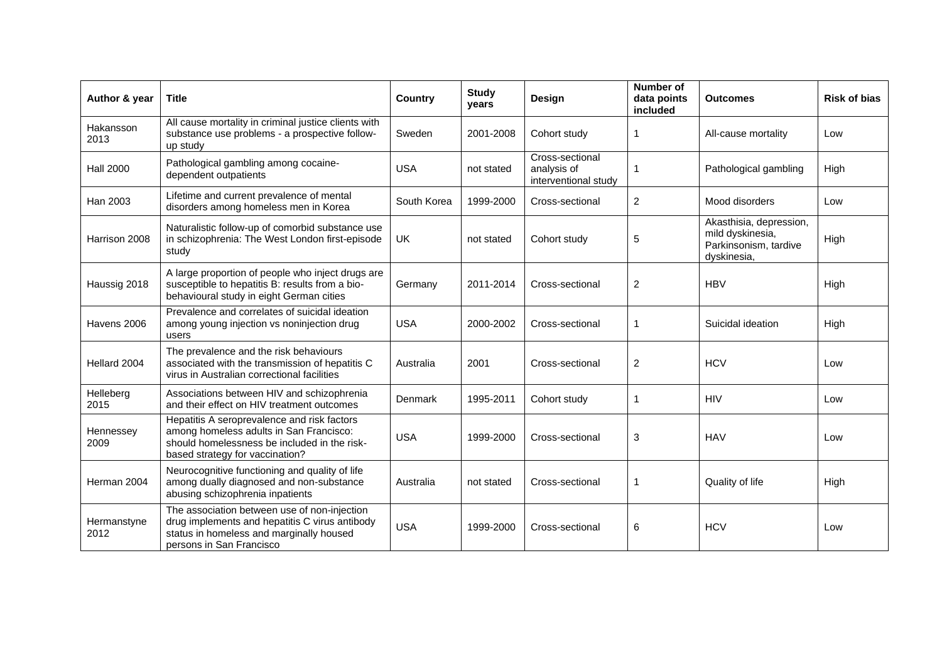| Author & year       | Title                                                                                                                                                                     | Country     | <b>Study</b><br>years | Design                                                 | <b>Number of</b><br>data points<br>included | <b>Outcomes</b>                                                                     | <b>Risk of bias</b> |
|---------------------|---------------------------------------------------------------------------------------------------------------------------------------------------------------------------|-------------|-----------------------|--------------------------------------------------------|---------------------------------------------|-------------------------------------------------------------------------------------|---------------------|
| Hakansson<br>2013   | All cause mortality in criminal justice clients with<br>substance use problems - a prospective follow-<br>up study                                                        | Sweden      | 2001-2008             | Cohort study                                           | 1                                           | All-cause mortality                                                                 | Low                 |
| <b>Hall 2000</b>    | Pathological gambling among cocaine-<br>dependent outpatients                                                                                                             | <b>USA</b>  | not stated            | Cross-sectional<br>analysis of<br>interventional study | 1                                           | Pathological gambling                                                               | High                |
| Han 2003            | Lifetime and current prevalence of mental<br>disorders among homeless men in Korea                                                                                        | South Korea | 1999-2000             | Cross-sectional                                        | $\overline{2}$                              | Mood disorders                                                                      | Low                 |
| Harrison 2008       | Naturalistic follow-up of comorbid substance use<br>in schizophrenia: The West London first-episode<br>study                                                              | UK          | not stated            | Cohort study                                           | 5                                           | Akasthisia, depression,<br>mild dyskinesia,<br>Parkinsonism, tardive<br>dyskinesia, | High                |
| Haussig 2018        | A large proportion of people who inject drugs are<br>susceptible to hepatitis B: results from a bio-<br>behavioural study in eight German cities                          | Germany     | 2011-2014             | Cross-sectional                                        | $\overline{c}$                              | <b>HBV</b>                                                                          | High                |
| Havens 2006         | Prevalence and correlates of suicidal ideation<br>among young injection vs noninjection drug<br>users                                                                     | <b>USA</b>  | 2000-2002             | Cross-sectional                                        | 1                                           | Suicidal ideation                                                                   | High                |
| Hellard 2004        | The prevalence and the risk behaviours<br>associated with the transmission of hepatitis C<br>virus in Australian correctional facilities                                  | Australia   | 2001                  | Cross-sectional                                        | $\overline{2}$                              | <b>HCV</b>                                                                          | Low                 |
| Helleberg<br>2015   | Associations between HIV and schizophrenia<br>and their effect on HIV treatment outcomes                                                                                  | Denmark     | 1995-2011             | Cohort study                                           | 1                                           | <b>HIV</b>                                                                          | Low                 |
| Hennessey<br>2009   | Hepatitis A seroprevalence and risk factors<br>among homeless adults in San Francisco:<br>should homelessness be included in the risk-<br>based strategy for vaccination? | <b>USA</b>  | 1999-2000             | Cross-sectional                                        | 3                                           | <b>HAV</b>                                                                          | Low                 |
| Herman 2004         | Neurocognitive functioning and quality of life<br>among dually diagnosed and non-substance<br>abusing schizophrenia inpatients                                            | Australia   | not stated            | Cross-sectional                                        | 1                                           | Quality of life                                                                     | High                |
| Hermanstyne<br>2012 | The association between use of non-injection<br>drug implements and hepatitis C virus antibody<br>status in homeless and marginally housed<br>persons in San Francisco    | <b>USA</b>  | 1999-2000             | Cross-sectional                                        | 6                                           | <b>HCV</b>                                                                          | Low                 |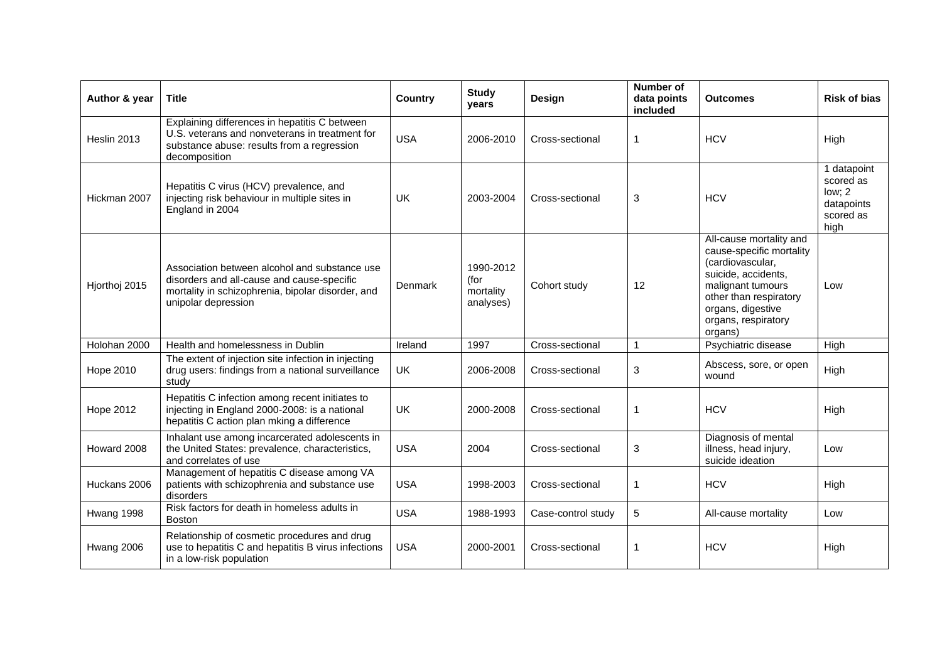| Author & year    | Title                                                                                                                                                                   | <b>Country</b> | <b>Study</b><br>years                       | <b>Design</b>      | <b>Number of</b><br>data points<br>included | <b>Outcomes</b>                                                                                                                                                                                      | <b>Risk of bias</b>                                                   |
|------------------|-------------------------------------------------------------------------------------------------------------------------------------------------------------------------|----------------|---------------------------------------------|--------------------|---------------------------------------------|------------------------------------------------------------------------------------------------------------------------------------------------------------------------------------------------------|-----------------------------------------------------------------------|
| Heslin 2013      | Explaining differences in hepatitis C between<br>U.S. veterans and nonveterans in treatment for<br>substance abuse: results from a regression<br>decomposition          | <b>USA</b>     | 2006-2010                                   | Cross-sectional    | 1                                           | <b>HCV</b>                                                                                                                                                                                           | High                                                                  |
| Hickman 2007     | Hepatitis C virus (HCV) prevalence, and<br>injecting risk behaviour in multiple sites in<br>England in 2004                                                             | UK             | 2003-2004                                   | Cross-sectional    | 3                                           | <b>HCV</b>                                                                                                                                                                                           | 1 datapoint<br>scored as<br>low: 2<br>datapoints<br>scored as<br>high |
| Hjorthoj 2015    | Association between alcohol and substance use<br>disorders and all-cause and cause-specific<br>mortality in schizophrenia, bipolar disorder, and<br>unipolar depression | Denmark        | 1990-2012<br>(for<br>mortality<br>analyses) | Cohort study       | 12                                          | All-cause mortality and<br>cause-specific mortality<br>(cardiovascular,<br>suicide, accidents,<br>malignant tumours<br>other than respiratory<br>organs, digestive<br>organs, respiratory<br>organs) | Low                                                                   |
| Holohan 2000     | Health and homelessness in Dublin                                                                                                                                       | Ireland        | 1997                                        | Cross-sectional    | $\mathbf{1}$                                | Psychiatric disease                                                                                                                                                                                  | High                                                                  |
| Hope 2010        | The extent of injection site infection in injecting<br>drug users: findings from a national surveillance<br>study                                                       | UK             | 2006-2008                                   | Cross-sectional    | 3                                           | Abscess, sore, or open<br>wound                                                                                                                                                                      | High                                                                  |
| <b>Hope 2012</b> | Hepatitis C infection among recent initiates to<br>injecting in England 2000-2008: is a national<br>hepatitis C action plan mking a difference                          | UK             | 2000-2008                                   | Cross-sectional    | 1                                           | <b>HCV</b>                                                                                                                                                                                           | High                                                                  |
| Howard 2008      | Inhalant use among incarcerated adolescents in<br>the United States: prevalence, characteristics,<br>and correlates of use                                              | <b>USA</b>     | 2004                                        | Cross-sectional    | 3                                           | Diagnosis of mental<br>illness, head injury,<br>suicide ideation                                                                                                                                     | Low                                                                   |
| Huckans 2006     | Management of hepatitis C disease among VA<br>patients with schizophrenia and substance use<br>disorders                                                                | <b>USA</b>     | 1998-2003                                   | Cross-sectional    | 1                                           | <b>HCV</b>                                                                                                                                                                                           | High                                                                  |
| Hwang 1998       | Risk factors for death in homeless adults in<br><b>Boston</b>                                                                                                           | <b>USA</b>     | 1988-1993                                   | Case-control study | 5                                           | All-cause mortality                                                                                                                                                                                  | Low                                                                   |
| Hwang 2006       | Relationship of cosmetic procedures and drug<br>use to hepatitis C and hepatitis B virus infections<br>in a low-risk population                                         | <b>USA</b>     | 2000-2001                                   | Cross-sectional    | 1                                           | <b>HCV</b>                                                                                                                                                                                           | High                                                                  |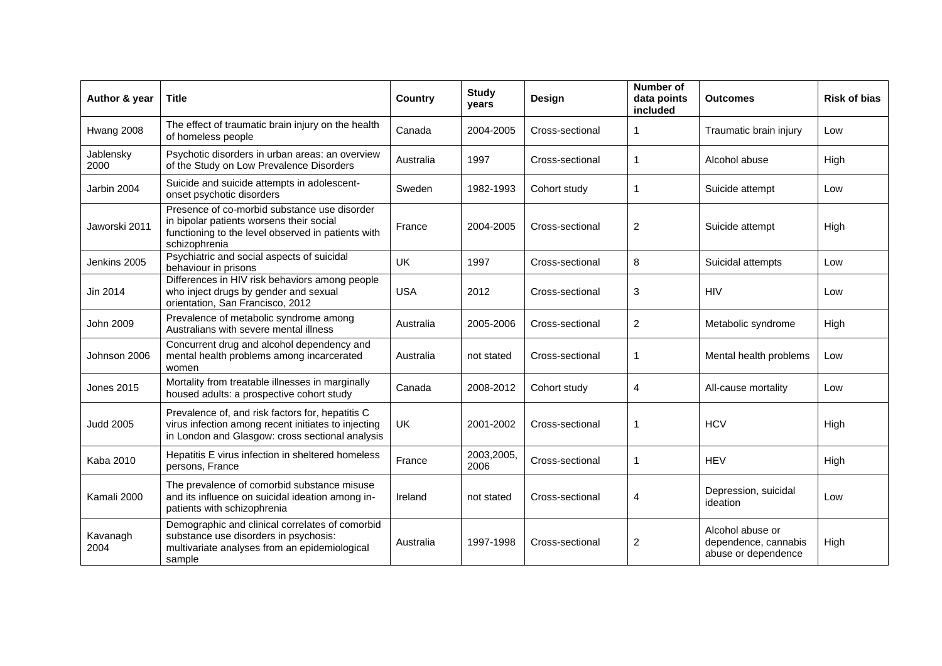| Author & year     | <b>Title</b>                                                                                                                                                    | <b>Country</b> | <b>Study</b><br>years | Design          | <b>Number of</b><br>data points<br>included | <b>Outcomes</b>                                                 | <b>Risk of bias</b> |
|-------------------|-----------------------------------------------------------------------------------------------------------------------------------------------------------------|----------------|-----------------------|-----------------|---------------------------------------------|-----------------------------------------------------------------|---------------------|
| Hwang 2008        | The effect of traumatic brain injury on the health<br>of homeless people                                                                                        | Canada         | 2004-2005             | Cross-sectional | 1                                           | Traumatic brain injury                                          | Low                 |
| Jablensky<br>2000 | Psychotic disorders in urban areas: an overview<br>of the Study on Low Prevalence Disorders                                                                     | Australia      | 1997                  | Cross-sectional | 1                                           | Alcohol abuse                                                   | High                |
| Jarbin 2004       | Suicide and suicide attempts in adolescent-<br>onset psychotic disorders                                                                                        | Sweden         | 1982-1993             | Cohort study    | 1                                           | Suicide attempt                                                 | Low                 |
| Jaworski 2011     | Presence of co-morbid substance use disorder<br>in bipolar patients worsens their social<br>functioning to the level observed in patients with<br>schizophrenia | France         | 2004-2005             | Cross-sectional | $\overline{c}$                              | Suicide attempt                                                 | High                |
| Jenkins 2005      | Psychiatric and social aspects of suicidal<br>behaviour in prisons                                                                                              | <b>UK</b>      | 1997                  | Cross-sectional | 8                                           | Suicidal attempts                                               | Low                 |
| Jin 2014          | Differences in HIV risk behaviors among people<br>who inject drugs by gender and sexual<br>orientation, San Francisco, 2012                                     | <b>USA</b>     | 2012                  | Cross-sectional | 3                                           | <b>HIV</b>                                                      | Low                 |
| John 2009         | Prevalence of metabolic syndrome among<br>Australians with severe mental illness                                                                                | Australia      | 2005-2006             | Cross-sectional | 2                                           | Metabolic syndrome                                              | High                |
| Johnson 2006      | Concurrent drug and alcohol dependency and<br>mental health problems among incarcerated<br>women                                                                | Australia      | not stated            | Cross-sectional | 1                                           | Mental health problems                                          | Low                 |
| <b>Jones 2015</b> | Mortality from treatable illnesses in marginally<br>housed adults: a prospective cohort study                                                                   | Canada         | 2008-2012             | Cohort study    | 4                                           | All-cause mortality                                             | Low                 |
| <b>Judd 2005</b>  | Prevalence of, and risk factors for, hepatitis C<br>virus infection among recent initiates to injecting<br>in London and Glasgow: cross sectional analysis      | <b>UK</b>      | 2001-2002             | Cross-sectional | 1                                           | <b>HCV</b>                                                      | High                |
| <b>Kaba 2010</b>  | Hepatitis E virus infection in sheltered homeless<br>persons, France                                                                                            | France         | 2003,2005,<br>2006    | Cross-sectional | 1                                           | <b>HEV</b>                                                      | High                |
| Kamali 2000       | The prevalence of comorbid substance misuse<br>and its influence on suicidal ideation among in-<br>patients with schizophrenia                                  | Ireland        | not stated            | Cross-sectional | 4                                           | Depression, suicidal<br>ideation                                | Low                 |
| Kavanagh<br>2004  | Demographic and clinical correlates of comorbid<br>substance use disorders in psychosis:<br>multivariate analyses from an epidemiological<br>sample             | Australia      | 1997-1998             | Cross-sectional | $\overline{c}$                              | Alcohol abuse or<br>dependence, cannabis<br>abuse or dependence | High                |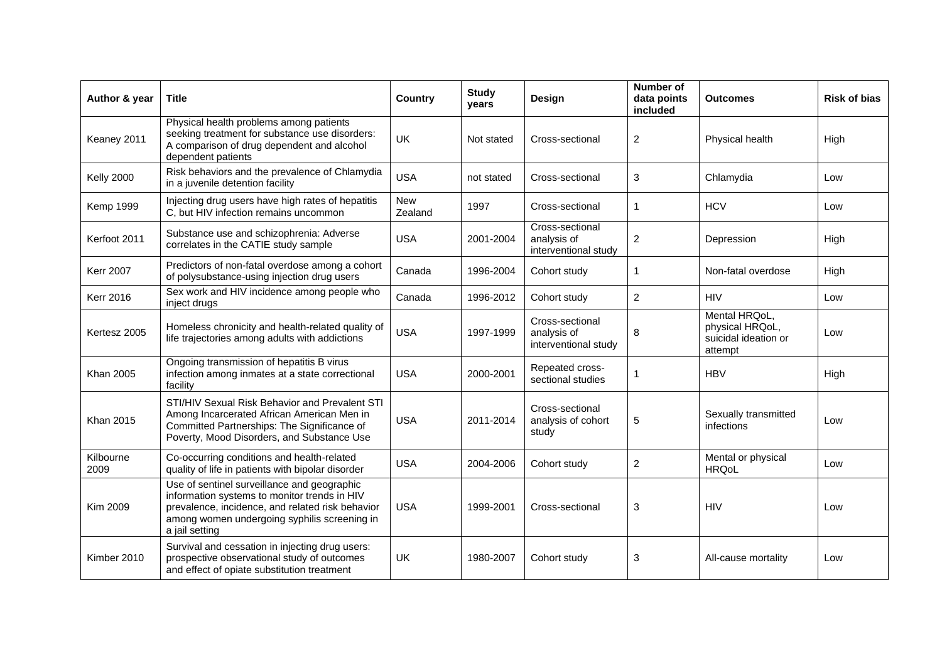| Author & year     | <b>Title</b>                                                                                                                                                                                                      | Country               | <b>Study</b><br>years | Design                                                 | Number of<br>data points<br>included | <b>Outcomes</b>                                                     | <b>Risk of bias</b> |
|-------------------|-------------------------------------------------------------------------------------------------------------------------------------------------------------------------------------------------------------------|-----------------------|-----------------------|--------------------------------------------------------|--------------------------------------|---------------------------------------------------------------------|---------------------|
| Keaney 2011       | Physical health problems among patients<br>seeking treatment for substance use disorders:<br>A comparison of drug dependent and alcohol<br>dependent patients                                                     | UK                    | Not stated            | Cross-sectional                                        | $\mathbf{2}$                         | Physical health                                                     | High                |
| <b>Kelly 2000</b> | Risk behaviors and the prevalence of Chlamydia<br>in a juvenile detention facility                                                                                                                                | <b>USA</b>            | not stated            | Cross-sectional                                        | 3                                    | Chlamydia                                                           | Low                 |
| <b>Kemp 1999</b>  | Injecting drug users have high rates of hepatitis<br>C, but HIV infection remains uncommon                                                                                                                        | <b>New</b><br>Zealand | 1997                  | Cross-sectional                                        | 1                                    | <b>HCV</b>                                                          | Low                 |
| Kerfoot 2011      | Substance use and schizophrenia: Adverse<br>correlates in the CATIE study sample                                                                                                                                  | <b>USA</b>            | 2001-2004             | Cross-sectional<br>analysis of<br>interventional study | $\overline{2}$                       | Depression                                                          | High                |
| <b>Kerr 2007</b>  | Predictors of non-fatal overdose among a cohort<br>of polysubstance-using injection drug users                                                                                                                    | Canada                | 1996-2004             | Cohort study                                           | 1                                    | Non-fatal overdose                                                  | High                |
| <b>Kerr 2016</b>  | Sex work and HIV incidence among people who<br>inject drugs                                                                                                                                                       | Canada                | 1996-2012             | Cohort study                                           | $\overline{2}$                       | <b>HIV</b>                                                          | Low                 |
| Kertesz 2005      | Homeless chronicity and health-related quality of<br>life trajectories among adults with addictions                                                                                                               | <b>USA</b>            | 1997-1999             | Cross-sectional<br>analysis of<br>interventional study | 8                                    | Mental HRQoL,<br>physical HRQoL,<br>suicidal ideation or<br>attempt | Low                 |
| <b>Khan 2005</b>  | Ongoing transmission of hepatitis B virus<br>infection among inmates at a state correctional<br>facility                                                                                                          | <b>USA</b>            | 2000-2001             | Repeated cross-<br>sectional studies                   | 1                                    | <b>HBV</b>                                                          | High                |
| <b>Khan 2015</b>  | STI/HIV Sexual Risk Behavior and Prevalent STI<br>Among Incarcerated African American Men in<br>Committed Partnerships: The Significance of<br>Poverty, Mood Disorders, and Substance Use                         | <b>USA</b>            | 2011-2014             | Cross-sectional<br>analysis of cohort<br>study         | 5                                    | Sexually transmitted<br>infections                                  | Low                 |
| Kilbourne<br>2009 | Co-occurring conditions and health-related<br>quality of life in patients with bipolar disorder                                                                                                                   | <b>USA</b>            | 2004-2006             | Cohort study                                           | $\overline{c}$                       | Mental or physical<br><b>HRQoL</b>                                  | Low                 |
| Kim 2009          | Use of sentinel surveillance and geographic<br>information systems to monitor trends in HIV<br>prevalence, incidence, and related risk behavior<br>among women undergoing syphilis screening in<br>a jail setting | <b>USA</b>            | 1999-2001             | Cross-sectional                                        | 3                                    | <b>HIV</b>                                                          | Low                 |
| Kimber 2010       | Survival and cessation in injecting drug users:<br>prospective observational study of outcomes<br>and effect of opiate substitution treatment                                                                     | UK                    | 1980-2007             | Cohort study                                           | 3                                    | All-cause mortality                                                 | Low                 |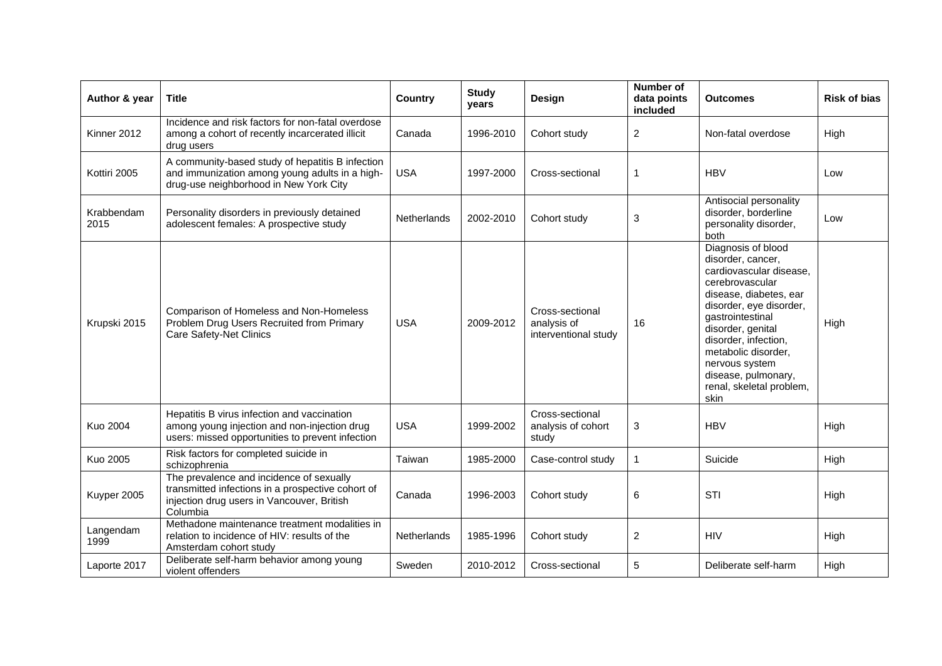| Author & year      | <b>Title</b>                                                                                                                                            | <b>Country</b> | <b>Study</b><br>years | Design                                                 | Number of<br>data points<br>included | <b>Outcomes</b>                                                                                                                                                                                                                                                                                                 | <b>Risk of bias</b> |
|--------------------|---------------------------------------------------------------------------------------------------------------------------------------------------------|----------------|-----------------------|--------------------------------------------------------|--------------------------------------|-----------------------------------------------------------------------------------------------------------------------------------------------------------------------------------------------------------------------------------------------------------------------------------------------------------------|---------------------|
| Kinner 2012        | Incidence and risk factors for non-fatal overdose<br>among a cohort of recently incarcerated illicit<br>drug users                                      | Canada         | 1996-2010             | Cohort study                                           | $\overline{2}$                       | Non-fatal overdose                                                                                                                                                                                                                                                                                              | High                |
| Kottiri 2005       | A community-based study of hepatitis B infection<br>and immunization among young adults in a high-<br>drug-use neighborhood in New York City            | <b>USA</b>     | 1997-2000             | Cross-sectional                                        | 1                                    | <b>HBV</b>                                                                                                                                                                                                                                                                                                      | Low                 |
| Krabbendam<br>2015 | Personality disorders in previously detained<br>adolescent females: A prospective study                                                                 | Netherlands    | 2002-2010             | Cohort study                                           | 3                                    | Antisocial personality<br>disorder, borderline<br>personality disorder,<br>both                                                                                                                                                                                                                                 | Low                 |
| Krupski 2015       | Comparison of Homeless and Non-Homeless<br>Problem Drug Users Recruited from Primary<br><b>Care Safety-Net Clinics</b>                                  | <b>USA</b>     | 2009-2012             | Cross-sectional<br>analysis of<br>interventional study | 16                                   | Diagnosis of blood<br>disorder, cancer,<br>cardiovascular disease,<br>cerebrovascular<br>disease, diabetes, ear<br>disorder, eye disorder,<br>gastrointestinal<br>disorder, genital<br>disorder, infection,<br>metabolic disorder,<br>nervous system<br>disease, pulmonary,<br>renal, skeletal problem,<br>skin | High                |
| <b>Kuo 2004</b>    | Hepatitis B virus infection and vaccination<br>among young injection and non-injection drug<br>users: missed opportunities to prevent infection         | <b>USA</b>     | 1999-2002             | Cross-sectional<br>analysis of cohort<br>study         | 3                                    | <b>HBV</b>                                                                                                                                                                                                                                                                                                      | High                |
| Kuo 2005           | Risk factors for completed suicide in<br>schizophrenia                                                                                                  | Taiwan         | 1985-2000             | Case-control study                                     | 1                                    | Suicide                                                                                                                                                                                                                                                                                                         | High                |
| Kuyper 2005        | The prevalence and incidence of sexually<br>transmitted infections in a prospective cohort of<br>injection drug users in Vancouver, British<br>Columbia | Canada         | 1996-2003             | Cohort study                                           | 6                                    | <b>STI</b>                                                                                                                                                                                                                                                                                                      | High                |
| Langendam<br>1999  | Methadone maintenance treatment modalities in<br>relation to incidence of HIV: results of the<br>Amsterdam cohort study                                 | Netherlands    | 1985-1996             | Cohort study                                           | $\overline{2}$                       | <b>HIV</b>                                                                                                                                                                                                                                                                                                      | High                |
| Laporte 2017       | Deliberate self-harm behavior among young<br>violent offenders                                                                                          | Sweden         | 2010-2012             | Cross-sectional                                        | 5                                    | Deliberate self-harm                                                                                                                                                                                                                                                                                            | High                |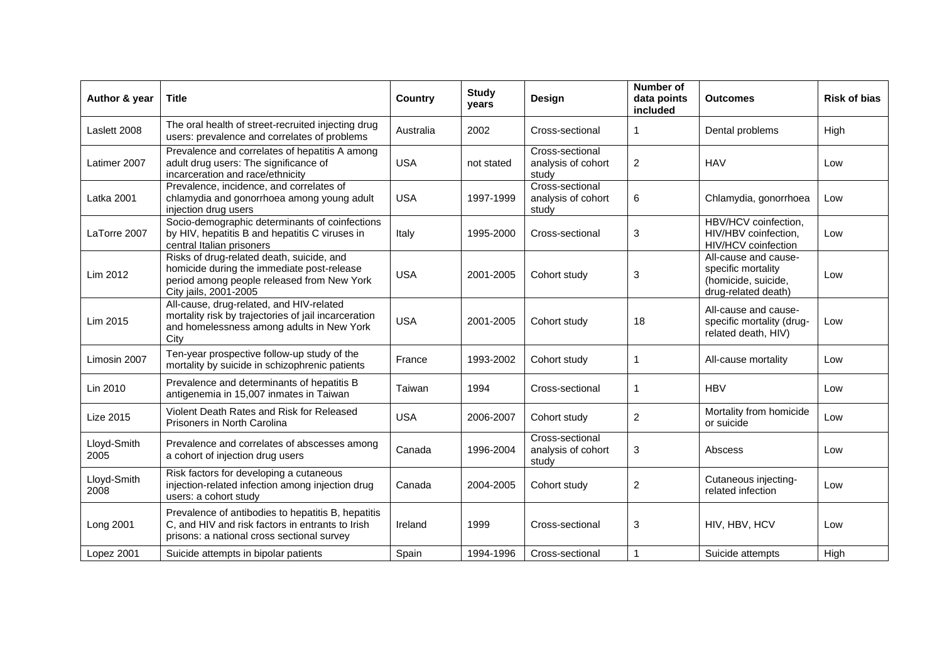| Author & year       | Title                                                                                                                                                          | Country    | <b>Study</b><br>years | Design                                         | <b>Number of</b><br>data points<br>included | <b>Outcomes</b>                                                                          | <b>Risk of bias</b> |
|---------------------|----------------------------------------------------------------------------------------------------------------------------------------------------------------|------------|-----------------------|------------------------------------------------|---------------------------------------------|------------------------------------------------------------------------------------------|---------------------|
| Laslett 2008        | The oral health of street-recruited injecting drug<br>users: prevalence and correlates of problems                                                             | Australia  | 2002                  | Cross-sectional                                | 1                                           | Dental problems                                                                          | High                |
| Latimer 2007        | Prevalence and correlates of hepatitis A among<br>adult drug users: The significance of<br>incarceration and race/ethnicity                                    | <b>USA</b> | not stated            | Cross-sectional<br>analysis of cohort<br>study | $\overline{2}$                              | <b>HAV</b>                                                                               | Low                 |
| Latka 2001          | Prevalence, incidence, and correlates of<br>chlamydia and gonorrhoea among young adult<br>injection drug users                                                 | <b>USA</b> | 1997-1999             | Cross-sectional<br>analysis of cohort<br>study | 6                                           | Chlamydia, gonorrhoea                                                                    | Low                 |
| LaTorre 2007        | Socio-demographic determinants of coinfections<br>by HIV, hepatitis B and hepatitis C viruses in<br>central Italian prisoners                                  | Italy      | 1995-2000             | Cross-sectional                                | 3                                           | HBV/HCV coinfection,<br>HIV/HBV coinfection,<br>HIV/HCV coinfection                      | Low                 |
| Lim 2012            | Risks of drug-related death, suicide, and<br>homicide during the immediate post-release<br>period among people released from New York<br>City jails, 2001-2005 | <b>USA</b> | 2001-2005             | Cohort study                                   | 3                                           | All-cause and cause-<br>specific mortality<br>(homicide, suicide,<br>drug-related death) | Low                 |
| Lim 2015            | All-cause, drug-related, and HIV-related<br>mortality risk by trajectories of jail incarceration<br>and homelessness among adults in New York<br>City          | <b>USA</b> | 2001-2005             | Cohort study                                   | 18                                          | All-cause and cause-<br>specific mortality (drug-<br>related death, HIV)                 | Low                 |
| Limosin 2007        | Ten-year prospective follow-up study of the<br>mortality by suicide in schizophrenic patients                                                                  | France     | 1993-2002             | Cohort study                                   | 1                                           | All-cause mortality                                                                      | Low                 |
| Lin 2010            | Prevalence and determinants of hepatitis B<br>antigenemia in 15,007 inmates in Taiwan                                                                          | Taiwan     | 1994                  | Cross-sectional                                | 1                                           | <b>HBV</b>                                                                               | Low                 |
| Lize 2015           | Violent Death Rates and Risk for Released<br>Prisoners in North Carolina                                                                                       | <b>USA</b> | 2006-2007             | Cohort study                                   | $\overline{2}$                              | Mortality from homicide<br>or suicide                                                    | Low                 |
| Lloyd-Smith<br>2005 | Prevalence and correlates of abscesses among<br>a cohort of injection drug users                                                                               | Canada     | 1996-2004             | Cross-sectional<br>analysis of cohort<br>study | 3                                           | Abscess                                                                                  | Low                 |
| Lloyd-Smith<br>2008 | Risk factors for developing a cutaneous<br>injection-related infection among injection drug<br>users: a cohort study                                           | Canada     | 2004-2005             | Cohort study                                   | $\overline{c}$                              | Cutaneous injecting-<br>related infection                                                | Low                 |
| Long 2001           | Prevalence of antibodies to hepatitis B, hepatitis<br>C, and HIV and risk factors in entrants to Irish<br>prisons: a national cross sectional survey           | Ireland    | 1999                  | Cross-sectional                                | 3                                           | HIV, HBV, HCV                                                                            | Low                 |
| Lopez 2001          | Suicide attempts in bipolar patients                                                                                                                           | Spain      | 1994-1996             | Cross-sectional                                | 1                                           | Suicide attempts                                                                         | High                |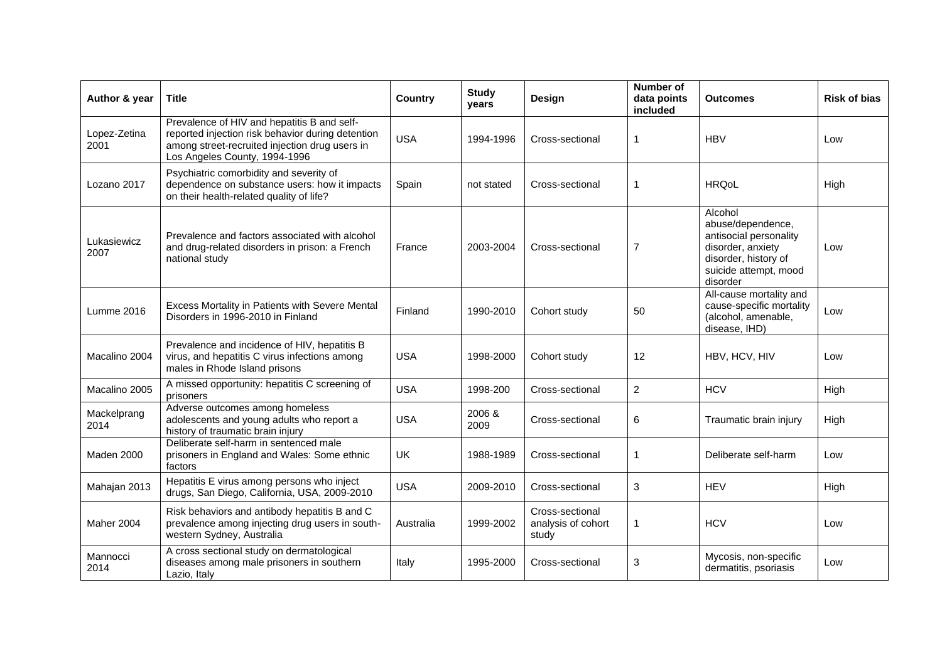| Author & year        | <b>Title</b>                                                                                                                                                                        | Country    | <b>Study</b><br>years | Design                                         | <b>Number of</b><br>data points<br>included | <b>Outcomes</b>                                                                                                                          | <b>Risk of bias</b> |
|----------------------|-------------------------------------------------------------------------------------------------------------------------------------------------------------------------------------|------------|-----------------------|------------------------------------------------|---------------------------------------------|------------------------------------------------------------------------------------------------------------------------------------------|---------------------|
| Lopez-Zetina<br>2001 | Prevalence of HIV and hepatitis B and self-<br>reported injection risk behavior during detention<br>among street-recruited injection drug users in<br>Los Angeles County, 1994-1996 | <b>USA</b> | 1994-1996             | Cross-sectional                                | 1                                           | <b>HBV</b>                                                                                                                               | Low                 |
| Lozano 2017          | Psychiatric comorbidity and severity of<br>dependence on substance users: how it impacts<br>on their health-related quality of life?                                                | Spain      | not stated            | Cross-sectional                                | 1                                           | <b>HRQoL</b>                                                                                                                             | High                |
| Lukasiewicz<br>2007  | Prevalence and factors associated with alcohol<br>and drug-related disorders in prison: a French<br>national study                                                                  | France     | 2003-2004             | Cross-sectional                                | $\overline{7}$                              | Alcohol<br>abuse/dependence,<br>antisocial personality<br>disorder, anxiety<br>disorder, history of<br>suicide attempt, mood<br>disorder | Low                 |
| Lumme 2016           | Excess Mortality in Patients with Severe Mental<br>Disorders in 1996-2010 in Finland                                                                                                | Finland    | 1990-2010             | Cohort study                                   | 50                                          | All-cause mortality and<br>cause-specific mortality<br>(alcohol, amenable,<br>disease, IHD)                                              | Low                 |
| Macalino 2004        | Prevalence and incidence of HIV, hepatitis B<br>virus, and hepatitis C virus infections among<br>males in Rhode Island prisons                                                      | <b>USA</b> | 1998-2000             | Cohort study                                   | 12                                          | HBV, HCV, HIV                                                                                                                            | Low                 |
| Macalino 2005        | A missed opportunity: hepatitis C screening of<br>prisoners                                                                                                                         | <b>USA</b> | 1998-200              | Cross-sectional                                | $\overline{c}$                              | <b>HCV</b>                                                                                                                               | High                |
| Mackelprang<br>2014  | Adverse outcomes among homeless<br>adolescents and young adults who report a<br>history of traumatic brain injury                                                                   | <b>USA</b> | 2006 &<br>2009        | Cross-sectional                                | 6                                           | Traumatic brain injury                                                                                                                   | High                |
| Maden 2000           | Deliberate self-harm in sentenced male<br>prisoners in England and Wales: Some ethnic<br>factors                                                                                    | <b>UK</b>  | 1988-1989             | Cross-sectional                                | 1                                           | Deliberate self-harm                                                                                                                     | Low                 |
| Mahajan 2013         | Hepatitis E virus among persons who inject<br>drugs, San Diego, California, USA, 2009-2010                                                                                          | <b>USA</b> | 2009-2010             | Cross-sectional                                | 3                                           | <b>HEV</b>                                                                                                                               | High                |
| Maher 2004           | Risk behaviors and antibody hepatitis B and C<br>prevalence among injecting drug users in south-<br>western Sydney, Australia                                                       | Australia  | 1999-2002             | Cross-sectional<br>analysis of cohort<br>study | 1                                           | <b>HCV</b>                                                                                                                               | Low                 |
| Mannocci<br>2014     | A cross sectional study on dermatological<br>diseases among male prisoners in southern<br>Lazio, Italy                                                                              | Italy      | 1995-2000             | Cross-sectional                                | 3                                           | Mycosis, non-specific<br>dermatitis, psoriasis                                                                                           | Low                 |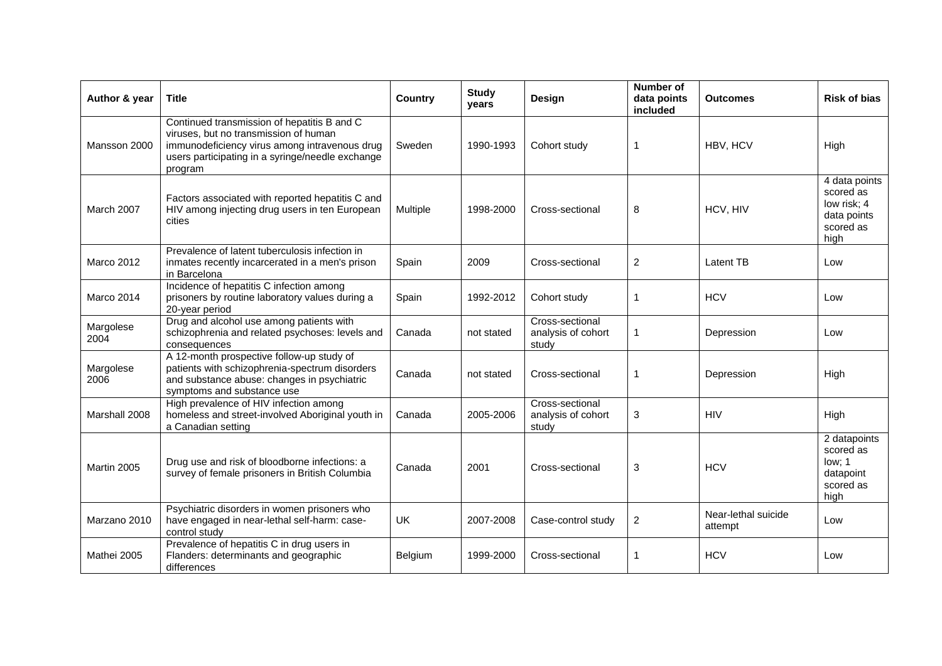| Author & year     | <b>Title</b>                                                                                                                                                                                         | <b>Country</b> | <b>Study</b><br>years | Design                                         | Number of<br>data points<br>included | <b>Outcomes</b>                | <b>Risk of bias</b>                                                           |
|-------------------|------------------------------------------------------------------------------------------------------------------------------------------------------------------------------------------------------|----------------|-----------------------|------------------------------------------------|--------------------------------------|--------------------------------|-------------------------------------------------------------------------------|
| Mansson 2000      | Continued transmission of hepatitis B and C<br>viruses, but no transmission of human<br>immunodeficiency virus among intravenous drug<br>users participating in a syringe/needle exchange<br>program | Sweden         | 1990-1993             | Cohort study                                   | 1                                    | HBV, HCV                       | High                                                                          |
| March 2007        | Factors associated with reported hepatitis C and<br>HIV among injecting drug users in ten European<br>cities                                                                                         | Multiple       | 1998-2000             | Cross-sectional                                | 8                                    | HCV, HIV                       | 4 data points<br>scored as<br>low risk: 4<br>data points<br>scored as<br>high |
| Marco 2012        | Prevalence of latent tuberculosis infection in<br>inmates recently incarcerated in a men's prison<br>in Barcelona                                                                                    | Spain          | 2009                  | Cross-sectional                                | 2                                    | <b>Latent TB</b>               | Low                                                                           |
| Marco 2014        | Incidence of hepatitis C infection among<br>prisoners by routine laboratory values during a<br>20-year period                                                                                        | Spain          | 1992-2012             | Cohort study                                   | 1                                    | <b>HCV</b>                     | Low                                                                           |
| Margolese<br>2004 | Drug and alcohol use among patients with<br>schizophrenia and related psychoses: levels and<br>consequences                                                                                          | Canada         | not stated            | Cross-sectional<br>analysis of cohort<br>study | 1                                    | Depression                     | Low                                                                           |
| Margolese<br>2006 | A 12-month prospective follow-up study of<br>patients with schizophrenia-spectrum disorders<br>and substance abuse: changes in psychiatric<br>symptoms and substance use                             | Canada         | not stated            | Cross-sectional                                | 1                                    | Depression                     | High                                                                          |
| Marshall 2008     | High prevalence of HIV infection among<br>homeless and street-involved Aboriginal youth in<br>a Canadian setting                                                                                     | Canada         | 2005-2006             | Cross-sectional<br>analysis of cohort<br>study | 3                                    | <b>HIV</b>                     | High                                                                          |
| Martin 2005       | Drug use and risk of bloodborne infections: a<br>survey of female prisoners in British Columbia                                                                                                      | Canada         | 2001                  | Cross-sectional                                | 3                                    | <b>HCV</b>                     | 2 datapoints<br>scored as<br>low; 1<br>datapoint<br>scored as<br>high         |
| Marzano 2010      | Psychiatric disorders in women prisoners who<br>have engaged in near-lethal self-harm: case-<br>control study                                                                                        | UK             | 2007-2008             | Case-control study                             | $\overline{2}$                       | Near-lethal suicide<br>attempt | Low                                                                           |
| Mathei 2005       | Prevalence of hepatitis C in drug users in<br>Flanders: determinants and geographic<br>differences                                                                                                   | Belgium        | 1999-2000             | Cross-sectional                                | 1                                    | <b>HCV</b>                     | Low                                                                           |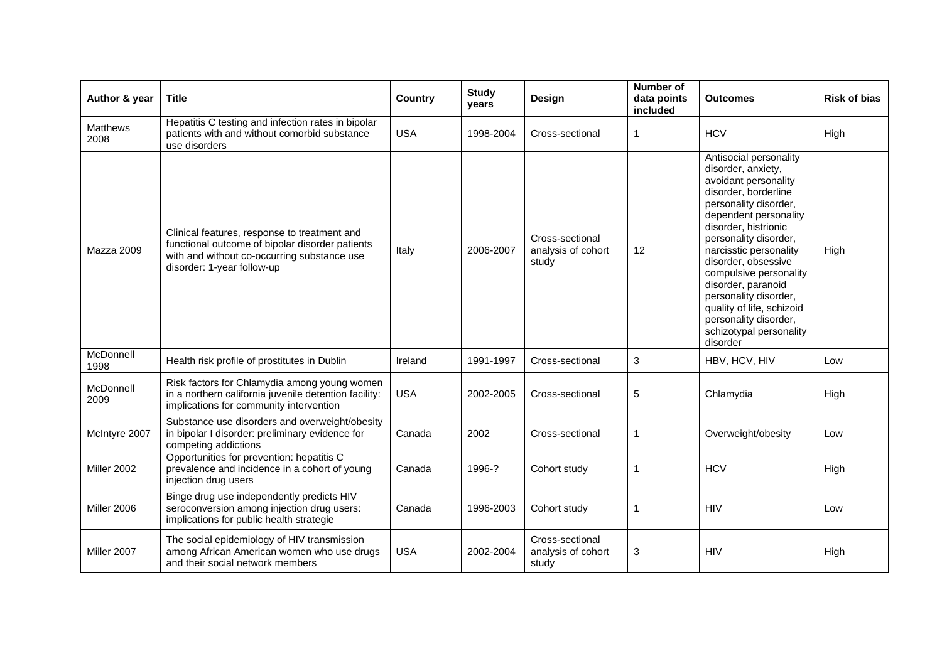| Author & year           | <b>Title</b>                                                                                                                                                                 | Country    | <b>Study</b><br>years | Design                                         | <b>Number of</b><br>data points<br>included | <b>Outcomes</b>                                                                                                                                                                                                                                                                                                                                                                                                        | <b>Risk of bias</b> |
|-------------------------|------------------------------------------------------------------------------------------------------------------------------------------------------------------------------|------------|-----------------------|------------------------------------------------|---------------------------------------------|------------------------------------------------------------------------------------------------------------------------------------------------------------------------------------------------------------------------------------------------------------------------------------------------------------------------------------------------------------------------------------------------------------------------|---------------------|
| <b>Matthews</b><br>2008 | Hepatitis C testing and infection rates in bipolar<br>patients with and without comorbid substance<br>use disorders                                                          | <b>USA</b> | 1998-2004             | Cross-sectional                                | $\mathbf{1}$                                | <b>HCV</b>                                                                                                                                                                                                                                                                                                                                                                                                             | High                |
| Mazza 2009              | Clinical features, response to treatment and<br>functional outcome of bipolar disorder patients<br>with and without co-occurring substance use<br>disorder: 1-year follow-up | Italy      | 2006-2007             | Cross-sectional<br>analysis of cohort<br>study | 12                                          | Antisocial personality<br>disorder, anxiety,<br>avoidant personality<br>disorder, borderline<br>personality disorder,<br>dependent personality<br>disorder, histrionic<br>personality disorder,<br>narcisstic personality<br>disorder, obsessive<br>compulsive personality<br>disorder, paranoid<br>personality disorder,<br>quality of life, schizoid<br>personality disorder,<br>schizotypal personality<br>disorder | High                |
| McDonnell<br>1998       | Health risk profile of prostitutes in Dublin                                                                                                                                 | Ireland    | 1991-1997             | Cross-sectional                                | 3                                           | HBV, HCV, HIV                                                                                                                                                                                                                                                                                                                                                                                                          | Low                 |
| McDonnell<br>2009       | Risk factors for Chlamydia among young women<br>in a northern california juvenile detention facility:<br>implications for community intervention                             | <b>USA</b> | 2002-2005             | Cross-sectional                                | 5                                           | Chlamydia                                                                                                                                                                                                                                                                                                                                                                                                              | High                |
| McIntyre 2007           | Substance use disorders and overweight/obesity<br>in bipolar I disorder: preliminary evidence for<br>competing addictions                                                    | Canada     | 2002                  | Cross-sectional                                | -1                                          | Overweight/obesity                                                                                                                                                                                                                                                                                                                                                                                                     | Low                 |
| Miller 2002             | Opportunities for prevention: hepatitis C<br>prevalence and incidence in a cohort of young<br>injection drug users                                                           | Canada     | 1996-?                | Cohort study                                   | $\mathbf 1$                                 | <b>HCV</b>                                                                                                                                                                                                                                                                                                                                                                                                             | High                |
| Miller 2006             | Binge drug use independently predicts HIV<br>seroconversion among injection drug users:<br>implications for public health strategie                                          | Canada     | 1996-2003             | Cohort study                                   | -1                                          | <b>HIV</b>                                                                                                                                                                                                                                                                                                                                                                                                             | Low                 |
| Miller 2007             | The social epidemiology of HIV transmission<br>among African American women who use drugs<br>and their social network members                                                | <b>USA</b> | 2002-2004             | Cross-sectional<br>analysis of cohort<br>study | 3                                           | <b>HIV</b>                                                                                                                                                                                                                                                                                                                                                                                                             | High                |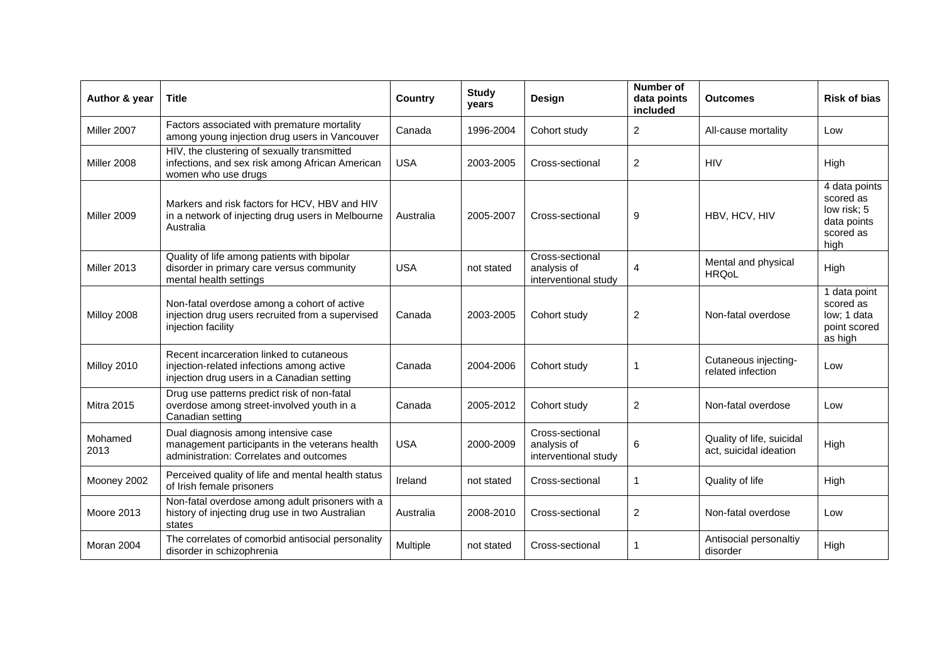| Author & year     | <b>Title</b>                                                                                                                        | <b>Country</b> | <b>Study</b><br>years | Design                                                 | Number of<br>data points<br>included | <b>Outcomes</b>                                     | Risk of bias                                                                  |
|-------------------|-------------------------------------------------------------------------------------------------------------------------------------|----------------|-----------------------|--------------------------------------------------------|--------------------------------------|-----------------------------------------------------|-------------------------------------------------------------------------------|
| Miller 2007       | Factors associated with premature mortality<br>among young injection drug users in Vancouver                                        | Canada         | 1996-2004             | Cohort study                                           | $\overline{2}$                       | All-cause mortality                                 | Low                                                                           |
| Miller 2008       | HIV, the clustering of sexually transmitted<br>infections, and sex risk among African American<br>women who use drugs               | <b>USA</b>     | 2003-2005             | Cross-sectional                                        | $\overline{2}$                       | <b>HIV</b>                                          | High                                                                          |
| Miller 2009       | Markers and risk factors for HCV, HBV and HIV<br>in a network of injecting drug users in Melbourne<br>Australia                     | Australia      | 2005-2007             | Cross-sectional                                        | 9                                    | HBV, HCV, HIV                                       | 4 data points<br>scored as<br>low risk; 5<br>data points<br>scored as<br>high |
| Miller 2013       | Quality of life among patients with bipolar<br>disorder in primary care versus community<br>mental health settings                  | <b>USA</b>     | not stated            | Cross-sectional<br>analysis of<br>interventional study | 4                                    | Mental and physical<br><b>HRQoL</b>                 | High                                                                          |
| Milloy 2008       | Non-fatal overdose among a cohort of active<br>injection drug users recruited from a supervised<br>injection facility               | Canada         | 2003-2005             | Cohort study                                           | $\overline{c}$                       | Non-fatal overdose                                  | 1 data point<br>scored as<br>low: 1 data<br>point scored<br>as high           |
| Milloy 2010       | Recent incarceration linked to cutaneous<br>injection-related infections among active<br>injection drug users in a Canadian setting | Canada         | 2004-2006             | Cohort study                                           |                                      | Cutaneous injecting-<br>related infection           | Low                                                                           |
| <b>Mitra 2015</b> | Drug use patterns predict risk of non-fatal<br>overdose among street-involved youth in a<br>Canadian setting                        | Canada         | 2005-2012             | Cohort study                                           | 2                                    | Non-fatal overdose                                  | Low                                                                           |
| Mohamed<br>2013   | Dual diagnosis among intensive case<br>management participants in the veterans health<br>administration: Correlates and outcomes    | <b>USA</b>     | 2000-2009             | Cross-sectional<br>analysis of<br>interventional study | 6                                    | Quality of life, suicidal<br>act, suicidal ideation | High                                                                          |
| Mooney 2002       | Perceived quality of life and mental health status<br>of Irish female prisoners                                                     | Ireland        | not stated            | Cross-sectional                                        | 1                                    | Quality of life                                     | High                                                                          |
| Moore 2013        | Non-fatal overdose among adult prisoners with a<br>history of injecting drug use in two Australian<br>states                        | Australia      | 2008-2010             | Cross-sectional                                        | 2                                    | Non-fatal overdose                                  | Low                                                                           |
| Moran 2004        | The correlates of comorbid antisocial personality<br>disorder in schizophrenia                                                      | Multiple       | not stated            | Cross-sectional                                        | 1                                    | Antisocial personaltiy<br>disorder                  | High                                                                          |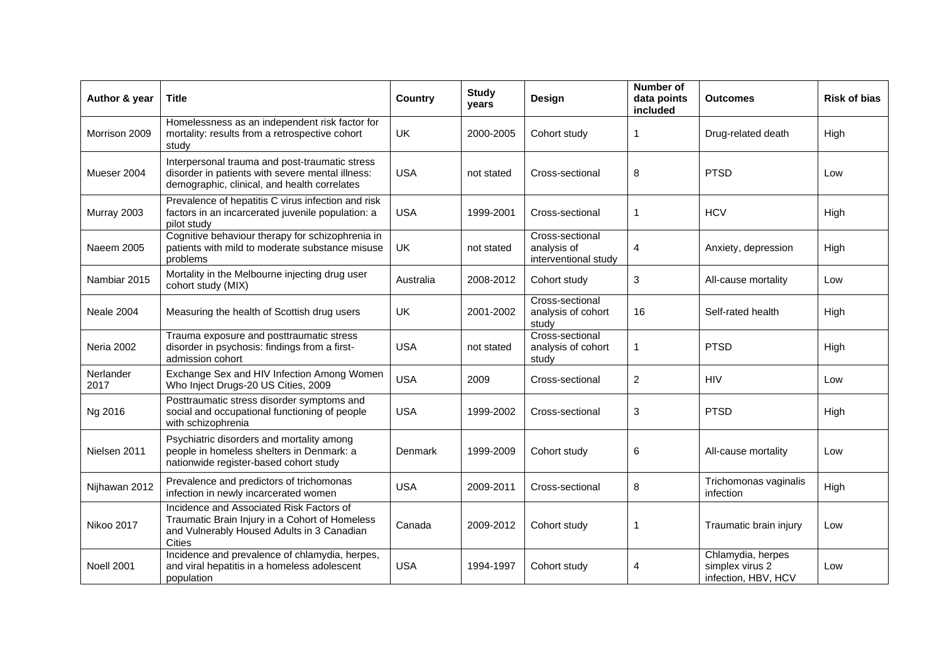| Author & year     | Title                                                                                                                                              | <b>Country</b> | <b>Study</b><br>years | Design                                                 | Number of<br>data points<br>included | <b>Outcomes</b>                                             | <b>Risk of bias</b> |
|-------------------|----------------------------------------------------------------------------------------------------------------------------------------------------|----------------|-----------------------|--------------------------------------------------------|--------------------------------------|-------------------------------------------------------------|---------------------|
| Morrison 2009     | Homelessness as an independent risk factor for<br>mortality: results from a retrospective cohort<br>study                                          | <b>UK</b>      | 2000-2005             | Cohort study                                           | 1                                    | Drug-related death                                          | <b>High</b>         |
| Mueser 2004       | Interpersonal trauma and post-traumatic stress<br>disorder in patients with severe mental illness:<br>demographic, clinical, and health correlates | <b>USA</b>     | not stated            | Cross-sectional                                        | 8                                    | PTSD                                                        | Low                 |
| Murray 2003       | Prevalence of hepatitis C virus infection and risk<br>factors in an incarcerated juvenile population: a<br>pilot study                             | <b>USA</b>     | 1999-2001             | Cross-sectional                                        | 1                                    | <b>HCV</b>                                                  | High                |
| Naeem 2005        | Cognitive behaviour therapy for schizophrenia in<br>patients with mild to moderate substance misuse<br>problems                                    | UK             | not stated            | Cross-sectional<br>analysis of<br>interventional study | 4                                    | Anxiety, depression                                         | High                |
| Nambiar 2015      | Mortality in the Melbourne injecting drug user<br>cohort study (MIX)                                                                               | Australia      | 2008-2012             | Cohort study                                           | 3                                    | All-cause mortality                                         | Low                 |
| Neale 2004        | Measuring the health of Scottish drug users                                                                                                        | UK             | 2001-2002             | Cross-sectional<br>analysis of cohort<br>study         | 16                                   | Self-rated health                                           | High                |
| <b>Neria 2002</b> | Trauma exposure and posttraumatic stress<br>disorder in psychosis: findings from a first-<br>admission cohort                                      | <b>USA</b>     | not stated            | Cross-sectional<br>analysis of cohort<br>study         | 1                                    | <b>PTSD</b>                                                 | High                |
| Nerlander<br>2017 | Exchange Sex and HIV Infection Among Women<br>Who Inject Drugs-20 US Cities, 2009                                                                  | <b>USA</b>     | 2009                  | Cross-sectional                                        | $\overline{c}$                       | <b>HIV</b>                                                  | Low                 |
| Ng 2016           | Posttraumatic stress disorder symptoms and<br>social and occupational functioning of people<br>with schizophrenia                                  | <b>USA</b>     | 1999-2002             | Cross-sectional                                        | 3                                    | <b>PTSD</b>                                                 | High                |
| Nielsen 2011      | Psychiatric disorders and mortality among<br>people in homeless shelters in Denmark: a<br>nationwide register-based cohort study                   | Denmark        | 1999-2009             | Cohort study                                           | 6                                    | All-cause mortality                                         | Low                 |
| Nijhawan 2012     | Prevalence and predictors of trichomonas<br>infection in newly incarcerated women                                                                  | <b>USA</b>     | 2009-2011             | Cross-sectional                                        | 8                                    | Trichomonas vaginalis<br>infection                          | High                |
| <b>Nikoo 2017</b> | Incidence and Associated Risk Factors of<br>Traumatic Brain Injury in a Cohort of Homeless<br>and Vulnerably Housed Adults in 3 Canadian<br>Cities | Canada         | 2009-2012             | Cohort study                                           | 1                                    | Traumatic brain injury                                      | Low                 |
| Noell 2001        | Incidence and prevalence of chlamydia, herpes,<br>and viral hepatitis in a homeless adolescent<br>population                                       | <b>USA</b>     | 1994-1997             | Cohort study                                           | 4                                    | Chlamydia, herpes<br>simplex virus 2<br>infection, HBV, HCV | Low                 |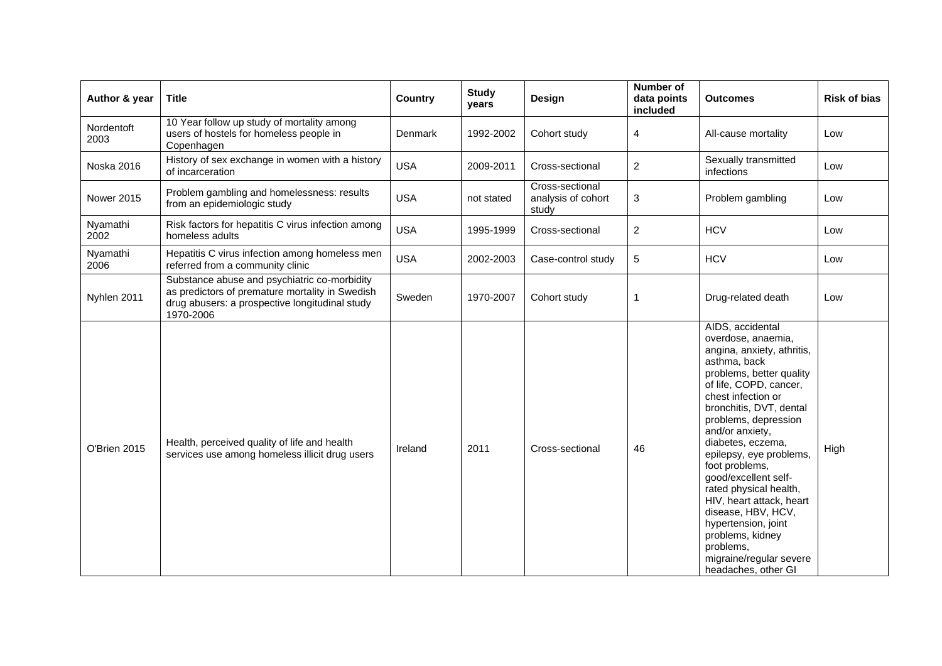| Author & year      | <b>Title</b>                                                                                                                                                   | Country    | <b>Study</b><br>years | Design                                         | <b>Number of</b><br>data points<br>included | <b>Outcomes</b>                                                                                                                                                                                                                                                                                                                                                                                                                                                                                                        | <b>Risk of bias</b> |
|--------------------|----------------------------------------------------------------------------------------------------------------------------------------------------------------|------------|-----------------------|------------------------------------------------|---------------------------------------------|------------------------------------------------------------------------------------------------------------------------------------------------------------------------------------------------------------------------------------------------------------------------------------------------------------------------------------------------------------------------------------------------------------------------------------------------------------------------------------------------------------------------|---------------------|
| Nordentoft<br>2003 | 10 Year follow up study of mortality among<br>users of hostels for homeless people in<br>Copenhagen                                                            | Denmark    | 1992-2002             | Cohort study                                   | 4                                           | All-cause mortality                                                                                                                                                                                                                                                                                                                                                                                                                                                                                                    | Low                 |
| Noska 2016         | History of sex exchange in women with a history<br>of incarceration                                                                                            | <b>USA</b> | 2009-2011             | Cross-sectional                                | $\overline{c}$                              | Sexually transmitted<br>infections                                                                                                                                                                                                                                                                                                                                                                                                                                                                                     | Low                 |
| <b>Nower 2015</b>  | Problem gambling and homelessness: results<br>from an epidemiologic study                                                                                      | <b>USA</b> | not stated            | Cross-sectional<br>analysis of cohort<br>study | 3                                           | Problem gambling                                                                                                                                                                                                                                                                                                                                                                                                                                                                                                       | Low                 |
| Nyamathi<br>2002   | Risk factors for hepatitis C virus infection among<br>homeless adults                                                                                          | <b>USA</b> | 1995-1999             | Cross-sectional                                | $\overline{c}$                              | <b>HCV</b>                                                                                                                                                                                                                                                                                                                                                                                                                                                                                                             | Low                 |
| Nyamathi<br>2006   | Hepatitis C virus infection among homeless men<br>referred from a community clinic                                                                             | <b>USA</b> | 2002-2003             | Case-control study                             | 5                                           | <b>HCV</b>                                                                                                                                                                                                                                                                                                                                                                                                                                                                                                             | Low                 |
| Nyhlen 2011        | Substance abuse and psychiatric co-morbidity<br>as predictors of premature mortality in Swedish<br>drug abusers: a prospective longitudinal study<br>1970-2006 | Sweden     | 1970-2007             | Cohort study                                   | $\mathbf{1}$                                | Drug-related death                                                                                                                                                                                                                                                                                                                                                                                                                                                                                                     | Low                 |
| O'Brien 2015       | Health, perceived quality of life and health<br>services use among homeless illicit drug users                                                                 | Ireland    | 2011                  | Cross-sectional                                | 46                                          | AIDS, accidental<br>overdose, anaemia,<br>angina, anxiety, athritis,<br>asthma, back<br>problems, better quality<br>of life, COPD, cancer,<br>chest infection or<br>bronchitis, DVT, dental<br>problems, depression<br>and/or anxiety,<br>diabetes, eczema,<br>epilepsy, eye problems,<br>foot problems,<br>good/excellent self-<br>rated physical health,<br>HIV, heart attack, heart<br>disease, HBV, HCV,<br>hypertension, joint<br>problems, kidney<br>problems.<br>migraine/regular severe<br>headaches, other GI | High                |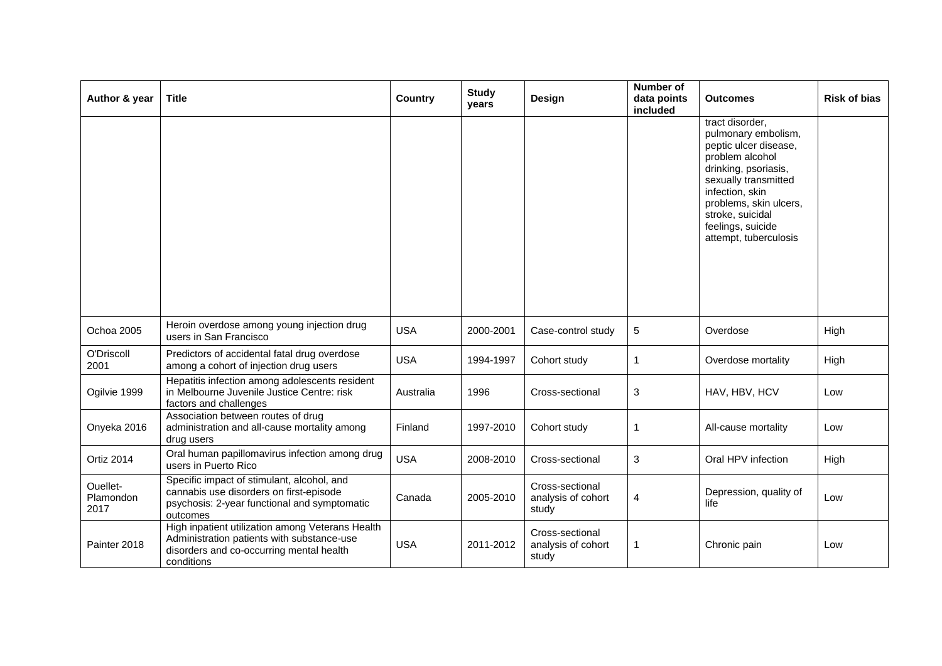| Author & year                 | <b>Title</b>                                                                                                                                             | <b>Country</b> | <b>Study</b><br>years | Design                                         | <b>Number of</b><br>data points<br>included | <b>Outcomes</b>                                                                                                                                                                                                                                   | <b>Risk of bias</b> |
|-------------------------------|----------------------------------------------------------------------------------------------------------------------------------------------------------|----------------|-----------------------|------------------------------------------------|---------------------------------------------|---------------------------------------------------------------------------------------------------------------------------------------------------------------------------------------------------------------------------------------------------|---------------------|
|                               |                                                                                                                                                          |                |                       |                                                |                                             | tract disorder,<br>pulmonary embolism,<br>peptic ulcer disease,<br>problem alcohol<br>drinking, psoriasis,<br>sexually transmitted<br>infection, skin<br>problems, skin ulcers,<br>stroke, suicidal<br>feelings, suicide<br>attempt, tuberculosis |                     |
| Ochoa 2005                    | Heroin overdose among young injection drug<br>users in San Francisco                                                                                     | <b>USA</b>     | 2000-2001             | Case-control study                             | 5                                           | Overdose                                                                                                                                                                                                                                          | High                |
| O'Driscoll<br>2001            | Predictors of accidental fatal drug overdose<br>among a cohort of injection drug users                                                                   | <b>USA</b>     | 1994-1997             | Cohort study                                   | $\mathbf{1}$                                | Overdose mortality                                                                                                                                                                                                                                | High                |
| Ogilvie 1999                  | Hepatitis infection among adolescents resident<br>in Melbourne Juvenile Justice Centre: risk<br>factors and challenges                                   | Australia      | 1996                  | Cross-sectional                                | $\mathbf{3}$                                | HAV, HBV, HCV                                                                                                                                                                                                                                     | Low                 |
| Onyeka 2016                   | Association between routes of drug<br>administration and all-cause mortality among<br>drug users                                                         | Finland        | 1997-2010             | Cohort study                                   | -1                                          | All-cause mortality                                                                                                                                                                                                                               | Low                 |
| Ortiz 2014                    | Oral human papillomavirus infection among drug<br>users in Puerto Rico                                                                                   | <b>USA</b>     | 2008-2010             | Cross-sectional                                | 3                                           | Oral HPV infection                                                                                                                                                                                                                                | High                |
| Ouellet-<br>Plamondon<br>2017 | Specific impact of stimulant, alcohol, and<br>cannabis use disorders on first-episode<br>psychosis: 2-year functional and symptomatic<br>outcomes        | Canada         | 2005-2010             | Cross-sectional<br>analysis of cohort<br>study | 4                                           | Depression, quality of<br>life                                                                                                                                                                                                                    | Low                 |
| Painter 2018                  | High inpatient utilization among Veterans Health<br>Administration patients with substance-use<br>disorders and co-occurring mental health<br>conditions | <b>USA</b>     | 2011-2012             | Cross-sectional<br>analysis of cohort<br>study | 1                                           | Chronic pain                                                                                                                                                                                                                                      | Low                 |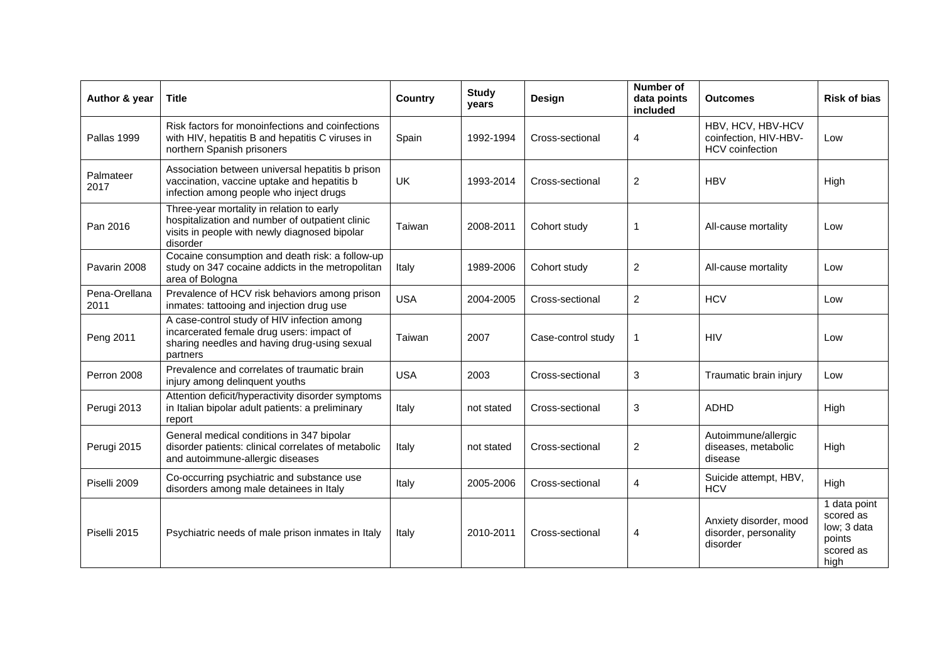| Author & year         | <b>Title</b>                                                                                                                                              | Country    | <b>Study</b><br>years | Design             | <b>Number of</b><br>data points<br>included | <b>Outcomes</b>                                                      | <b>Risk of bias</b>                                                     |
|-----------------------|-----------------------------------------------------------------------------------------------------------------------------------------------------------|------------|-----------------------|--------------------|---------------------------------------------|----------------------------------------------------------------------|-------------------------------------------------------------------------|
| Pallas 1999           | Risk factors for monoinfections and coinfections<br>with HIV, hepatitis B and hepatitis C viruses in<br>northern Spanish prisoners                        | Spain      | 1992-1994             | Cross-sectional    | 4                                           | HBV, HCV, HBV-HCV<br>coinfection, HIV-HBV-<br><b>HCV</b> coinfection | Low                                                                     |
| Palmateer<br>2017     | Association between universal hepatitis b prison<br>vaccination, vaccine uptake and hepatitis b<br>infection among people who inject drugs                | UK         | 1993-2014             | Cross-sectional    | 2                                           | <b>HBV</b>                                                           | High                                                                    |
| Pan 2016              | Three-year mortality in relation to early<br>hospitalization and number of outpatient clinic<br>visits in people with newly diagnosed bipolar<br>disorder | Taiwan     | 2008-2011             | Cohort study       | 1                                           | All-cause mortality                                                  | Low                                                                     |
| Pavarin 2008          | Cocaine consumption and death risk: a follow-up<br>study on 347 cocaine addicts in the metropolitan<br>area of Bologna                                    | Italy      | 1989-2006             | Cohort study       | $\overline{c}$                              | All-cause mortality                                                  | Low                                                                     |
| Pena-Orellana<br>2011 | Prevalence of HCV risk behaviors among prison<br>inmates: tattooing and injection drug use                                                                | <b>USA</b> | 2004-2005             | Cross-sectional    | $\overline{2}$                              | <b>HCV</b>                                                           | Low                                                                     |
| Peng 2011             | A case-control study of HIV infection among<br>incarcerated female drug users: impact of<br>sharing needles and having drug-using sexual<br>partners      | Taiwan     | 2007                  | Case-control study | 1                                           | <b>HIV</b>                                                           | Low                                                                     |
| Perron 2008           | Prevalence and correlates of traumatic brain<br>injury among delinquent youths                                                                            | <b>USA</b> | 2003                  | Cross-sectional    | 3                                           | Traumatic brain injury                                               | Low                                                                     |
| Perugi 2013           | Attention deficit/hyperactivity disorder symptoms<br>in Italian bipolar adult patients: a preliminary<br>report                                           | Italy      | not stated            | Cross-sectional    | 3                                           | <b>ADHD</b>                                                          | High                                                                    |
| Perugi 2015           | General medical conditions in 347 bipolar<br>disorder patients: clinical correlates of metabolic<br>and autoimmune-allergic diseases                      | Italy      | not stated            | Cross-sectional    | $\boldsymbol{2}$                            | Autoimmune/allergic<br>diseases, metabolic<br>disease                | High                                                                    |
| Piselli 2009          | Co-occurring psychiatric and substance use<br>disorders among male detainees in Italy                                                                     | Italy      | 2005-2006             | Cross-sectional    | $\overline{4}$                              | Suicide attempt, HBV,<br><b>HCV</b>                                  | High                                                                    |
| Piselli 2015          | Psychiatric needs of male prison inmates in Italy                                                                                                         | Italy      | 2010-2011             | Cross-sectional    | 4                                           | Anxiety disorder, mood<br>disorder, personality<br>disorder          | 1 data point<br>scored as<br>low; 3 data<br>points<br>scored as<br>high |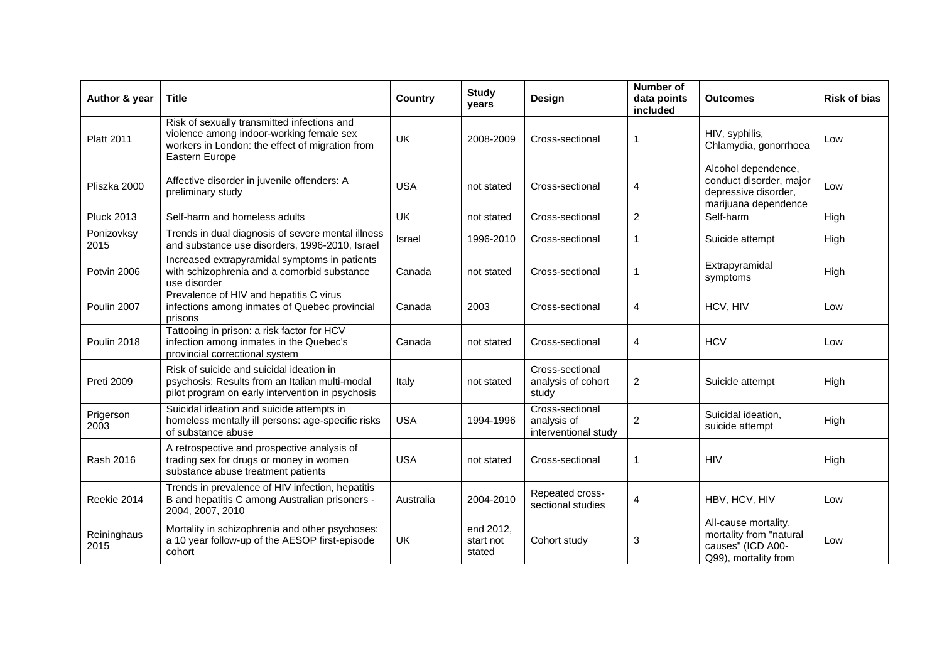| Author & year       | <b>Title</b>                                                                                                                                                 | Country    | <b>Study</b><br>years            | Design                                                 | <b>Number of</b><br>data points<br>included | <b>Outcomes</b>                                                                                | <b>Risk of bias</b> |
|---------------------|--------------------------------------------------------------------------------------------------------------------------------------------------------------|------------|----------------------------------|--------------------------------------------------------|---------------------------------------------|------------------------------------------------------------------------------------------------|---------------------|
| <b>Platt 2011</b>   | Risk of sexually transmitted infections and<br>violence among indoor-working female sex<br>workers in London: the effect of migration from<br>Eastern Europe | UK         | 2008-2009                        | Cross-sectional                                        | 1                                           | HIV, syphilis,<br>Chlamydia, gonorrhoea                                                        | Low                 |
| Pliszka 2000        | Affective disorder in juvenile offenders: A<br>preliminary study                                                                                             | <b>USA</b> | not stated                       | Cross-sectional                                        | 4                                           | Alcohol dependence,<br>conduct disorder, major<br>depressive disorder,<br>marijuana dependence | Low                 |
| <b>Pluck 2013</b>   | Self-harm and homeless adults                                                                                                                                | <b>UK</b>  | not stated                       | Cross-sectional                                        | $\overline{2}$                              | Self-harm                                                                                      | High                |
| Ponizovksy<br>2015  | Trends in dual diagnosis of severe mental illness<br>and substance use disorders, 1996-2010, Israel                                                          | Israel     | 1996-2010                        | Cross-sectional                                        | $\mathbf{1}$                                | Suicide attempt                                                                                | High                |
| Potvin 2006         | Increased extrapyramidal symptoms in patients<br>with schizophrenia and a comorbid substance<br>use disorder                                                 | Canada     | not stated                       | Cross-sectional                                        | $\mathbf{1}$                                | Extrapyramidal<br>symptoms                                                                     | High                |
| Poulin 2007         | Prevalence of HIV and hepatitis C virus<br>infections among inmates of Quebec provincial<br>prisons                                                          | Canada     | 2003                             | Cross-sectional                                        | 4                                           | HCV, HIV                                                                                       | Low                 |
| Poulin 2018         | Tattooing in prison: a risk factor for HCV<br>infection among inmates in the Quebec's<br>provincial correctional system                                      | Canada     | not stated                       | Cross-sectional                                        | $\overline{4}$                              | <b>HCV</b>                                                                                     | Low                 |
| <b>Preti 2009</b>   | Risk of suicide and suicidal ideation in<br>psychosis: Results from an Italian multi-modal<br>pilot program on early intervention in psychosis               | Italy      | not stated                       | Cross-sectional<br>analysis of cohort<br>study         | $\overline{2}$                              | Suicide attempt                                                                                | High                |
| Prigerson<br>2003   | Suicidal ideation and suicide attempts in<br>homeless mentally ill persons: age-specific risks<br>of substance abuse                                         | <b>USA</b> | 1994-1996                        | Cross-sectional<br>analysis of<br>interventional study | 2                                           | Suicidal ideation,<br>suicide attempt                                                          | High                |
| Rash 2016           | A retrospective and prospective analysis of<br>trading sex for drugs or money in women<br>substance abuse treatment patients                                 | <b>USA</b> | not stated                       | Cross-sectional                                        | $\mathbf{1}$                                | <b>HIV</b>                                                                                     | High                |
| Reekie 2014         | Trends in prevalence of HIV infection, hepatitis<br>B and hepatitis C among Australian prisoners -<br>2004, 2007, 2010                                       | Australia  | 2004-2010                        | Repeated cross-<br>sectional studies                   | $\overline{4}$                              | HBV, HCV, HIV                                                                                  | Low                 |
| Reininghaus<br>2015 | Mortality in schizophrenia and other psychoses:<br>a 10 year follow-up of the AESOP first-episode<br>cohort                                                  | <b>UK</b>  | end 2012,<br>start not<br>stated | Cohort study                                           | 3                                           | All-cause mortality,<br>mortality from "natural<br>causes" (ICD A00-<br>Q99), mortality from   | Low                 |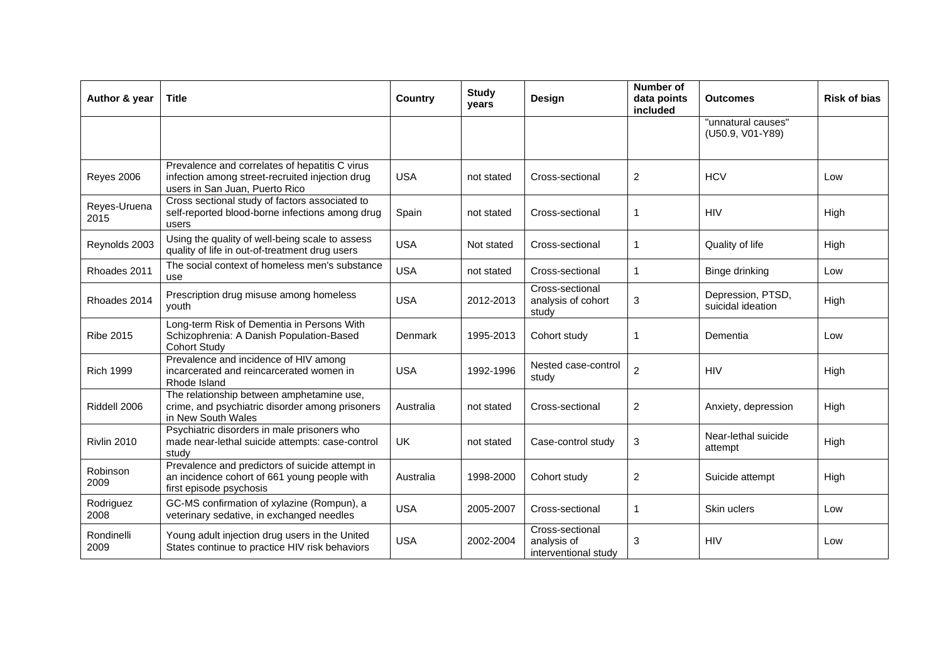| Author & year        | <b>Title</b>                                                                                                                        | <b>Country</b> | <b>Study</b><br>years | Design                                                 | Number of<br>data points<br>included | <b>Outcomes</b>                        | <b>Risk of bias</b> |
|----------------------|-------------------------------------------------------------------------------------------------------------------------------------|----------------|-----------------------|--------------------------------------------------------|--------------------------------------|----------------------------------------|---------------------|
|                      |                                                                                                                                     |                |                       |                                                        |                                      | "unnatural causes"<br>(U50.9, V01-Y89) |                     |
| <b>Reyes 2006</b>    | Prevalence and correlates of hepatitis C virus<br>infection among street-recruited injection drug<br>users in San Juan, Puerto Rico | <b>USA</b>     | not stated            | Cross-sectional                                        | 2                                    | <b>HCV</b>                             | Low                 |
| Reyes-Uruena<br>2015 | Cross sectional study of factors associated to<br>self-reported blood-borne infections among drug<br>users                          | Spain          | not stated            | Cross-sectional                                        | 1                                    | <b>HIV</b>                             | High                |
| Reynolds 2003        | Using the quality of well-being scale to assess<br>quality of life in out-of-treatment drug users                                   | <b>USA</b>     | Not stated            | Cross-sectional                                        | 1                                    | Quality of life                        | High                |
| Rhoades 2011         | The social context of homeless men's substance<br>use                                                                               | <b>USA</b>     | not stated            | Cross-sectional                                        | 1                                    | <b>Binge drinking</b>                  | Low                 |
| Rhoades 2014         | Prescription drug misuse among homeless<br>youth                                                                                    | <b>USA</b>     | 2012-2013             | Cross-sectional<br>analysis of cohort<br>study         | 3                                    | Depression, PTSD,<br>suicidal ideation | High                |
| <b>Ribe 2015</b>     | Long-term Risk of Dementia in Persons With<br>Schizophrenia: A Danish Population-Based<br><b>Cohort Study</b>                       | <b>Denmark</b> | 1995-2013             | Cohort study                                           | 1                                    | Dementia                               | Low                 |
| <b>Rich 1999</b>     | Prevalence and incidence of HIV among<br>incarcerated and reincarcerated women in<br>Rhode Island                                   | <b>USA</b>     | 1992-1996             | Nested case-control<br>study                           | $\overline{c}$                       | <b>HIV</b>                             | High                |
| Riddell 2006         | The relationship between amphetamine use,<br>crime, and psychiatric disorder among prisoners<br>in New South Wales                  | Australia      | not stated            | Cross-sectional                                        | $\overline{2}$                       | Anxiety, depression                    | High                |
| Rivlin 2010          | Psychiatric disorders in male prisoners who<br>made near-lethal suicide attempts: case-control<br>study                             | <b>UK</b>      | not stated            | Case-control study                                     | 3                                    | Near-lethal suicide<br>attempt         | High                |
| Robinson<br>2009     | Prevalence and predictors of suicide attempt in<br>an incidence cohort of 661 young people with<br>first episode psychosis          | Australia      | 1998-2000             | Cohort study                                           | $\overline{2}$                       | Suicide attempt                        | High                |
| Rodriguez<br>2008    | GC-MS confirmation of xylazine (Rompun), a<br>veterinary sedative, in exchanged needles                                             | <b>USA</b>     | 2005-2007             | Cross-sectional                                        | 1                                    | Skin uclers                            | Low                 |
| Rondinelli<br>2009   | Young adult injection drug users in the United<br>States continue to practice HIV risk behaviors                                    | <b>USA</b>     | 2002-2004             | Cross-sectional<br>analysis of<br>interventional study | 3                                    | <b>HIV</b>                             | Low                 |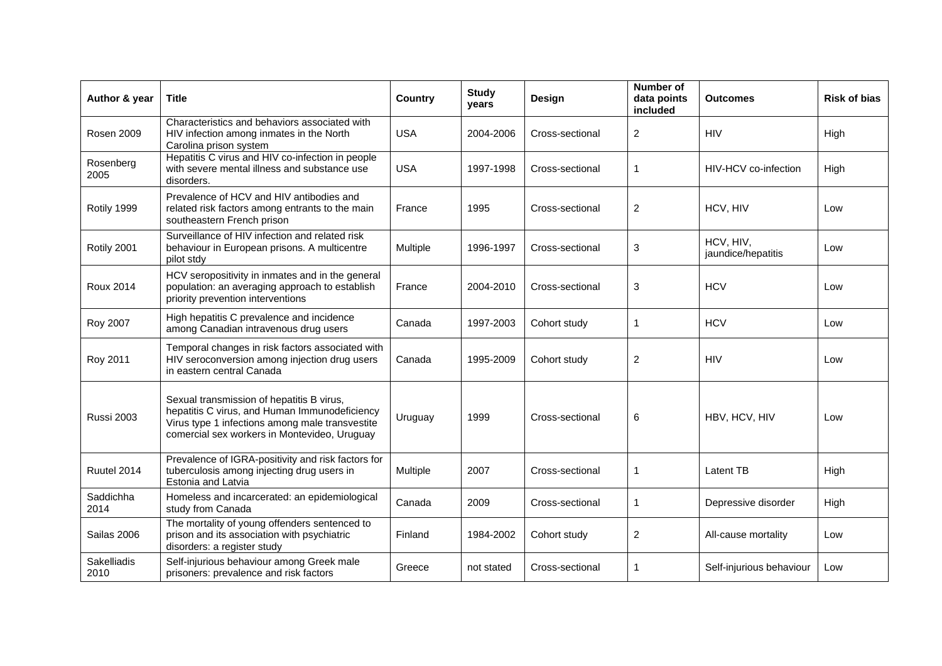| Author & year       | <b>Title</b>                                                                                                                                                                                  | Country    | <b>Study</b><br>years | Design          | Number of<br>data points<br>included | <b>Outcomes</b>                 | <b>Risk of bias</b> |
|---------------------|-----------------------------------------------------------------------------------------------------------------------------------------------------------------------------------------------|------------|-----------------------|-----------------|--------------------------------------|---------------------------------|---------------------|
| Rosen 2009          | Characteristics and behaviors associated with<br>HIV infection among inmates in the North<br>Carolina prison system                                                                           | <b>USA</b> | 2004-2006             | Cross-sectional | $\overline{2}$                       | <b>HIV</b>                      | High                |
| Rosenberg<br>2005   | Hepatitis C virus and HIV co-infection in people<br>with severe mental illness and substance use<br>disorders.                                                                                | <b>USA</b> | 1997-1998             | Cross-sectional | $\mathbf{1}$                         | HIV-HCV co-infection            | High                |
| Rotily 1999         | Prevalence of HCV and HIV antibodies and<br>related risk factors among entrants to the main<br>southeastern French prison                                                                     | France     | 1995                  | Cross-sectional | $\mathbf{2}$                         | HCV, HIV                        | Low                 |
| Rotily 2001         | Surveillance of HIV infection and related risk<br>behaviour in European prisons. A multicentre<br>pilot stdy                                                                                  | Multiple   | 1996-1997             | Cross-sectional | 3                                    | HCV, HIV,<br>jaundice/hepatitis | Low                 |
| <b>Roux 2014</b>    | HCV seropositivity in inmates and in the general<br>population: an averaging approach to establish<br>priority prevention interventions                                                       | France     | 2004-2010             | Cross-sectional | 3                                    | <b>HCV</b>                      | Low                 |
| Roy 2007            | High hepatitis C prevalence and incidence<br>among Canadian intravenous drug users                                                                                                            | Canada     | 1997-2003             | Cohort study    | 1                                    | <b>HCV</b>                      | Low                 |
| Roy 2011            | Temporal changes in risk factors associated with<br>HIV seroconversion among injection drug users<br>in eastern central Canada                                                                | Canada     | 1995-2009             | Cohort study    | $\overline{c}$                       | <b>HIV</b>                      | Low                 |
| <b>Russi 2003</b>   | Sexual transmission of hepatitis B virus,<br>hepatitis C virus, and Human Immunodeficiency<br>Virus type 1 infections among male transvestite<br>comercial sex workers in Montevideo, Uruguay | Uruguay    | 1999                  | Cross-sectional | 6                                    | HBV, HCV, HIV                   | Low                 |
| Ruutel 2014         | Prevalence of IGRA-positivity and risk factors for<br>tuberculosis among injecting drug users in<br>Estonia and Latvia                                                                        | Multiple   | 2007                  | Cross-sectional | 1                                    | <b>Latent TB</b>                | High                |
| Saddichha<br>2014   | Homeless and incarcerated: an epidemiological<br>study from Canada                                                                                                                            | Canada     | 2009                  | Cross-sectional | 1                                    | Depressive disorder             | High                |
| Sailas 2006         | The mortality of young offenders sentenced to<br>prison and its association with psychiatric<br>disorders: a register study                                                                   | Finland    | 1984-2002             | Cohort study    | $\overline{c}$                       | All-cause mortality             | Low                 |
| Sakelliadis<br>2010 | Self-injurious behaviour among Greek male<br>prisoners: prevalence and risk factors                                                                                                           | Greece     | not stated            | Cross-sectional | 1                                    | Self-injurious behaviour        | Low                 |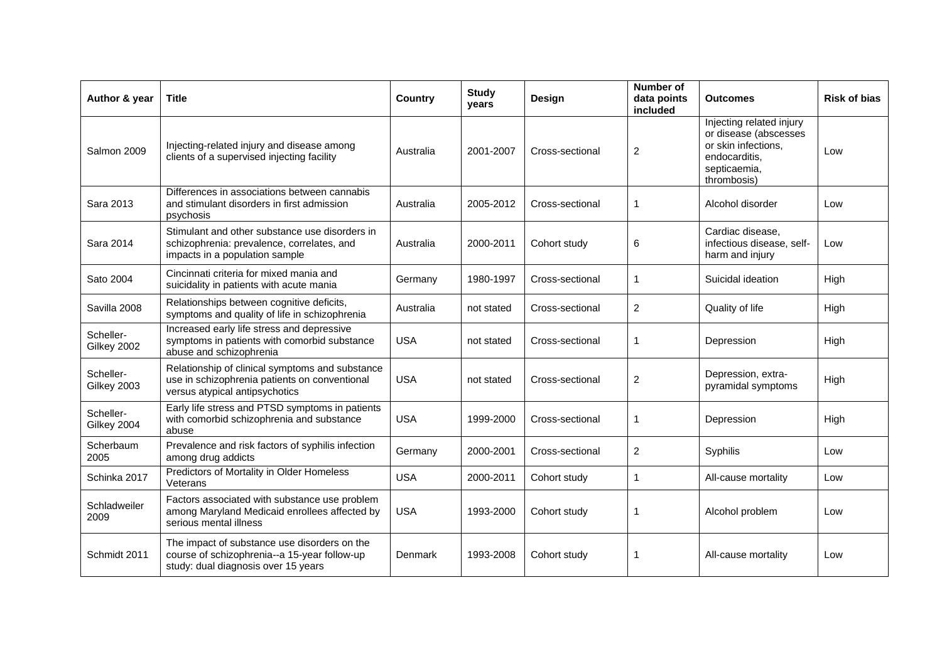| Author & year            | <b>Title</b>                                                                                                                        | <b>Country</b> | <b>Study</b><br>years | Design          | <b>Number of</b><br>data points<br>included | <b>Outcomes</b>                                                                                                          | <b>Risk of bias</b> |
|--------------------------|-------------------------------------------------------------------------------------------------------------------------------------|----------------|-----------------------|-----------------|---------------------------------------------|--------------------------------------------------------------------------------------------------------------------------|---------------------|
| Salmon 2009              | Injecting-related injury and disease among<br>clients of a supervised injecting facility                                            | Australia      | 2001-2007             | Cross-sectional | $\overline{2}$                              | Injecting related injury<br>or disease (abscesses<br>or skin infections,<br>endocarditis.<br>septicaemia,<br>thrombosis) | Low                 |
| Sara 2013                | Differences in associations between cannabis<br>and stimulant disorders in first admission<br>psychosis                             | Australia      | 2005-2012             | Cross-sectional | 1                                           | Alcohol disorder                                                                                                         | Low                 |
| Sara 2014                | Stimulant and other substance use disorders in<br>schizophrenia: prevalence, correlates, and<br>impacts in a population sample      | Australia      | 2000-2011             | Cohort study    | 6                                           | Cardiac disease.<br>infectious disease, self-<br>harm and injury                                                         | Low                 |
| Sato 2004                | Cincinnati criteria for mixed mania and<br>suicidality in patients with acute mania                                                 | Germany        | 1980-1997             | Cross-sectional | 1                                           | Suicidal ideation                                                                                                        | High                |
| Savilla 2008             | Relationships between cognitive deficits,<br>symptoms and quality of life in schizophrenia                                          | Australia      | not stated            | Cross-sectional | $\overline{2}$                              | Quality of life                                                                                                          | High                |
| Scheller-<br>Gilkey 2002 | Increased early life stress and depressive<br>symptoms in patients with comorbid substance<br>abuse and schizophrenia               | <b>USA</b>     | not stated            | Cross-sectional | $\mathbf{1}$                                | Depression                                                                                                               | High                |
| Scheller-<br>Gilkey 2003 | Relationship of clinical symptoms and substance<br>use in schizophrenia patients on conventional<br>versus atypical antipsychotics  | <b>USA</b>     | not stated            | Cross-sectional | $\overline{c}$                              | Depression, extra-<br>pyramidal symptoms                                                                                 | High                |
| Scheller-<br>Gilkey 2004 | Early life stress and PTSD symptoms in patients<br>with comorbid schizophrenia and substance<br>abuse                               | <b>USA</b>     | 1999-2000             | Cross-sectional | 1                                           | Depression                                                                                                               | High                |
| Scherbaum<br>2005        | Prevalence and risk factors of syphilis infection<br>among drug addicts                                                             | Germany        | 2000-2001             | Cross-sectional | $\overline{c}$                              | Syphilis                                                                                                                 | Low                 |
| Schinka 2017             | Predictors of Mortality in Older Homeless<br>Veterans                                                                               | <b>USA</b>     | 2000-2011             | Cohort study    | $\mathbf{1}$                                | All-cause mortality                                                                                                      | Low                 |
| Schladweiler<br>2009     | Factors associated with substance use problem<br>among Maryland Medicaid enrollees affected by<br>serious mental illness            | <b>USA</b>     | 1993-2000             | Cohort study    | 1                                           | Alcohol problem                                                                                                          | Low                 |
| Schmidt 2011             | The impact of substance use disorders on the<br>course of schizophrenia--a 15-year follow-up<br>study: dual diagnosis over 15 years | Denmark        | 1993-2008             | Cohort study    | 1                                           | All-cause mortality                                                                                                      | Low                 |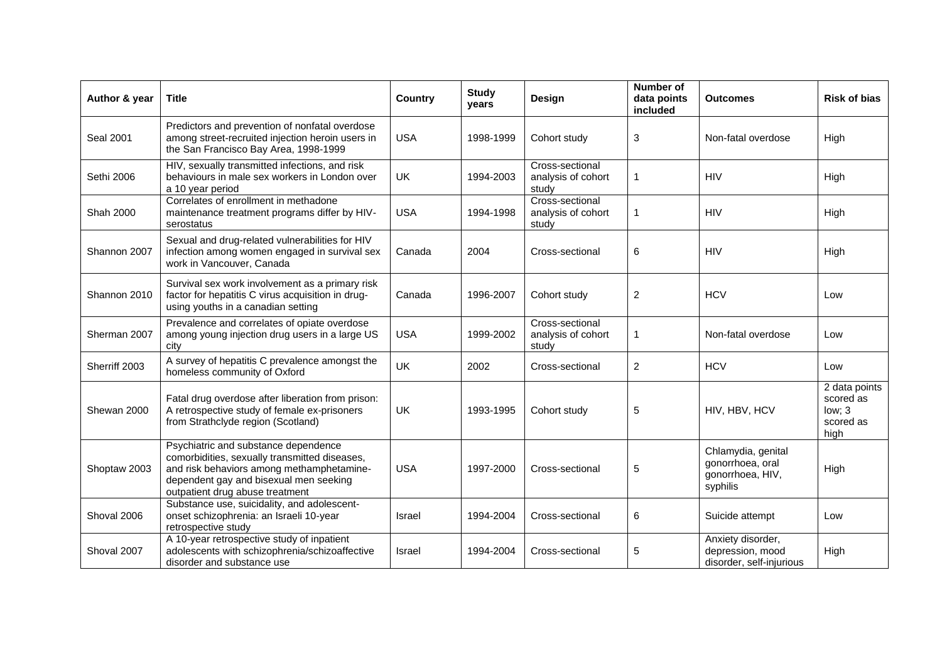| Author & year    | <b>Title</b>                                                                                                                                                                                                    | <b>Country</b> | <b>Study</b><br>years | Design                                         | <b>Number of</b><br>data points<br>included | <b>Outcomes</b>                                                        | <b>Risk of bias</b>                                       |
|------------------|-----------------------------------------------------------------------------------------------------------------------------------------------------------------------------------------------------------------|----------------|-----------------------|------------------------------------------------|---------------------------------------------|------------------------------------------------------------------------|-----------------------------------------------------------|
| <b>Seal 2001</b> | Predictors and prevention of nonfatal overdose<br>among street-recruited injection heroin users in<br>the San Francisco Bay Area, 1998-1999                                                                     | <b>USA</b>     | 1998-1999             | Cohort study                                   | 3                                           | Non-fatal overdose                                                     | High                                                      |
| Sethi 2006       | HIV, sexually transmitted infections, and risk<br>behaviours in male sex workers in London over<br>a 10 year period                                                                                             | <b>UK</b>      | 1994-2003             | Cross-sectional<br>analysis of cohort<br>study | 1                                           | <b>HIV</b>                                                             | High                                                      |
| Shah 2000        | Correlates of enrollment in methadone<br>maintenance treatment programs differ by HIV-<br>serostatus                                                                                                            | <b>USA</b>     | 1994-1998             | Cross-sectional<br>analysis of cohort<br>study | 1                                           | <b>HIV</b>                                                             | High                                                      |
| Shannon 2007     | Sexual and drug-related vulnerabilities for HIV<br>infection among women engaged in survival sex<br>work in Vancouver, Canada                                                                                   | Canada         | 2004                  | Cross-sectional                                | 6                                           | <b>HIV</b>                                                             | High                                                      |
| Shannon 2010     | Survival sex work involvement as a primary risk<br>factor for hepatitis C virus acquisition in drug-<br>using youths in a canadian setting                                                                      | Canada         | 1996-2007             | Cohort study                                   | $\overline{2}$                              | <b>HCV</b>                                                             | Low                                                       |
| Sherman 2007     | Prevalence and correlates of opiate overdose<br>among young injection drug users in a large US<br>city                                                                                                          | <b>USA</b>     | 1999-2002             | Cross-sectional<br>analysis of cohort<br>study | 1                                           | Non-fatal overdose                                                     | Low                                                       |
| Sherriff 2003    | A survey of hepatitis C prevalence amongst the<br>homeless community of Oxford                                                                                                                                  | UK             | 2002                  | Cross-sectional                                | 2                                           | <b>HCV</b>                                                             | Low                                                       |
| Shewan 2000      | Fatal drug overdose after liberation from prison:<br>A retrospective study of female ex-prisoners<br>from Strathclyde region (Scotland)                                                                         | UK             | 1993-1995             | Cohort study                                   | 5                                           | HIV, HBV, HCV                                                          | 2 data points<br>scored as<br>low; 3<br>scored as<br>high |
| Shoptaw 2003     | Psychiatric and substance dependence<br>comorbidities, sexually transmitted diseases,<br>and risk behaviors among methamphetamine-<br>dependent gay and bisexual men seeking<br>outpatient drug abuse treatment | <b>USA</b>     | 1997-2000             | Cross-sectional                                | 5                                           | Chlamydia, genital<br>gonorrhoea, oral<br>gonorrhoea, HIV,<br>syphilis | High                                                      |
| Shoval 2006      | Substance use, suicidality, and adolescent-<br>onset schizophrenia: an Israeli 10-year<br>retrospective study                                                                                                   | Israel         | 1994-2004             | Cross-sectional                                | 6                                           | Suicide attempt                                                        | Low                                                       |
| Shoval 2007      | A 10-year retrospective study of inpatient<br>adolescents with schizophrenia/schizoaffective<br>disorder and substance use                                                                                      | <b>Israel</b>  | 1994-2004             | Cross-sectional                                | 5                                           | Anxiety disorder,<br>depression, mood<br>disorder, self-injurious      | High                                                      |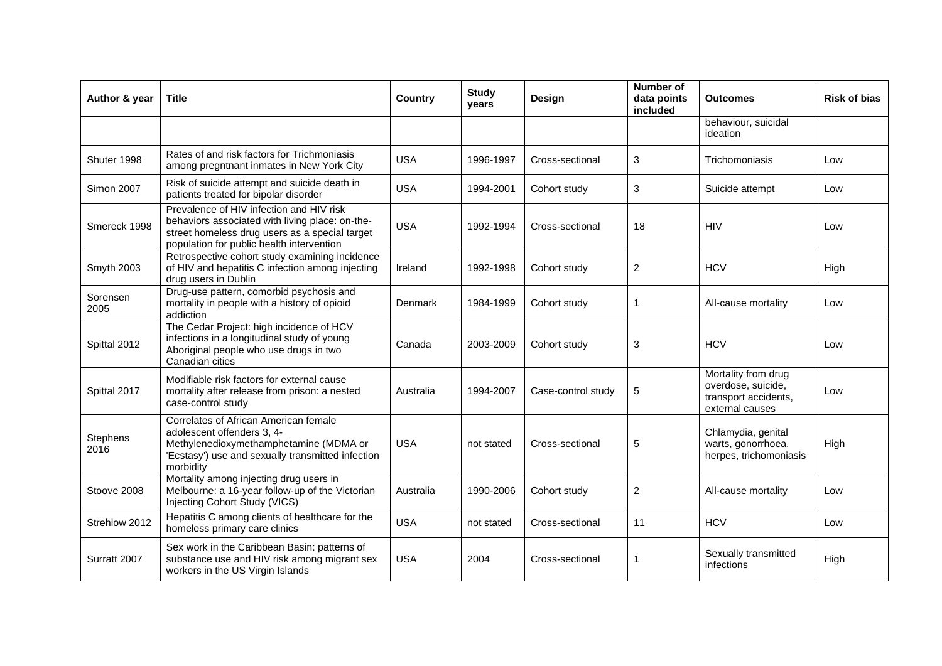| Author & year     | <b>Title</b>                                                                                                                                                                               | Country    | <b>Study</b><br>years | Design             | Number of<br>data points<br>included | <b>Outcomes</b>                                                                      | <b>Risk of bias</b> |
|-------------------|--------------------------------------------------------------------------------------------------------------------------------------------------------------------------------------------|------------|-----------------------|--------------------|--------------------------------------|--------------------------------------------------------------------------------------|---------------------|
|                   |                                                                                                                                                                                            |            |                       |                    |                                      | behaviour, suicidal<br>ideation                                                      |                     |
| Shuter 1998       | Rates of and risk factors for Trichmoniasis<br>among pregntnant inmates in New York City                                                                                                   | <b>USA</b> | 1996-1997             | Cross-sectional    | 3                                    | Trichomoniasis                                                                       | Low                 |
| <b>Simon 2007</b> | Risk of suicide attempt and suicide death in<br>patients treated for bipolar disorder                                                                                                      | <b>USA</b> | 1994-2001             | Cohort study       | 3                                    | Suicide attempt                                                                      | Low                 |
| Smereck 1998      | Prevalence of HIV infection and HIV risk<br>behaviors associated with living place: on-the-<br>street homeless drug users as a special target<br>population for public health intervention | <b>USA</b> | 1992-1994             | Cross-sectional    | 18                                   | <b>HIV</b>                                                                           | Low                 |
| Smyth 2003        | Retrospective cohort study examining incidence<br>of HIV and hepatitis C infection among injecting<br>drug users in Dublin                                                                 | Ireland    | 1992-1998             | Cohort study       | $\mathbf{2}$                         | <b>HCV</b>                                                                           | High                |
| Sorensen<br>2005  | Drug-use pattern, comorbid psychosis and<br>mortality in people with a history of opioid<br>addiction                                                                                      | Denmark    | 1984-1999             | Cohort study       | $\mathbf{1}$                         | All-cause mortality                                                                  | Low                 |
| Spittal 2012      | The Cedar Project: high incidence of HCV<br>infections in a longitudinal study of young<br>Aboriginal people who use drugs in two<br>Canadian cities                                       | Canada     | 2003-2009             | Cohort study       | 3                                    | <b>HCV</b>                                                                           | Low                 |
| Spittal 2017      | Modifiable risk factors for external cause<br>mortality after release from prison: a nested<br>case-control study                                                                          | Australia  | 1994-2007             | Case-control study | 5                                    | Mortality from drug<br>overdose, suicide,<br>transport accidents,<br>external causes | Low                 |
| Stephens<br>2016  | Correlates of African American female<br>adolescent offenders 3, 4-<br>Methylenedioxymethamphetamine (MDMA or<br>'Ecstasy') use and sexually transmitted infection<br>morbidity            | <b>USA</b> | not stated            | Cross-sectional    | 5                                    | Chlamydia, genital<br>warts, gonorrhoea,<br>herpes, trichomoniasis                   | High                |
| Stoove 2008       | Mortality among injecting drug users in<br>Melbourne: a 16-year follow-up of the Victorian<br>Injecting Cohort Study (VICS)                                                                | Australia  | 1990-2006             | Cohort study       | $\overline{c}$                       | All-cause mortality                                                                  | Low                 |
| Strehlow 2012     | Hepatitis C among clients of healthcare for the<br>homeless primary care clinics                                                                                                           | <b>USA</b> | not stated            | Cross-sectional    | 11                                   | <b>HCV</b>                                                                           | Low                 |
| Surratt 2007      | Sex work in the Caribbean Basin: patterns of<br>substance use and HIV risk among migrant sex<br>workers in the US Virgin Islands                                                           | <b>USA</b> | 2004                  | Cross-sectional    | 1                                    | Sexually transmitted<br>infections                                                   | High                |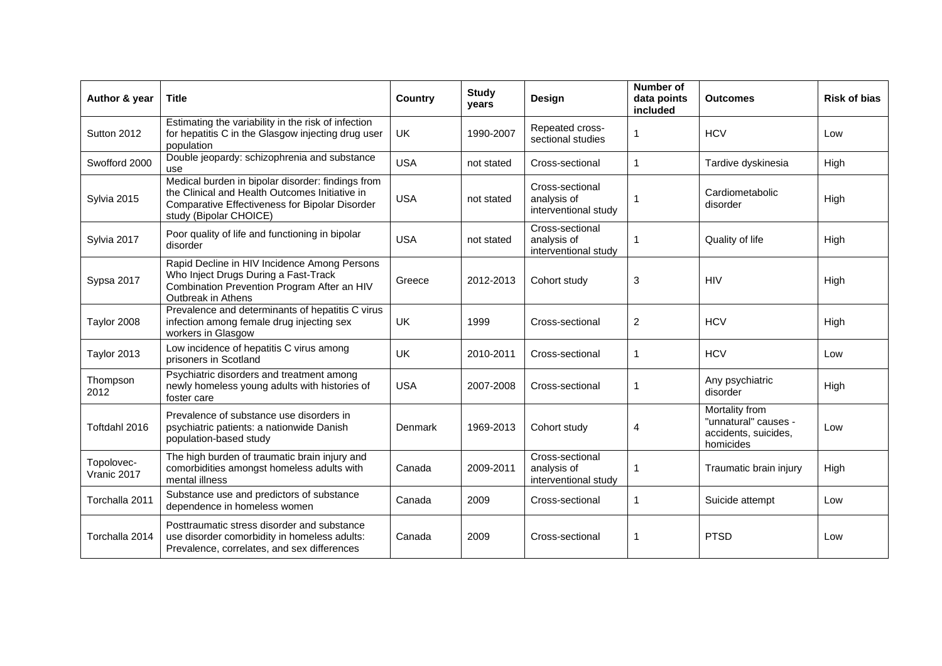| Author & year             | Title                                                                                                                                                                           | Country    | <b>Study</b><br>years | Design                                                 | <b>Number of</b><br>data points<br>included | <b>Outcomes</b>                                                             | <b>Risk of bias</b> |
|---------------------------|---------------------------------------------------------------------------------------------------------------------------------------------------------------------------------|------------|-----------------------|--------------------------------------------------------|---------------------------------------------|-----------------------------------------------------------------------------|---------------------|
| Sutton 2012               | Estimating the variability in the risk of infection<br>for hepatitis C in the Glasgow injecting drug user<br>population                                                         | UK         | 1990-2007             | Repeated cross-<br>sectional studies                   | 1                                           | <b>HCV</b>                                                                  | Low                 |
| Swofford 2000             | Double jeopardy: schizophrenia and substance<br>use                                                                                                                             | <b>USA</b> | not stated            | Cross-sectional                                        | 1                                           | Tardive dyskinesia                                                          | High                |
| Sylvia 2015               | Medical burden in bipolar disorder: findings from<br>the Clinical and Health Outcomes Initiative in<br>Comparative Effectiveness for Bipolar Disorder<br>study (Bipolar CHOICE) | <b>USA</b> | not stated            | Cross-sectional<br>analysis of<br>interventional study | 1                                           | Cardiometabolic<br>disorder                                                 | High                |
| Sylvia 2017               | Poor quality of life and functioning in bipolar<br>disorder                                                                                                                     | <b>USA</b> | not stated            | Cross-sectional<br>analysis of<br>interventional study | 1                                           | Quality of life                                                             | High                |
| Sypsa 2017                | Rapid Decline in HIV Incidence Among Persons<br>Who Inject Drugs During a Fast-Track<br>Combination Prevention Program After an HIV<br>Outbreak in Athens                       | Greece     | 2012-2013             | Cohort study                                           | 3                                           | <b>HIV</b>                                                                  | High                |
| Taylor 2008               | Prevalence and determinants of hepatitis C virus<br>infection among female drug injecting sex<br>workers in Glasgow                                                             | UK         | 1999                  | Cross-sectional                                        | $\overline{2}$                              | <b>HCV</b>                                                                  | High                |
| Taylor 2013               | Low incidence of hepatitis C virus among<br>prisoners in Scotland                                                                                                               | <b>UK</b>  | 2010-2011             | Cross-sectional                                        | 1                                           | <b>HCV</b>                                                                  | Low                 |
| Thompson<br>2012          | Psychiatric disorders and treatment among<br>newly homeless young adults with histories of<br>foster care                                                                       | <b>USA</b> | 2007-2008             | Cross-sectional                                        | 1                                           | Any psychiatric<br>disorder                                                 | High                |
| Toftdahl 2016             | Prevalence of substance use disorders in<br>psychiatric patients: a nationwide Danish<br>population-based study                                                                 | Denmark    | 1969-2013             | Cohort study                                           | 4                                           | Mortality from<br>"unnatural" causes -<br>accidents, suicides,<br>homicides | Low                 |
| Topolovec-<br>Vranic 2017 | The high burden of traumatic brain injury and<br>comorbidities amongst homeless adults with<br>mental illness                                                                   | Canada     | 2009-2011             | Cross-sectional<br>analysis of<br>interventional study |                                             | Traumatic brain injury                                                      |                     |
| Torchalla 2011            | Substance use and predictors of substance<br>dependence in homeless women                                                                                                       | Canada     | 2009                  | Cross-sectional                                        | 1                                           | Suicide attempt                                                             | Low                 |
| Torchalla 2014            | Posttraumatic stress disorder and substance<br>use disorder comorbidity in homeless adults:<br>Prevalence, correlates, and sex differences                                      | Canada     | 2009                  | Cross-sectional                                        | 1                                           | <b>PTSD</b>                                                                 | Low                 |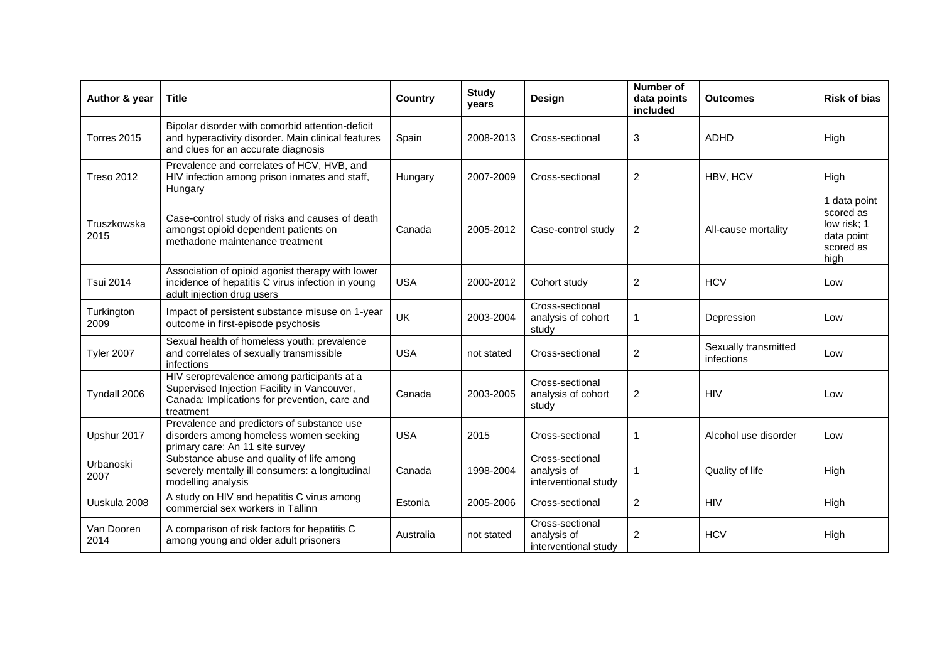| Author & year       | <b>Title</b>                                                                                                                                            | Country    | <b>Study</b><br>years | Design                                                 | <b>Number of</b><br>data points<br>included | <b>Outcomes</b>                    | <b>Risk of bias</b>                                                         |
|---------------------|---------------------------------------------------------------------------------------------------------------------------------------------------------|------------|-----------------------|--------------------------------------------------------|---------------------------------------------|------------------------------------|-----------------------------------------------------------------------------|
| Torres 2015         | Bipolar disorder with comorbid attention-deficit<br>and hyperactivity disorder. Main clinical features<br>and clues for an accurate diagnosis           | Spain      | 2008-2013             | Cross-sectional                                        | 3                                           | <b>ADHD</b>                        | High                                                                        |
| <b>Treso 2012</b>   | Prevalence and correlates of HCV, HVB, and<br>HIV infection among prison inmates and staff,<br>Hungary                                                  | Hungary    | 2007-2009             | Cross-sectional                                        | $\overline{2}$                              | HBV, HCV                           | High                                                                        |
| Truszkowska<br>2015 | Case-control study of risks and causes of death<br>amongst opioid dependent patients on<br>methadone maintenance treatment                              | Canada     | 2005-2012             | Case-control study                                     | 2                                           | All-cause mortality                | 1 data point<br>scored as<br>low risk; 1<br>data point<br>scored as<br>high |
| <b>Tsui 2014</b>    | Association of opioid agonist therapy with lower<br>incidence of hepatitis C virus infection in young<br>adult injection drug users                     | <b>USA</b> | 2000-2012             | Cohort study                                           | $\overline{2}$                              | <b>HCV</b>                         | Low                                                                         |
| Turkington<br>2009  | Impact of persistent substance misuse on 1-year<br>outcome in first-episode psychosis                                                                   | <b>UK</b>  | 2003-2004             | Cross-sectional<br>analysis of cohort<br>study         |                                             | Depression                         | Low                                                                         |
| <b>Tyler 2007</b>   | Sexual health of homeless youth: prevalence<br>and correlates of sexually transmissible<br>infections                                                   | <b>USA</b> | not stated            | Cross-sectional                                        | 2                                           | Sexually transmitted<br>infections | Low                                                                         |
| Tyndall 2006        | HIV seroprevalence among participants at a<br>Supervised Injection Facility in Vancouver,<br>Canada: Implications for prevention, care and<br>treatment | Canada     | 2003-2005             | Cross-sectional<br>analysis of cohort<br>study         | $\boldsymbol{2}$                            | <b>HIV</b>                         | Low                                                                         |
| Upshur 2017         | Prevalence and predictors of substance use<br>disorders among homeless women seeking<br>primary care: An 11 site survey                                 | <b>USA</b> | 2015                  | Cross-sectional                                        | 1                                           | Alcohol use disorder               | Low                                                                         |
| Urbanoski<br>2007   | Substance abuse and quality of life among<br>severely mentally ill consumers: a longitudinal<br>modelling analysis                                      | Canada     | 1998-2004             | Cross-sectional<br>analysis of<br>interventional study |                                             | Quality of life                    | High                                                                        |
| Uuskula 2008        | A study on HIV and hepatitis C virus among<br>commercial sex workers in Tallinn                                                                         | Estonia    | 2005-2006             | Cross-sectional                                        | 2                                           | <b>HIV</b>                         | High                                                                        |
| Van Dooren<br>2014  | A comparison of risk factors for hepatitis C<br>among young and older adult prisoners                                                                   | Australia  | not stated            | Cross-sectional<br>analysis of<br>interventional study | $\overline{c}$                              | <b>HCV</b>                         | High                                                                        |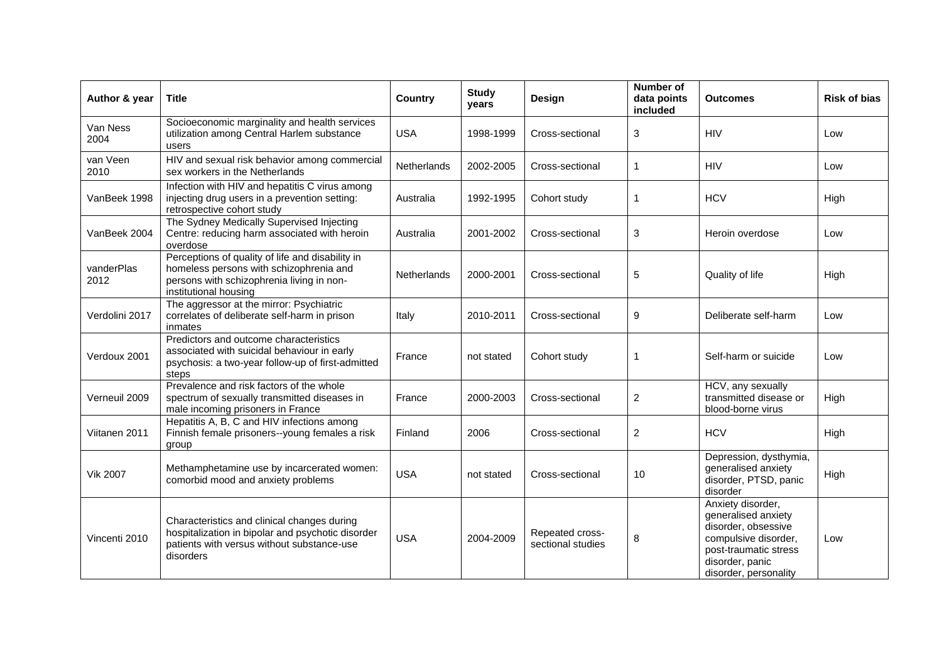| Author & year      | <b>Title</b>                                                                                                                                                      | Country            | <b>Study</b><br>years | Design                               | <b>Number of</b><br>data points<br>included | <b>Outcomes</b>                                                                                                                                              | <b>Risk of bias</b> |
|--------------------|-------------------------------------------------------------------------------------------------------------------------------------------------------------------|--------------------|-----------------------|--------------------------------------|---------------------------------------------|--------------------------------------------------------------------------------------------------------------------------------------------------------------|---------------------|
| Van Ness<br>2004   | Socioeconomic marginality and health services<br>utilization among Central Harlem substance<br>users                                                              | <b>USA</b>         | 1998-1999             | Cross-sectional                      | $\sqrt{3}$                                  | <b>HIV</b>                                                                                                                                                   | Low                 |
| van Veen<br>2010   | HIV and sexual risk behavior among commercial<br>sex workers in the Netherlands                                                                                   | Netherlands        | 2002-2005             | Cross-sectional                      | 1                                           | <b>HIV</b>                                                                                                                                                   | Low                 |
| VanBeek 1998       | Infection with HIV and hepatitis C virus among<br>injecting drug users in a prevention setting:<br>retrospective cohort study                                     | Australia          | 1992-1995             | Cohort study                         | 1                                           | <b>HCV</b>                                                                                                                                                   | High                |
| VanBeek 2004       | The Sydney Medically Supervised Injecting<br>Centre: reducing harm associated with heroin<br>overdose                                                             | Australia          | 2001-2002             | Cross-sectional                      | 3                                           | Heroin overdose                                                                                                                                              | Low                 |
| vanderPlas<br>2012 | Perceptions of quality of life and disability in<br>homeless persons with schizophrenia and<br>persons with schizophrenia living in non-<br>institutional housing | <b>Netherlands</b> | 2000-2001             | Cross-sectional                      | 5                                           | Quality of life                                                                                                                                              | High                |
| Verdolini 2017     | The aggressor at the mirror: Psychiatric<br>correlates of deliberate self-harm in prison<br>inmates                                                               | Italy              | 2010-2011             | Cross-sectional                      | 9                                           | Deliberate self-harm                                                                                                                                         | Low                 |
| Verdoux 2001       | Predictors and outcome characteristics<br>associated with suicidal behaviour in early<br>psychosis: a two-year follow-up of first-admitted<br>steps               | France             | not stated            | Cohort study                         | 1                                           | Self-harm or suicide                                                                                                                                         | Low                 |
| Verneuil 2009      | Prevalence and risk factors of the whole<br>spectrum of sexually transmitted diseases in<br>male incoming prisoners in France                                     | France             | 2000-2003             | Cross-sectional                      | $\overline{c}$                              | HCV, any sexually<br>transmitted disease or<br>blood-borne virus                                                                                             | High                |
| Viitanen 2011      | Hepatitis A, B, C and HIV infections among<br>Finnish female prisoners--young females a risk<br>group                                                             | Finland            | 2006                  | Cross-sectional                      | $\overline{c}$                              | <b>HCV</b>                                                                                                                                                   | High                |
| <b>Vik 2007</b>    | Methamphetamine use by incarcerated women:<br>comorbid mood and anxiety problems                                                                                  | <b>USA</b>         | not stated            | Cross-sectional                      | 10                                          | Depression, dysthymia,<br>generalised anxiety<br>disorder, PTSD, panic<br>disorder                                                                           | High                |
| Vincenti 2010      | Characteristics and clinical changes during<br>hospitalization in bipolar and psychotic disorder<br>patients with versus without substance-use<br>disorders       | <b>USA</b>         | 2004-2009             | Repeated cross-<br>sectional studies | 8                                           | Anxiety disorder,<br>generalised anxiety<br>disorder, obsessive<br>compulsive disorder,<br>post-traumatic stress<br>disorder, panic<br>disorder, personality | Low                 |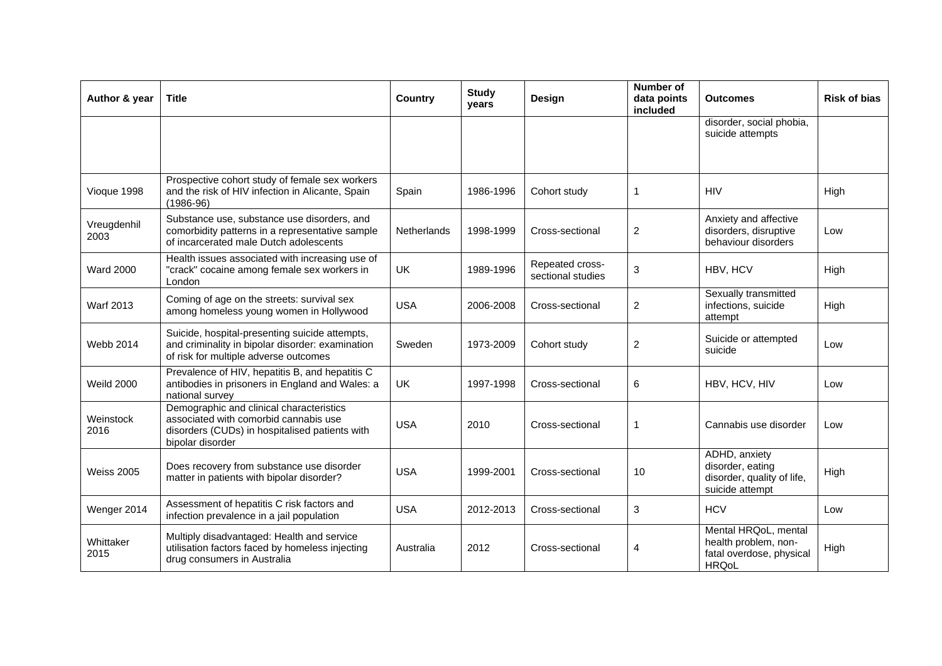| Author & year       | <b>Title</b>                                                                                                                                            | Country     | <b>Study</b><br>years | <b>Number of</b><br>Design<br>data points<br>included |                | <b>Outcomes</b>                                                                          | <b>Risk of bias</b> |
|---------------------|---------------------------------------------------------------------------------------------------------------------------------------------------------|-------------|-----------------------|-------------------------------------------------------|----------------|------------------------------------------------------------------------------------------|---------------------|
|                     |                                                                                                                                                         |             |                       |                                                       |                | disorder, social phobia,<br>suicide attempts                                             |                     |
| Vioque 1998         | Prospective cohort study of female sex workers<br>and the risk of HIV infection in Alicante, Spain<br>$(1986-96)$                                       | Spain       | 1986-1996             | Cohort study                                          | 1              | <b>HIV</b>                                                                               | High                |
| Vreugdenhil<br>2003 | Substance use, substance use disorders, and<br>comorbidity patterns in a representative sample<br>of incarcerated male Dutch adolescents                | Netherlands | 1998-1999             | Cross-sectional                                       | $\overline{2}$ | Anxiety and affective<br>disorders, disruptive<br>behaviour disorders                    | Low                 |
| <b>Ward 2000</b>    | Health issues associated with increasing use of<br>"crack" cocaine among female sex workers in<br>London                                                | UK          | 1989-1996             | Repeated cross-<br>sectional studies                  | 3              | HBV, HCV                                                                                 | High                |
| Warf 2013           | Coming of age on the streets: survival sex<br>among homeless young women in Hollywood                                                                   | <b>USA</b>  | 2006-2008             | Cross-sectional                                       | $\overline{2}$ | Sexually transmitted<br>infections, suicide<br>attempt                                   | High                |
| <b>Webb 2014</b>    | Suicide, hospital-presenting suicide attempts,<br>and criminality in bipolar disorder: examination<br>of risk for multiple adverse outcomes             | Sweden      | 1973-2009             | Cohort study                                          | $\overline{c}$ | Suicide or attempted<br>suicide                                                          | Low                 |
| <b>Weild 2000</b>   | Prevalence of HIV, hepatitis B, and hepatitis C<br>antibodies in prisoners in England and Wales: a<br>national survey                                   | UK          | 1997-1998             | Cross-sectional                                       | 6              | HBV, HCV, HIV                                                                            | Low                 |
| Weinstock<br>2016   | Demographic and clinical characteristics<br>associated with comorbid cannabis use<br>disorders (CUDs) in hospitalised patients with<br>bipolar disorder | <b>USA</b>  | 2010                  | Cross-sectional                                       | 1              | Cannabis use disorder                                                                    | Low                 |
| <b>Weiss 2005</b>   | Does recovery from substance use disorder<br>matter in patients with bipolar disorder?                                                                  | <b>USA</b>  | 1999-2001             | Cross-sectional                                       | 10             | ADHD, anxiety<br>disorder, eating<br>disorder, quality of life,<br>suicide attempt       | High                |
| Wenger 2014         | Assessment of hepatitis C risk factors and<br>infection prevalence in a jail population                                                                 | <b>USA</b>  | 2012-2013             | Cross-sectional                                       | 3              | <b>HCV</b>                                                                               | Low                 |
| Whittaker<br>2015   | Multiply disadvantaged: Health and service<br>utilisation factors faced by homeless injecting<br>drug consumers in Australia                            | Australia   | 2012                  | Cross-sectional                                       | 4              | Mental HRQoL, mental<br>health problem, non-<br>fatal overdose, physical<br><b>HRQoL</b> | High                |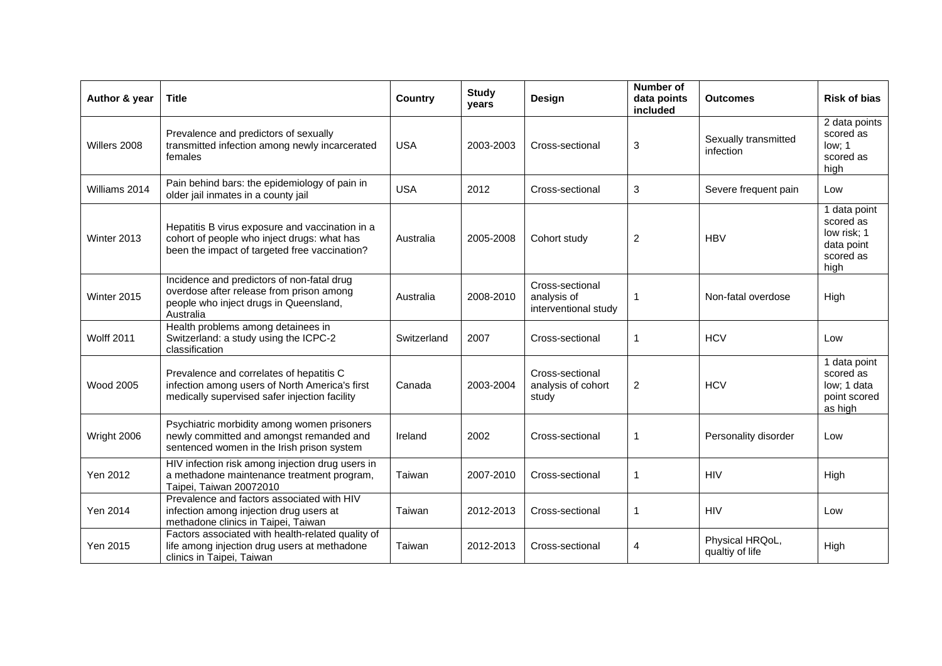| Author & year     | <b>Title</b>                                                                                                                                    | <b>Country</b> | <b>Study</b><br>years | Design                                                 | <b>Number of</b><br>data points<br>included | <b>Outcomes</b>                    | <b>Risk of bias</b>                                                         |
|-------------------|-------------------------------------------------------------------------------------------------------------------------------------------------|----------------|-----------------------|--------------------------------------------------------|---------------------------------------------|------------------------------------|-----------------------------------------------------------------------------|
| Willers 2008      | Prevalence and predictors of sexually<br>transmitted infection among newly incarcerated<br>females                                              | <b>USA</b>     | 2003-2003             | Cross-sectional                                        | 3                                           | Sexually transmitted<br>infection  | 2 data points<br>scored as<br>low; 1<br>scored as<br>high                   |
| Williams 2014     | Pain behind bars: the epidemiology of pain in<br>older jail inmates in a county jail                                                            | <b>USA</b>     | 2012                  | Cross-sectional                                        | $\ensuremath{\mathsf{3}}$                   | Severe frequent pain               | Low                                                                         |
| Winter 2013       | Hepatitis B virus exposure and vaccination in a<br>cohort of people who inject drugs: what has<br>been the impact of targeted free vaccination? | Australia      | 2005-2008             | Cohort study                                           | $\overline{2}$                              | <b>HBV</b>                         | 1 data point<br>scored as<br>low risk; 1<br>data point<br>scored as<br>high |
| Winter 2015       | Incidence and predictors of non-fatal drug<br>overdose after release from prison among<br>people who inject drugs in Queensland,<br>Australia   | Australia      | 2008-2010             | Cross-sectional<br>analysis of<br>interventional study | 1                                           | Non-fatal overdose                 | High                                                                        |
| <b>Wolff 2011</b> | Health problems among detainees in<br>Switzerland: a study using the ICPC-2<br>classification                                                   | Switzerland    | 2007                  | Cross-sectional                                        | $\mathbf{1}$                                | <b>HCV</b>                         | Low                                                                         |
| <b>Wood 2005</b>  | Prevalence and correlates of hepatitis C<br>infection among users of North America's first<br>medically supervised safer injection facility     | Canada         | 2003-2004             | Cross-sectional<br>analysis of cohort<br>study         | $\overline{c}$                              | <b>HCV</b>                         | 1 data point<br>scored as<br>low; 1 data<br>point scored<br>as high         |
| Wright 2006       | Psychiatric morbidity among women prisoners<br>newly committed and amongst remanded and<br>sentenced women in the Irish prison system           | Ireland        | 2002                  | Cross-sectional                                        | 1                                           | Personality disorder               | Low                                                                         |
| Yen 2012          | HIV infection risk among injection drug users in<br>a methadone maintenance treatment program,<br>Taipei, Taiwan 20072010                       | Taiwan         | 2007-2010             | Cross-sectional                                        | $\mathbf{1}$                                | <b>HIV</b>                         | High                                                                        |
| Yen 2014          | Prevalence and factors associated with HIV<br>infection among injection drug users at<br>methadone clinics in Taipei, Taiwan                    | Taiwan         | 2012-2013             | Cross-sectional                                        | 1                                           | <b>HIV</b>                         | Low                                                                         |
| Yen 2015          | Factors associated with health-related quality of<br>life among injection drug users at methadone<br>clinics in Taipei, Taiwan                  | Taiwan         | 2012-2013             | Cross-sectional                                        | 4                                           | Physical HRQoL,<br>qualtiy of life | High                                                                        |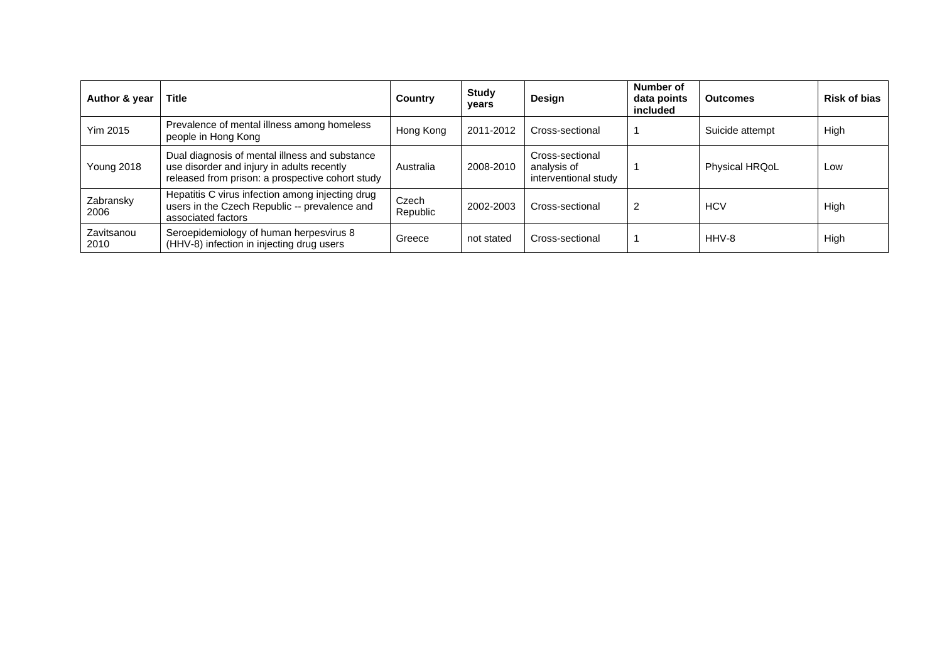| Author & year      | <b>Title</b>                                                                                                                                     | Country           | <b>Study</b><br>years | Design                                                 | <b>Number of</b><br>data points<br>included | <b>Outcomes</b>       | <b>Risk of bias</b> |
|--------------------|--------------------------------------------------------------------------------------------------------------------------------------------------|-------------------|-----------------------|--------------------------------------------------------|---------------------------------------------|-----------------------|---------------------|
| <b>Yim 2015</b>    | Prevalence of mental illness among homeless<br>people in Hong Kong                                                                               | Hong Kong         | 2011-2012             | Cross-sectional                                        |                                             | Suicide attempt       | High                |
| <b>Young 2018</b>  | Dual diagnosis of mental illness and substance<br>use disorder and injury in adults recently<br>released from prison: a prospective cohort study | Australia         | 2008-2010             | Cross-sectional<br>analysis of<br>interventional study |                                             | <b>Physical HRQoL</b> | Low                 |
| Zabransky<br>2006  | Hepatitis C virus infection among injecting drug<br>users in the Czech Republic -- prevalence and<br>associated factors                          | Czech<br>Republic | 2002-2003             | Cross-sectional                                        | 2                                           | <b>HCV</b>            | High                |
| Zavitsanou<br>2010 | Seroepidemiology of human herpesvirus 8<br>(HHV-8) infection in injecting drug users                                                             | Greece            | not stated            | Cross-sectional                                        |                                             | HHV-8                 | High                |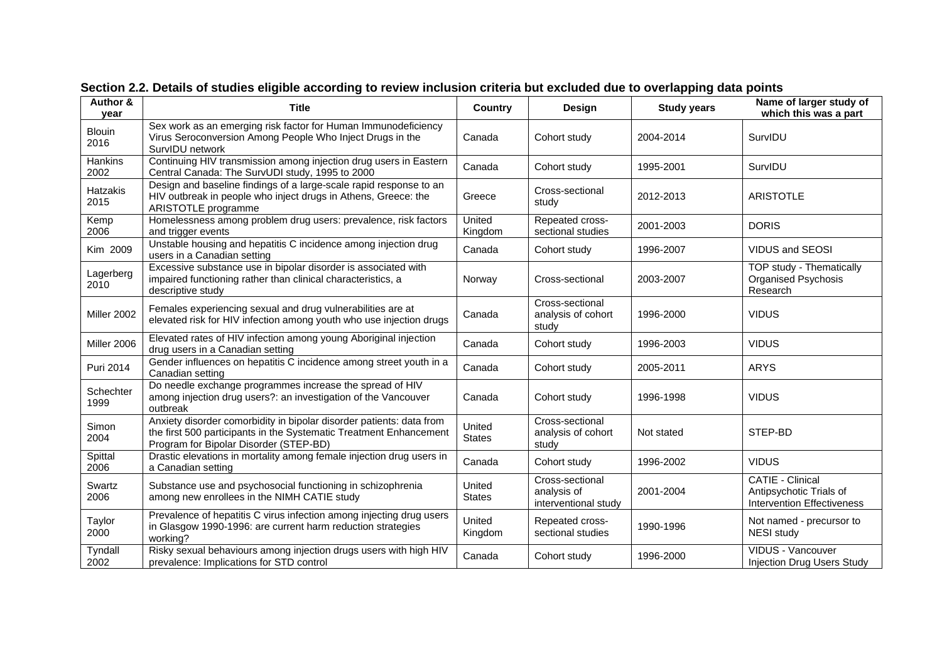<span id="page-56-0"></span>

| Author &<br>vear      | <b>Title</b>                                                                                                                                                                         | Country                 | Design                                                 | <b>Study years</b> | Name of larger study of<br>which this was a part                                        |
|-----------------------|--------------------------------------------------------------------------------------------------------------------------------------------------------------------------------------|-------------------------|--------------------------------------------------------|--------------------|-----------------------------------------------------------------------------------------|
| <b>Blouin</b><br>2016 | Sex work as an emerging risk factor for Human Immunodeficiency<br>Virus Seroconversion Among People Who Inject Drugs in the<br>SurvIDU network                                       | Canada                  | Cohort study                                           | 2004-2014          | SurvIDU                                                                                 |
| Hankins<br>2002       | Continuing HIV transmission among injection drug users in Eastern<br>Central Canada: The SurvUDI study, 1995 to 2000                                                                 | Canada                  | Cohort study                                           | 1995-2001          | SurvIDU                                                                                 |
| Hatzakis<br>2015      | Design and baseline findings of a large-scale rapid response to an<br>HIV outbreak in people who inject drugs in Athens, Greece: the<br>ARISTOTLE programme                          | Greece                  | Cross-sectional<br>study                               | 2012-2013          | <b>ARISTOTLE</b>                                                                        |
| Kemp<br>2006          | Homelessness among problem drug users: prevalence, risk factors<br>and trigger events                                                                                                | United<br>Kingdom       | Repeated cross-<br>sectional studies                   | 2001-2003          | <b>DORIS</b>                                                                            |
| Kim 2009              | Unstable housing and hepatitis C incidence among injection drug<br>users in a Canadian setting                                                                                       | Canada                  | Cohort study                                           | 1996-2007          | VIDUS and SEOSI                                                                         |
| Lagerberg<br>2010     | Excessive substance use in bipolar disorder is associated with<br>impaired functioning rather than clinical characteristics, a<br>descriptive study                                  | Norway                  | Cross-sectional                                        | 2003-2007          | TOP study - Thematically<br><b>Organised Psychosis</b><br>Research                      |
| Miller 2002           | Females experiencing sexual and drug vulnerabilities are at<br>elevated risk for HIV infection among youth who use injection drugs                                                   | Canada                  | Cross-sectional<br>analysis of cohort<br>study         | 1996-2000          | <b>VIDUS</b>                                                                            |
| Miller 2006           | Elevated rates of HIV infection among young Aboriginal injection<br>drug users in a Canadian setting                                                                                 | Canada                  | Cohort study                                           | 1996-2003          | <b>VIDUS</b>                                                                            |
| Puri 2014             | Gender influences on hepatitis C incidence among street youth in a<br>Canadian setting                                                                                               | Canada                  | Cohort study                                           | 2005-2011          | <b>ARYS</b>                                                                             |
| Schechter<br>1999     | Do needle exchange programmes increase the spread of HIV<br>among injection drug users?: an investigation of the Vancouver<br>outbreak                                               | Canada                  | Cohort study                                           | 1996-1998          | <b>VIDUS</b>                                                                            |
| Simon<br>2004         | Anxiety disorder comorbidity in bipolar disorder patients: data from<br>the first 500 participants in the Systematic Treatment Enhancement<br>Program for Bipolar Disorder (STEP-BD) | United<br><b>States</b> | Cross-sectional<br>analysis of cohort<br>study         | Not stated         | STEP-BD                                                                                 |
| Spittal<br>2006       | Drastic elevations in mortality among female injection drug users in<br>a Canadian setting                                                                                           | Canada                  | Cohort study                                           | 1996-2002          | <b>VIDUS</b>                                                                            |
| Swartz<br>2006        | Substance use and psychosocial functioning in schizophrenia<br>among new enrollees in the NIMH CATIE study                                                                           | United<br><b>States</b> | Cross-sectional<br>analysis of<br>interventional study | 2001-2004          | <b>CATIE - Clinical</b><br>Antipsychotic Trials of<br><b>Intervention Effectiveness</b> |
| Taylor<br>2000        | Prevalence of hepatitis C virus infection among injecting drug users<br>in Glasgow 1990-1996: are current harm reduction strategies<br>working?                                      | United<br>Kingdom       | Repeated cross-<br>sectional studies                   | 1990-1996          | Not named - precursor to<br><b>NESI</b> study                                           |
| Tyndall<br>2002       | Risky sexual behaviours among injection drugs users with high HIV<br>prevalence: Implications for STD control                                                                        | Canada                  | Cohort study                                           | 1996-2000          | VIDUS - Vancouver<br><b>Injection Drug Users Study</b>                                  |

**Section 2.2. Details of studies eligible according to review inclusion criteria but excluded due to overlapping data points**